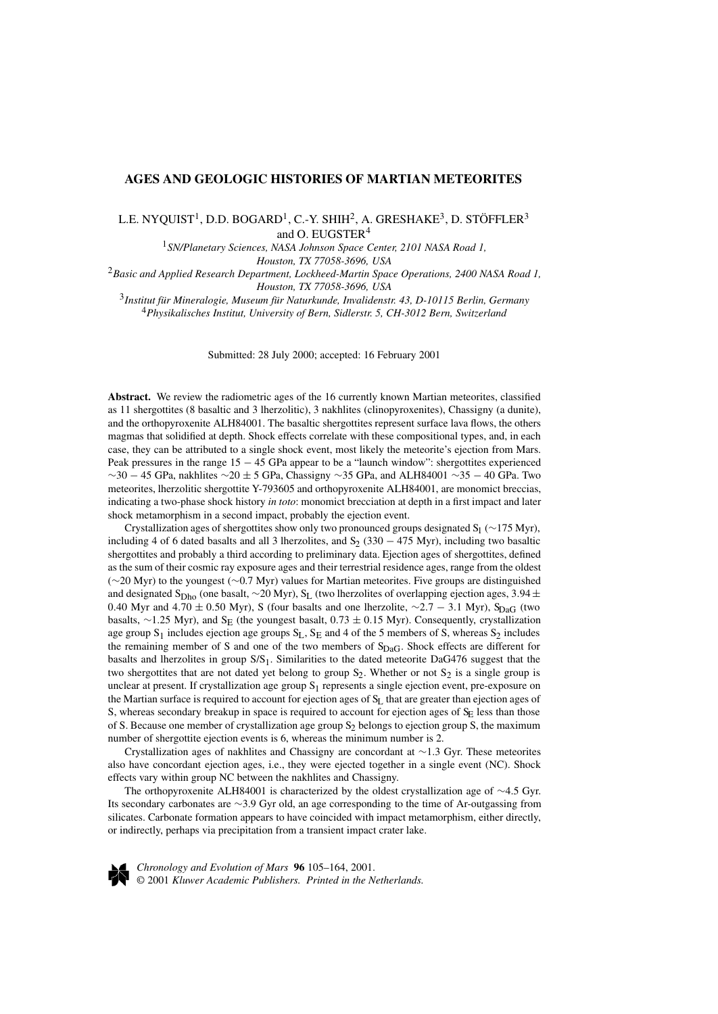## **AGES AND GEOLOGIC HISTORIES OF MARTIAN METEORITES**

# L.E. NYQUIST<sup>1</sup>, D.D. BOGARD<sup>1</sup>, C.-Y. SHIH<sup>2</sup>, A. GRESHAKE<sup>3</sup>, D. STÖFFLER<sup>3</sup> and O. EUGSTER<sup>4</sup>

<sup>1</sup>*SN/Planetary Sciences, NASA Johnson Space Center, 2101 NASA Road 1,*

*Houston, TX 77058-3696, USA*

<sup>2</sup>*Basic and Applied Research Department, Lockheed-Martin Space Operations, 2400 NASA Road 1, Houston, TX 77058-3696, USA*

<sup>3</sup>*Institut für Mineralogie, Museum für Naturkunde, Invalidenstr. 43, D-10115 Berlin, Germany* <sup>4</sup>*Physikalisches Institut, University of Bern, Sidlerstr. 5, CH-3012 Bern, Switzerland*

Submitted:28 July 2000; accepted:16 February 2001

**Abstract.** We review the radiometric ages of the 16 currently known Martian meteorites, classified as 11 shergottites (8 basaltic and 3 lherzolitic), 3 nakhlites (clinopyroxenites), Chassigny (a dunite), and the orthopyroxenite ALH84001. The basaltic shergottites represent surface lava flows, the others magmas that solidified at depth. Shock effects correlate with these compositional types, and, in each case, they can be attributed to a single shock event, most likely the meteorite's ejection from Mars. Peak pressures in the range  $15 - 45$  GPa appear to be a "launch window": shergottites experienced  $\sim$ 30 − 45 GPa, nakhlites  $\sim$ 20 ± 5 GPa, Chassigny  $\sim$ 35 GPa, and ALH84001  $\sim$ 35 − 40 GPa. Two meteorites, lherzolitic shergottite Y-793605 and orthopyroxenite ALH84001, are monomict breccias, indicating a two-phase shock history *in toto*: monomict brecciation at depth in a first impact and later shock metamorphism in a second impact, probably the ejection event.

Crystallization ages of shergottites show only two pronounced groups designated S<sub>1</sub> (∼175 Myr), including 4 of 6 dated basalts and all 3 lherzolites, and  $S_2$  (330  $-$  475 Myr), including two basaltic shergottites and probably a third according to preliminary data. Ejection ages of shergottites, defined as the sum of their cosmic ray exposure ages and their terrestrial residence ages, range from the oldest (∼20 Myr) to the youngest (∼0.7 Myr) values for Martian meteorites. Five groups are distinguished and designated S<sub>Dho</sub> (one basalt,  $\sim$ 20 Myr), S<sub>L</sub> (two lherzolites of overlapping ejection ages, 3.94 ± 0.40 Myr and 4.70 ± 0.50 Myr), S (four basalts and one lherzolite,  $\sim$ 2.7 – 3.1 Myr), S<sub>DaG</sub> (two basalts,  $\sim$ 1.25 Myr), and S<sub>E</sub> (the youngest basalt, 0.73  $\pm$  0.15 Myr). Consequently, crystallization age group  $S_1$  includes ejection age groups  $S_L$ ,  $S_E$  and 4 of the 5 members of S, whereas  $S_2$  includes the remaining member of S and one of the two members of  $S_{DaG}$ . Shock effects are different for basalts and lherzolites in group S/S1. Similarities to the dated meteorite DaG476 suggest that the two shergottites that are not dated yet belong to group  $S_2$ . Whether or not  $S_2$  is a single group is unclear at present. If crystallization age group  $S_1$  represents a single ejection event, pre-exposure on the Martian surface is required to account for ejection ages of  $S_L$  that are greater than ejection ages of S, whereas secondary breakup in space is required to account for ejection ages of  $S_E$  less than those of S. Because one member of crystallization age group  $S_2$  belongs to ejection group S, the maximum number of shergottite ejection events is 6, whereas the minimum number is 2.

Crystallization ages of nakhlites and Chassigny are concordant at ∼1.3 Gyr. These meteorites also have concordant ejection ages, i.e., they were ejected together in a single event (NC). Shock effects vary within group NC between the nakhlites and Chassigny.

The orthopyroxenite ALH84001 is characterized by the oldest crystallization age of ∼4.5 Gyr. Its secondary carbonates are ∼3.9 Gyr old, an age corresponding to the time of Ar-outgassing from silicates. Carbonate formation appears to have coincided with impact metamorphism, either directly, or indirectly, perhaps via precipitation from a transient impact crater lake.



*Chronology and Evolution of Mars* **96** 105–164, 2001. © 2001 *Kluwer Academic Publishers. Printed in the Netherlands.*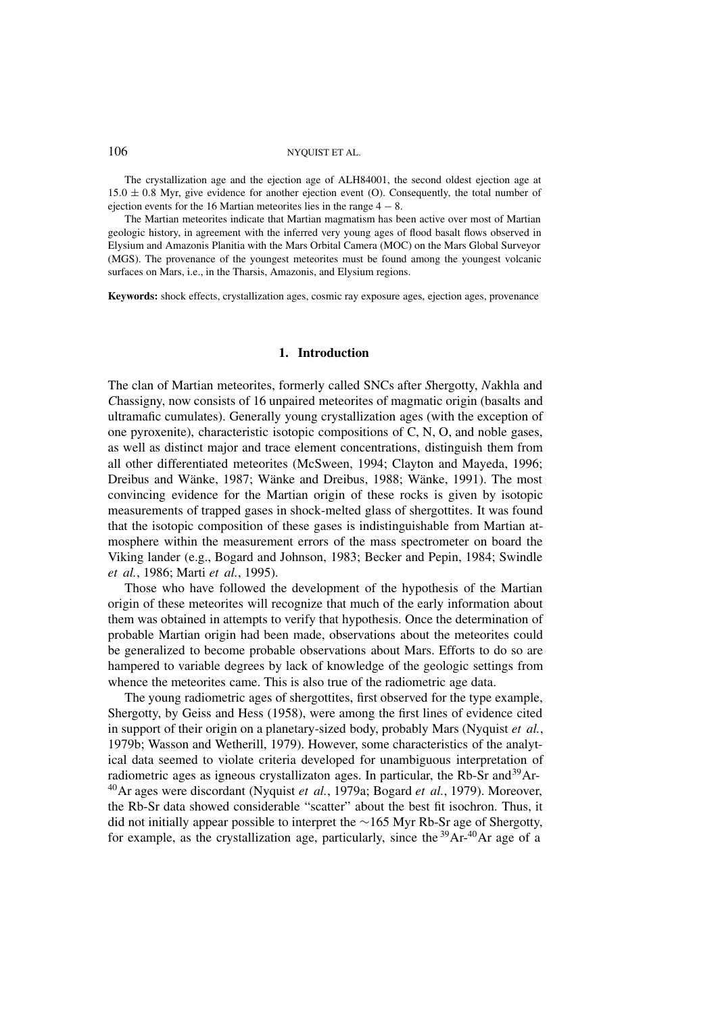The crystallization age and the ejection age of ALH84001, the second oldest ejection age at  $15.0 \pm 0.8$  Myr, give evidence for another ejection event (O). Consequently, the total number of ejection events for the 16 Martian meteorites lies in the range  $4 - 8$ .

The Martian meteorites indicate that Martian magmatism has been active over most of Martian geologic history, in agreement with the inferred very young ages of flood basalt flows observed in Elysium and Amazonis Planitia with the Mars Orbital Camera (MOC) on the Mars Global Surveyor (MGS). The provenance of the youngest meteorites must be found among the youngest volcanic surfaces on Mars, i.e., in the Tharsis, Amazonis, and Elysium regions.

**Keywords:** shock effects, crystallization ages, cosmic ray exposure ages, ejection ages, provenance

## **1. Introduction**

The clan of Martian meteorites, formerly called SNCs after *S*hergotty, *N*akhla and *C*hassigny, now consists of 16 unpaired meteorites of magmatic origin (basalts and ultramafic cumulates). Generally young crystallization ages (with the exception of one pyroxenite), characteristic isotopic compositions of C, N, O, and noble gases, as well as distinct major and trace element concentrations, distinguish them from all other differentiated meteorites (McSween, 1994; Clayton and Mayeda, 1996; Dreibus and Wänke, 1987; Wänke and Dreibus, 1988; Wänke, 1991). The most convincing evidence for the Martian origin of these rocks is given by isotopic measurements of trapped gases in shock-melted glass of shergottites. It was found that the isotopic composition of these gases is indistinguishable from Martian atmosphere within the measurement errors of the mass spectrometer on board the Viking lander (e.g., Bogard and Johnson, 1983; Becker and Pepin, 1984; Swindle *et al.*, 1986; Marti *et al.*, 1995).

Those who have followed the development of the hypothesis of the Martian origin of these meteorites will recognize that much of the early information about them was obtained in attempts to verify that hypothesis. Once the determination of probable Martian origin had been made, observations about the meteorites could be generalized to become probable observations about Mars. Efforts to do so are hampered to variable degrees by lack of knowledge of the geologic settings from whence the meteorites came. This is also true of the radiometric age data.

The young radiometric ages of shergottites, first observed for the type example, Shergotty, by Geiss and Hess (1958), were among the first lines of evidence cited in support of their origin on a planetary-sized body, probably Mars (Nyquist *et al.*, 1979b; Wasson and Wetherill, 1979). However, some characteristics of the analytical data seemed to violate criteria developed for unambiguous interpretation of radiometric ages as igneous crystallizaton ages. In particular, the Rb-Sr and  $39\text{Ar}$ -40Ar ages were discordant (Nyquist *et al.*, 1979a; Bogard *et al.*, 1979). Moreover, the Rb-Sr data showed considerable "scatter" about the best fit isochron. Thus, it did not initially appear possible to interpret the ∼165 Myr Rb-Sr age of Shergotty, for example, as the crystallization age, particularly, since the  $39$ Ar- $40$ Ar age of a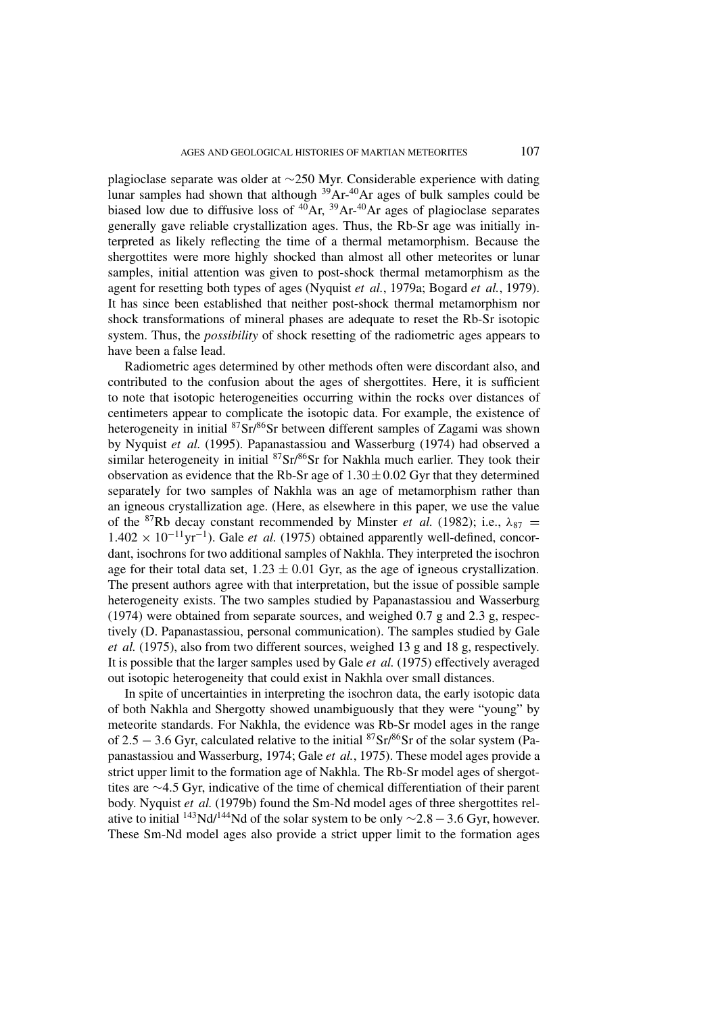plagioclase separate was older at ∼250 Myr. Considerable experience with dating lunar samples had shown that although  $39$ Ar- $40$ Ar ages of bulk samples could be biased low due to diffusive loss of  $^{40}Ar$ ,  $^{39}Ar^{-40}Ar$  ages of plagioclase separates generally gave reliable crystallization ages. Thus, the Rb-Sr age was initially interpreted as likely reflecting the time of a thermal metamorphism. Because the shergottites were more highly shocked than almost all other meteorites or lunar samples, initial attention was given to post-shock thermal metamorphism as the agent for resetting both types of ages (Nyquist *et al.*, 1979a; Bogard *et al.*, 1979). It has since been established that neither post-shock thermal metamorphism nor shock transformations of mineral phases are adequate to reset the Rb-Sr isotopic system. Thus, the *possibility* of shock resetting of the radiometric ages appears to have been a false lead.

Radiometric ages determined by other methods often were discordant also, and contributed to the confusion about the ages of shergottites. Here, it is sufficient to note that isotopic heterogeneities occurring within the rocks over distances of centimeters appear to complicate the isotopic data. For example, the existence of heterogeneity in initial <sup>87</sup>Sr/<sup>86</sup>Sr between different samples of Zagami was shown by Nyquist *et al.* (1995). Papanastassiou and Wasserburg (1974) had observed a similar heterogeneity in initial <sup>87</sup>Sr/<sup>86</sup>Sr for Nakhla much earlier. They took their observation as evidence that the Rb-Sr age of  $1.30 \pm 0.02$  Gyr that they determined separately for two samples of Nakhla was an age of metamorphism rather than an igneous crystallization age. (Here, as elsewhere in this paper, we use the value of the <sup>87</sup>Rb decay constant recommended by Minster *et al.* (1982); i.e.,  $\lambda_{87}$  =  $1.402 \times 10^{-11}$ yr<sup>-1</sup>). Gale *et al.* (1975) obtained apparently well-defined, concordant, isochrons for two additional samples of Nakhla. They interpreted the isochron age for their total data set,  $1.23 \pm 0.01$  Gyr, as the age of igneous crystallization. The present authors agree with that interpretation, but the issue of possible sample heterogeneity exists. The two samples studied by Papanastassiou and Wasserburg (1974) were obtained from separate sources, and weighed 0.7 g and 2.3 g, respectively (D. Papanastassiou, personal communication). The samples studied by Gale *et al.* (1975), also from two different sources, weighed 13 g and 18 g, respectively. It is possible that the larger samples used by Gale *et al.* (1975) effectively averaged out isotopic heterogeneity that could exist in Nakhla over small distances.

In spite of uncertainties in interpreting the isochron data, the early isotopic data of both Nakhla and Shergotty showed unambiguously that they were "young" by meteorite standards. For Nakhla, the evidence was Rb-Sr model ages in the range of 2.5 – 3.6 Gyr, calculated relative to the initial  ${}^{87}Sr/{}^{86}Sr$  of the solar system (Papanastassiou and Wasserburg, 1974; Gale *et al.*, 1975). These model ages provide a strict upper limit to the formation age of Nakhla. The Rb-Sr model ages of shergottites are ∼4.5 Gyr, indicative of the time of chemical differentiation of their parent body. Nyquist *et al.* (1979b) found the Sm-Nd model ages of three shergottites relative to initial <sup>143</sup>Nd/<sup>144</sup>Nd of the solar system to be only  $\sim$ 2.8 − 3.6 Gyr, however. These Sm-Nd model ages also provide a strict upper limit to the formation ages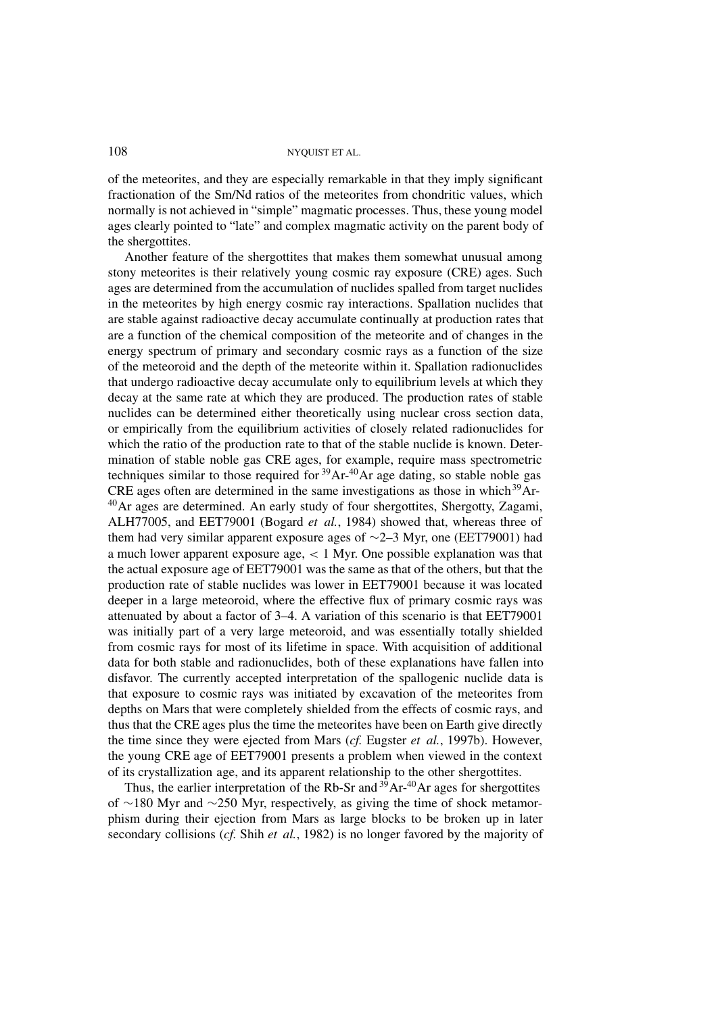of the meteorites, and they are especially remarkable in that they imply significant fractionation of the Sm/Nd ratios of the meteorites from chondritic values, which normally is not achieved in "simple" magmatic processes. Thus, these young model ages clearly pointed to "late" and complex magmatic activity on the parent body of the shergottites.

Another feature of the shergottites that makes them somewhat unusual among stony meteorites is their relatively young cosmic ray exposure (CRE) ages. Such ages are determined from the accumulation of nuclides spalled from target nuclides in the meteorites by high energy cosmic ray interactions. Spallation nuclides that are stable against radioactive decay accumulate continually at production rates that are a function of the chemical composition of the meteorite and of changes in the energy spectrum of primary and secondary cosmic rays as a function of the size of the meteoroid and the depth of the meteorite within it. Spallation radionuclides that undergo radioactive decay accumulate only to equilibrium levels at which they decay at the same rate at which they are produced. The production rates of stable nuclides can be determined either theoretically using nuclear cross section data, or empirically from the equilibrium activities of closely related radionuclides for which the ratio of the production rate to that of the stable nuclide is known. Determination of stable noble gas CRE ages, for example, require mass spectrometric techniques similar to those required for  $39Ar^{-40}Ar$  age dating, so stable noble gas CRE ages often are determined in the same investigations as those in which $39$ Ar-<sup>40</sup>Ar ages are determined. An early study of four shergottites, Shergotty, Zagami, ALH77005, and EET79001 (Bogard *et al.*, 1984) showed that, whereas three of them had very similar apparent exposure ages of ∼2–3 Myr, one (EET79001) had a much lower apparent exposure age, < 1 Myr. One possible explanation was that the actual exposure age of EET79001 was the same as that of the others, but that the production rate of stable nuclides was lower in EET79001 because it was located deeper in a large meteoroid, where the effective flux of primary cosmic rays was attenuated by about a factor of 3–4. A variation of this scenario is that EET79001 was initially part of a very large meteoroid, and was essentially totally shielded from cosmic rays for most of its lifetime in space. With acquisition of additional data for both stable and radionuclides, both of these explanations have fallen into disfavor. The currently accepted interpretation of the spallogenic nuclide data is that exposure to cosmic rays was initiated by excavation of the meteorites from depths on Mars that were completely shielded from the effects of cosmic rays, and thus that the CRE ages plus the time the meteorites have been on Earth give directly the time since they were ejected from Mars (*cf.* Eugster *et al.*, 1997b). However, the young CRE age of EET79001 presents a problem when viewed in the context of its crystallization age, and its apparent relationship to the other shergottites.

Thus, the earlier interpretation of the Rb-Sr and  $3\overset{3}{9}$ Ar-<sup>40</sup>Ar ages for shergottites of ∼180 Myr and ∼250 Myr, respectively, as giving the time of shock metamorphism during their ejection from Mars as large blocks to be broken up in later secondary collisions (*cf.* Shih *et al.*, 1982) is no longer favored by the majority of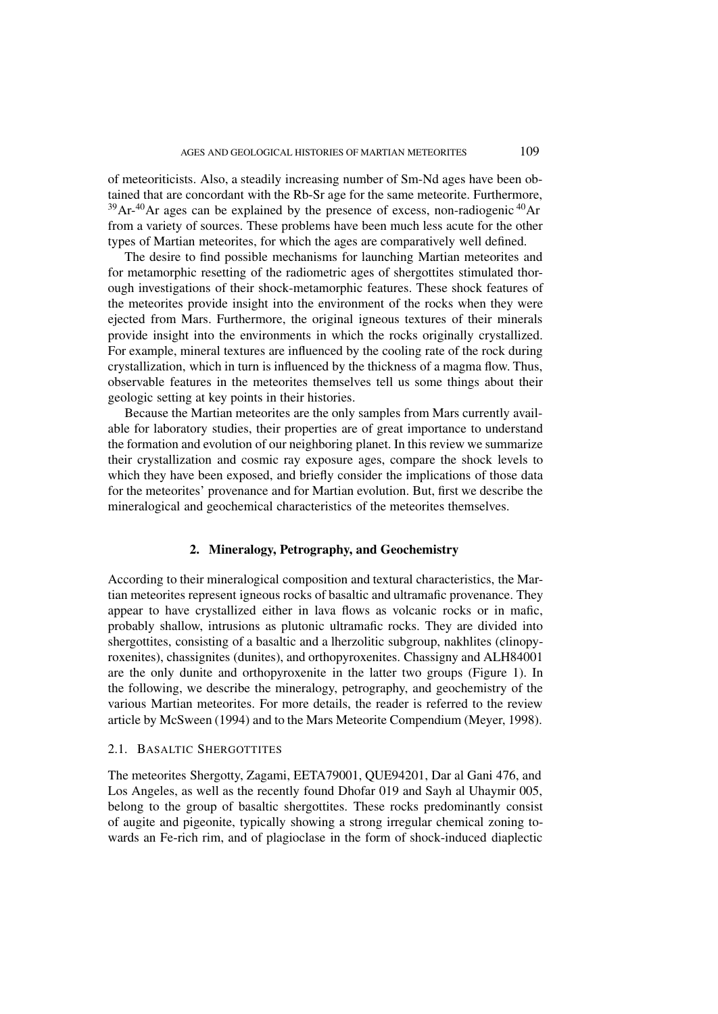of meteoriticists. Also, a steadily increasing number of Sm-Nd ages have been obtained that are concordant with the Rb-Sr age for the same meteorite. Furthermore, <sup>39</sup>Ar-<sup>40</sup>Ar ages can be explained by the presence of excess, non-radiogenic <sup>40</sup>Ar from a variety of sources. These problems have been much less acute for the other types of Martian meteorites, for which the ages are comparatively well defined.

The desire to find possible mechanisms for launching Martian meteorites and for metamorphic resetting of the radiometric ages of shergottites stimulated thorough investigations of their shock-metamorphic features. These shock features of the meteorites provide insight into the environment of the rocks when they were ejected from Mars. Furthermore, the original igneous textures of their minerals provide insight into the environments in which the rocks originally crystallized. For example, mineral textures are influenced by the cooling rate of the rock during crystallization, which in turn is influenced by the thickness of a magma flow. Thus, observable features in the meteorites themselves tell us some things about their geologic setting at key points in their histories.

Because the Martian meteorites are the only samples from Mars currently available for laboratory studies, their properties are of great importance to understand the formation and evolution of our neighboring planet. In this review we summarize their crystallization and cosmic ray exposure ages, compare the shock levels to which they have been exposed, and briefly consider the implications of those data for the meteorites' provenance and for Martian evolution. But, first we describe the mineralogical and geochemical characteristics of the meteorites themselves.

### **2. Mineralogy, Petrography, and Geochemistry**

According to their mineralogical composition and textural characteristics, the Martian meteorites represent igneous rocks of basaltic and ultramafic provenance. They appear to have crystallized either in lava flows as volcanic rocks or in mafic, probably shallow, intrusions as plutonic ultramafic rocks. They are divided into shergottites, consisting of a basaltic and a lherzolitic subgroup, nakhlites (clinopyroxenites), chassignites (dunites), and orthopyroxenites. Chassigny and ALH84001 are the only dunite and orthopyroxenite in the latter two groups (Figure 1). In the following, we describe the mineralogy, petrography, and geochemistry of the various Martian meteorites. For more details, the reader is referred to the review article by McSween (1994) and to the Mars Meteorite Compendium (Meyer, 1998).

# 2.1. BASALTIC SHERGOTTITES

The meteorites Shergotty, Zagami, EETA79001, QUE94201, Dar al Gani 476, and Los Angeles, as well as the recently found Dhofar 019 and Sayh al Uhaymir 005, belong to the group of basaltic shergottites. These rocks predominantly consist of augite and pigeonite, typically showing a strong irregular chemical zoning towards an Fe-rich rim, and of plagioclase in the form of shock-induced diaplectic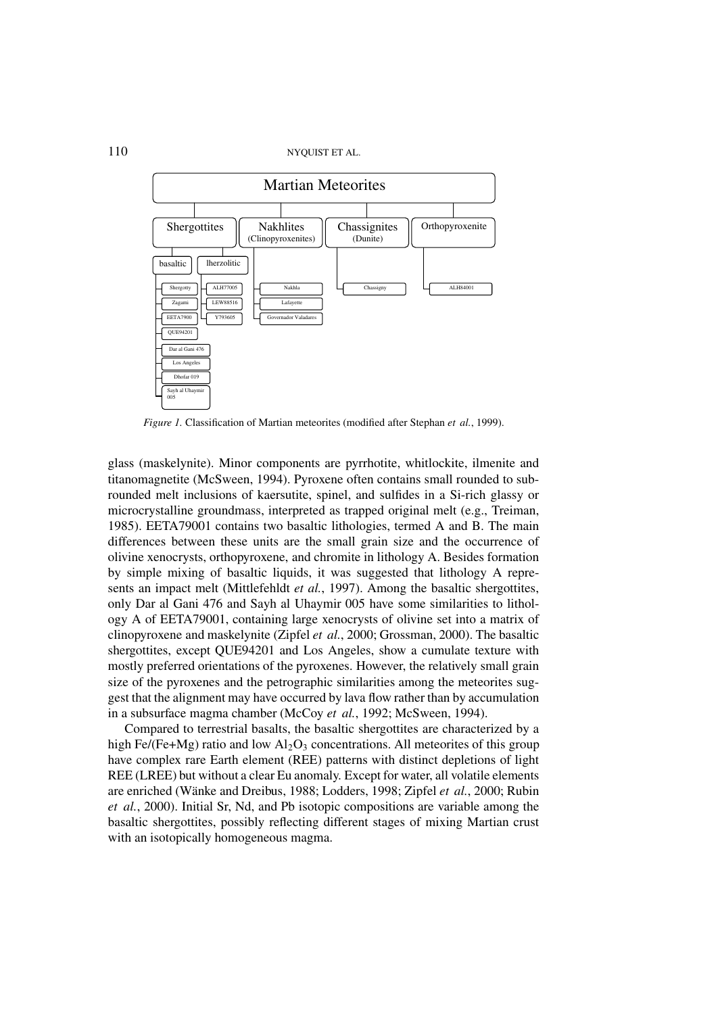110 NYQUIST ET AL.



*Figure 1.* Classification of Martian meteorites (modified after Stephan *et al.*, 1999).

glass (maskelynite). Minor components are pyrrhotite, whitlockite, ilmenite and titanomagnetite (McSween, 1994). Pyroxene often contains small rounded to subrounded melt inclusions of kaersutite, spinel, and sulfides in a Si-rich glassy or microcrystalline groundmass, interpreted as trapped original melt (e.g., Treiman, 1985). EETA79001 contains two basaltic lithologies, termed A and B. The main differences between these units are the small grain size and the occurrence of olivine xenocrysts, orthopyroxene, and chromite in lithology A. Besides formation by simple mixing of basaltic liquids, it was suggested that lithology A represents an impact melt (Mittlefehldt *et al.*, 1997). Among the basaltic shergottites, only Dar al Gani 476 and Sayh al Uhaymir 005 have some similarities to lithology A of EETA79001, containing large xenocrysts of olivine set into a matrix of clinopyroxene and maskelynite (Zipfel *et al.*, 2000; Grossman, 2000). The basaltic shergottites, except QUE94201 and Los Angeles, show a cumulate texture with mostly preferred orientations of the pyroxenes. However, the relatively small grain size of the pyroxenes and the petrographic similarities among the meteorites suggest that the alignment may have occurred by lava flow rather than by accumulation in a subsurface magma chamber (McCoy *et al.*, 1992; McSween, 1994).

Compared to terrestrial basalts, the basaltic shergottites are characterized by a high Fe/(Fe+Mg) ratio and low  $Al_2O_3$  concentrations. All meteorites of this group have complex rare Earth element (REE) patterns with distinct depletions of light REE (LREE) but without a clear Eu anomaly. Except for water, all volatile elements are enriched (Wänke and Dreibus, 1988; Lodders, 1998; Zipfel *et al.*, 2000; Rubin *et al.*, 2000). Initial Sr, Nd, and Pb isotopic compositions are variable among the basaltic shergottites, possibly reflecting different stages of mixing Martian crust with an isotopically homogeneous magma.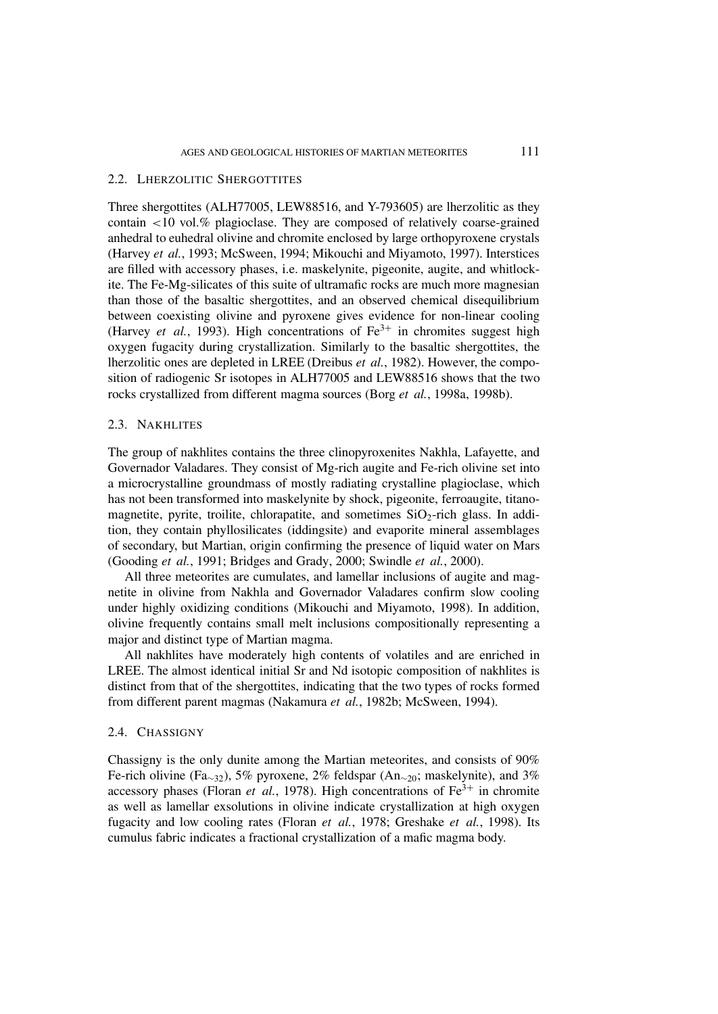### 2.2. LHERZOLITIC SHERGOTTITES

Three shergottites (ALH77005, LEW88516, and Y-793605) are lherzolitic as they contain <10 vol.% plagioclase. They are composed of relatively coarse-grained anhedral to euhedral olivine and chromite enclosed by large orthopyroxene crystals (Harvey *et al.*, 1993; McSween, 1994; Mikouchi and Miyamoto, 1997). Interstices are filled with accessory phases, i.e. maskelynite, pigeonite, augite, and whitlockite. The Fe-Mg-silicates of this suite of ultramafic rocks are much more magnesian than those of the basaltic shergottites, and an observed chemical disequilibrium between coexisting olivine and pyroxene gives evidence for non-linear cooling (Harvey *et al.*, 1993). High concentrations of  $Fe^{3+}$  in chromites suggest high oxygen fugacity during crystallization. Similarly to the basaltic shergottites, the lherzolitic ones are depleted in LREE (Dreibus *et al.*, 1982). However, the composition of radiogenic Sr isotopes in ALH77005 and LEW88516 shows that the two rocks crystallized from different magma sources (Borg *et al.*, 1998a, 1998b).

### 2.3. NAKHLITES

The group of nakhlites contains the three clinopyroxenites Nakhla, Lafayette, and Governador Valadares. They consist of Mg-rich augite and Fe-rich olivine set into a microcrystalline groundmass of mostly radiating crystalline plagioclase, which has not been transformed into maskelynite by shock, pigeonite, ferroaugite, titanomagnetite, pyrite, troilite, chlorapatite, and sometimes  $SiO<sub>2</sub>$ -rich glass. In addition, they contain phyllosilicates (iddingsite) and evaporite mineral assemblages of secondary, but Martian, origin confirming the presence of liquid water on Mars (Gooding *et al.*, 1991; Bridges and Grady, 2000; Swindle *et al.*, 2000).

All three meteorites are cumulates, and lamellar inclusions of augite and magnetite in olivine from Nakhla and Governador Valadares confirm slow cooling under highly oxidizing conditions (Mikouchi and Miyamoto, 1998). In addition, olivine frequently contains small melt inclusions compositionally representing a major and distinct type of Martian magma.

All nakhlites have moderately high contents of volatiles and are enriched in LREE. The almost identical initial Sr and Nd isotopic composition of nakhlites is distinct from that of the shergottites, indicating that the two types of rocks formed from different parent magmas (Nakamura *et al.*, 1982b; McSween, 1994).

### 2.4. CHASSIGNY

Chassigny is the only dunite among the Martian meteorites, and consists of 90% Fe-rich olivine (Fa∼32), 5% pyroxene, 2% feldspar (An∼20; maskelynite), and 3% accessory phases (Floran *et al.*, 1978). High concentrations of  $Fe<sup>3+</sup>$  in chromite as well as lamellar exsolutions in olivine indicate crystallization at high oxygen fugacity and low cooling rates (Floran *et al.*, 1978; Greshake *et al.*, 1998). Its cumulus fabric indicates a fractional crystallization of a mafic magma body.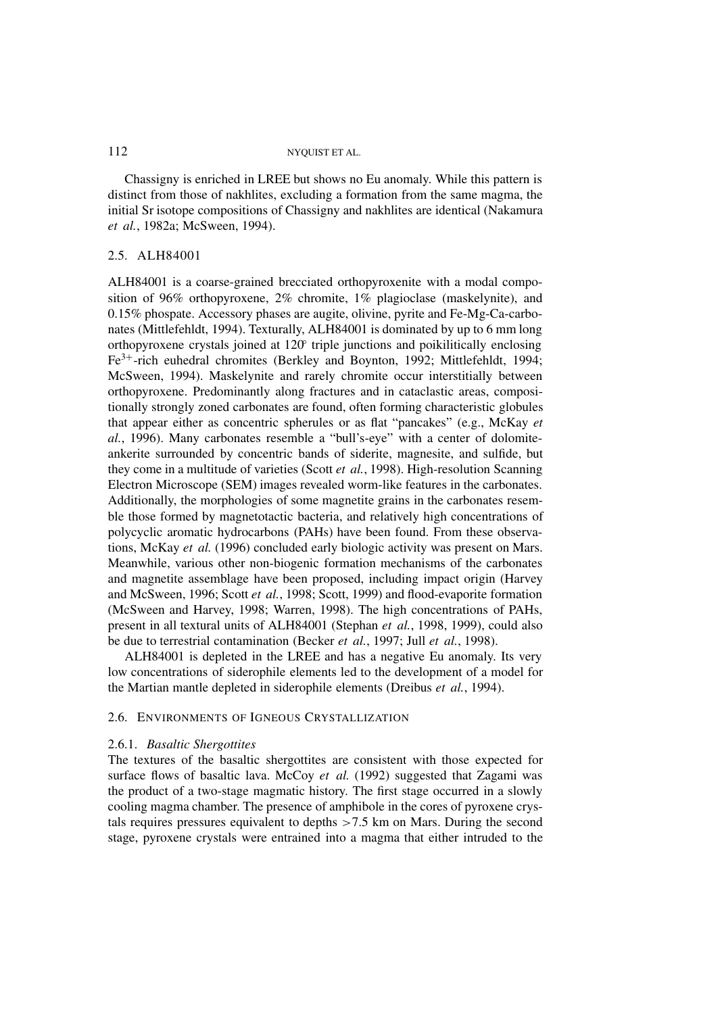Chassigny is enriched in LREE but shows no Eu anomaly. While this pattern is distinct from those of nakhlites, excluding a formation from the same magma, the initial Sr isotope compositions of Chassigny and nakhlites are identical (Nakamura *et al.*, 1982a; McSween, 1994).

# 2.5. ALH84001

ALH84001 is a coarse-grained brecciated orthopyroxenite with a modal composition of 96% orthopyroxene, 2% chromite, 1% plagioclase (maskelynite), and 0.15% phospate. Accessory phases are augite, olivine, pyrite and Fe-Mg-Ca-carbonates (Mittlefehldt, 1994). Texturally, ALH84001 is dominated by up to 6 mm long orthopyroxene crystals joined at 120◦ triple junctions and poikilitically enclosing Fe<sup>3</sup>+-rich euhedral chromites (Berkley and Boynton, 1992; Mittlefehldt, 1994; McSween, 1994). Maskelynite and rarely chromite occur interstitially between orthopyroxene. Predominantly along fractures and in cataclastic areas, compositionally strongly zoned carbonates are found, often forming characteristic globules that appear either as concentric spherules or as flat "pancakes" (e.g., McKay *et al.*, 1996). Many carbonates resemble a "bull's-eye" with a center of dolomiteankerite surrounded by concentric bands of siderite, magnesite, and sulfide, but they come in a multitude of varieties (Scott *et al.*, 1998). High-resolution Scanning Electron Microscope (SEM) images revealed worm-like features in the carbonates. Additionally, the morphologies of some magnetite grains in the carbonates resemble those formed by magnetotactic bacteria, and relatively high concentrations of polycyclic aromatic hydrocarbons (PAHs) have been found. From these observations, McKay *et al.* (1996) concluded early biologic activity was present on Mars. Meanwhile, various other non-biogenic formation mechanisms of the carbonates and magnetite assemblage have been proposed, including impact origin (Harvey and McSween, 1996; Scott *et al.*, 1998; Scott, 1999) and flood-evaporite formation (McSween and Harvey, 1998; Warren, 1998). The high concentrations of PAHs, present in all textural units of ALH84001 (Stephan *et al.*, 1998, 1999), could also be due to terrestrial contamination (Becker *et al.*, 1997; Jull *et al.*, 1998).

ALH84001 is depleted in the LREE and has a negative Eu anomaly. Its very low concentrations of siderophile elements led to the development of a model for the Martian mantle depleted in siderophile elements (Dreibus *et al.*, 1994).

# 2.6. ENVIRONMENTS OF IGNEOUS CRYSTALLIZATION

## 2.6.1. *Basaltic Shergottites*

The textures of the basaltic shergottites are consistent with those expected for surface flows of basaltic lava. McCoy *et al.* (1992) suggested that Zagami was the product of a two-stage magmatic history. The first stage occurred in a slowly cooling magma chamber. The presence of amphibole in the cores of pyroxene crystals requires pressures equivalent to depths >7.5 km on Mars. During the second stage, pyroxene crystals were entrained into a magma that either intruded to the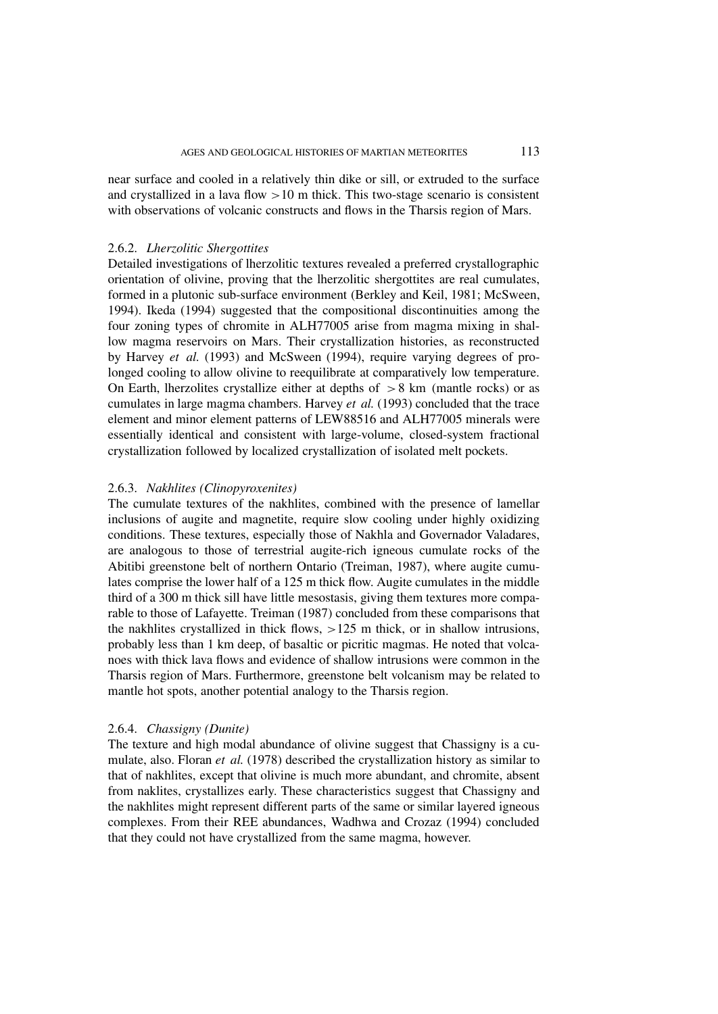near surface and cooled in a relatively thin dike or sill, or extruded to the surface and crystallized in a lava flow  $>10$  m thick. This two-stage scenario is consistent with observations of volcanic constructs and flows in the Tharsis region of Mars.

## 2.6.2. *Lherzolitic Shergottites*

Detailed investigations of lherzolitic textures revealed a preferred crystallographic orientation of olivine, proving that the lherzolitic shergottites are real cumulates, formed in a plutonic sub-surface environment (Berkley and Keil, 1981; McSween, 1994). Ikeda (1994) suggested that the compositional discontinuities among the four zoning types of chromite in ALH77005 arise from magma mixing in shallow magma reservoirs on Mars. Their crystallization histories, as reconstructed by Harvey *et al.* (1993) and McSween (1994), require varying degrees of prolonged cooling to allow olivine to reequilibrate at comparatively low temperature. On Earth, lherzolites crystallize either at depths of  $> 8$  km (mantle rocks) or as cumulates in large magma chambers. Harvey *et al.* (1993) concluded that the trace element and minor element patterns of LEW88516 and ALH77005 minerals were essentially identical and consistent with large-volume, closed-system fractional crystallization followed by localized crystallization of isolated melt pockets.

# 2.6.3. *Nakhlites (Clinopyroxenites)*

The cumulate textures of the nakhlites, combined with the presence of lamellar inclusions of augite and magnetite, require slow cooling under highly oxidizing conditions. These textures, especially those of Nakhla and Governador Valadares, are analogous to those of terrestrial augite-rich igneous cumulate rocks of the Abitibi greenstone belt of northern Ontario (Treiman, 1987), where augite cumulates comprise the lower half of a 125 m thick flow. Augite cumulates in the middle third of a 300 m thick sill have little mesostasis, giving them textures more comparable to those of Lafayette. Treiman (1987) concluded from these comparisons that the nakhlites crystallized in thick flows,  $>125$  m thick, or in shallow intrusions, probably less than 1 km deep, of basaltic or picritic magmas. He noted that volcanoes with thick lava flows and evidence of shallow intrusions were common in the Tharsis region of Mars. Furthermore, greenstone belt volcanism may be related to mantle hot spots, another potential analogy to the Tharsis region.

#### 2.6.4. *Chassigny (Dunite)*

The texture and high modal abundance of olivine suggest that Chassigny is a cumulate, also. Floran *et al.* (1978) described the crystallization history as similar to that of nakhlites, except that olivine is much more abundant, and chromite, absent from naklites, crystallizes early. These characteristics suggest that Chassigny and the nakhlites might represent different parts of the same or similar layered igneous complexes. From their REE abundances, Wadhwa and Crozaz (1994) concluded that they could not have crystallized from the same magma, however.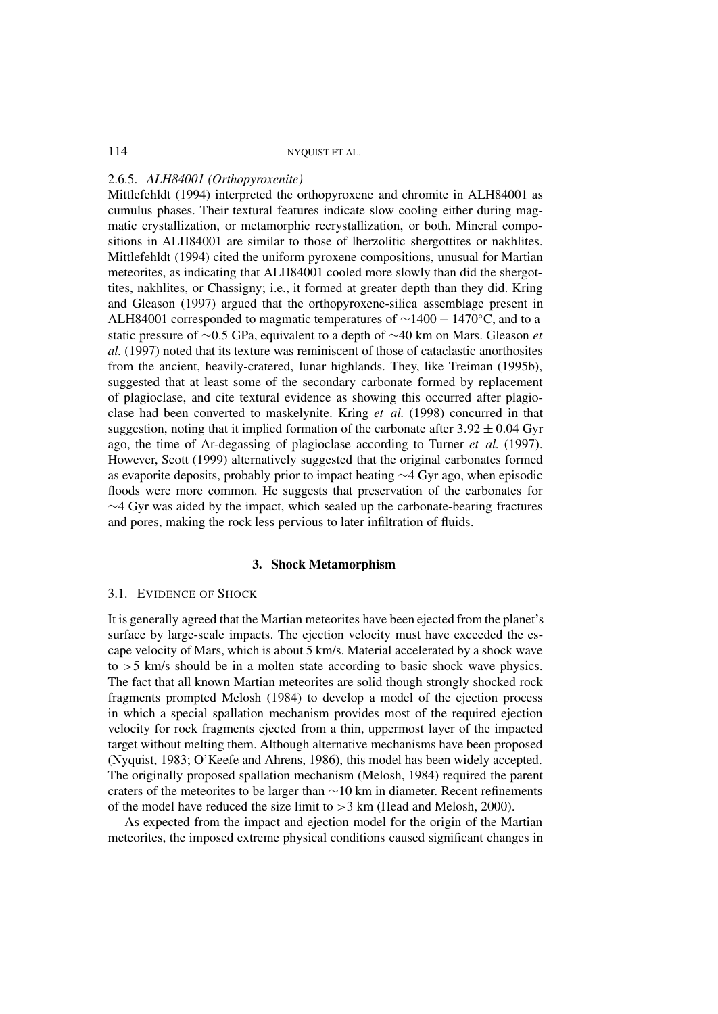## 2.6.5. *ALH84001 (Orthopyroxenite)*

Mittlefehldt (1994) interpreted the orthopyroxene and chromite in ALH84001 as cumulus phases. Their textural features indicate slow cooling either during magmatic crystallization, or metamorphic recrystallization, or both. Mineral compositions in ALH84001 are similar to those of lherzolitic shergottites or nakhlites. Mittlefehldt (1994) cited the uniform pyroxene compositions, unusual for Martian meteorites, as indicating that ALH84001 cooled more slowly than did the shergottites, nakhlites, or Chassigny; i.e., it formed at greater depth than they did. Kring and Gleason (1997) argued that the orthopyroxene-silica assemblage present in ALH84001 corresponded to magmatic temperatures of ∼1400 − 1470◦C, and to a static pressure of ∼0.5 GPa, equivalent to a depth of ∼40 km on Mars. Gleason *et al.* (1997) noted that its texture was reminiscent of those of cataclastic anorthosites from the ancient, heavily-cratered, lunar highlands. They, like Treiman (1995b), suggested that at least some of the secondary carbonate formed by replacement of plagioclase, and cite textural evidence as showing this occurred after plagioclase had been converted to maskelynite. Kring *et al.* (1998) concurred in that suggestion, noting that it implied formation of the carbonate after  $3.92 \pm 0.04$  Gyr ago, the time of Ar-degassing of plagioclase according to Turner *et al.* (1997). However, Scott (1999) alternatively suggested that the original carbonates formed as evaporite deposits, probably prior to impact heating ∼4 Gyr ago, when episodic floods were more common. He suggests that preservation of the carbonates for ∼4 Gyr was aided by the impact, which sealed up the carbonate-bearing fractures and pores, making the rock less pervious to later infiltration of fluids.

# **3. Shock Metamorphism**

# 3.1. EVIDENCE OF SHOCK

It is generally agreed that the Martian meteorites have been ejected from the planet's surface by large-scale impacts. The ejection velocity must have exceeded the escape velocity of Mars, which is about 5 km/s. Material accelerated by a shock wave to >5 km/s should be in a molten state according to basic shock wave physics. The fact that all known Martian meteorites are solid though strongly shocked rock fragments prompted Melosh (1984) to develop a model of the ejection process in which a special spallation mechanism provides most of the required ejection velocity for rock fragments ejected from a thin, uppermost layer of the impacted target without melting them. Although alternative mechanisms have been proposed (Nyquist, 1983; O'Keefe and Ahrens, 1986), this model has been widely accepted. The originally proposed spallation mechanism (Melosh, 1984) required the parent craters of the meteorites to be larger than ∼10 km in diameter. Recent refinements of the model have reduced the size limit to >3 km (Head and Melosh, 2000).

As expected from the impact and ejection model for the origin of the Martian meteorites, the imposed extreme physical conditions caused significant changes in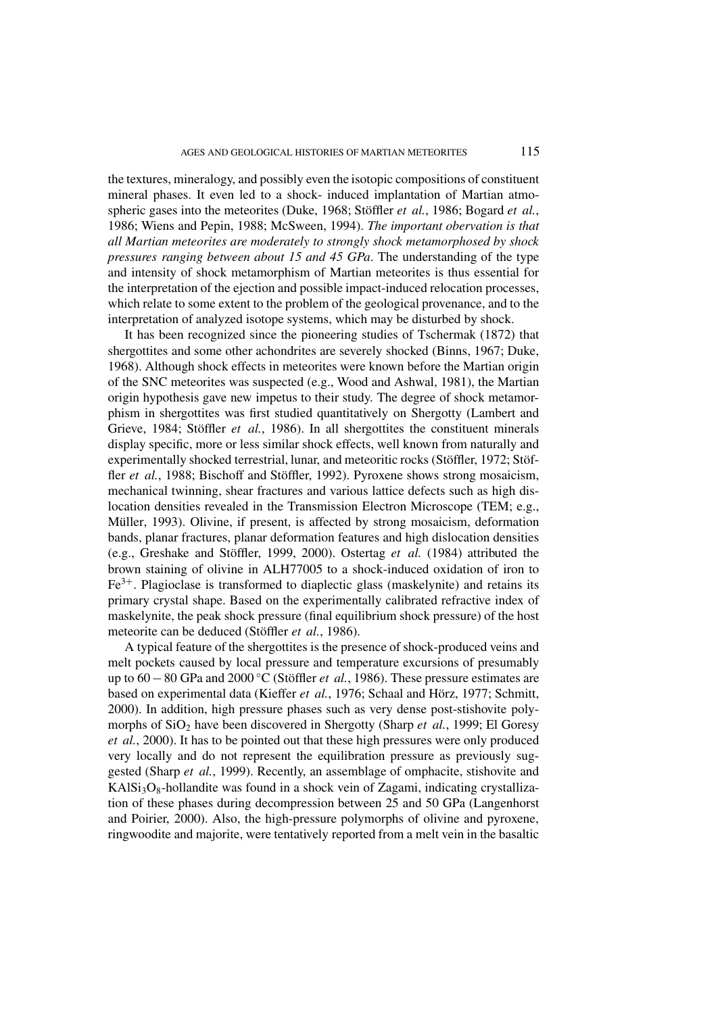the textures, mineralogy, and possibly even the isotopic compositions of constituent mineral phases. It even led to a shock- induced implantation of Martian atmospheric gases into the meteorites (Duke, 1968; Stöffler *et al.*, 1986; Bogard *et al.*, 1986; Wiens and Pepin, 1988; McSween, 1994). *The important obervation is that all Martian meteorites are moderately to strongly shock metamorphosed by shock pressures ranging between about 15 and 45 GPa*. The understanding of the type and intensity of shock metamorphism of Martian meteorites is thus essential for the interpretation of the ejection and possible impact-induced relocation processes, which relate to some extent to the problem of the geological provenance, and to the interpretation of analyzed isotope systems, which may be disturbed by shock.

It has been recognized since the pioneering studies of Tschermak (1872) that shergottites and some other achondrites are severely shocked (Binns, 1967; Duke, 1968). Although shock effects in meteorites were known before the Martian origin of the SNC meteorites was suspected (e.g., Wood and Ashwal, 1981), the Martian origin hypothesis gave new impetus to their study. The degree of shock metamorphism in shergottites was first studied quantitatively on Shergotty (Lambert and Grieve, 1984; Stöffler *et al.*, 1986). In all shergottites the constituent minerals display specific, more or less similar shock effects, well known from naturally and experimentally shocked terrestrial, lunar, and meteoritic rocks (Stöffler, 1972; Stöffler *et al.*, 1988; Bischoff and Stöffler, 1992). Pyroxene shows strong mosaicism, mechanical twinning, shear fractures and various lattice defects such as high dislocation densities revealed in the Transmission Electron Microscope (TEM; e.g., Müller, 1993). Olivine, if present, is affected by strong mosaicism, deformation bands, planar fractures, planar deformation features and high dislocation densities (e.g., Greshake and Stöffler, 1999, 2000). Ostertag *et al.* (1984) attributed the brown staining of olivine in ALH77005 to a shock-induced oxidation of iron to  $Fe<sup>3+</sup>$ . Plagioclase is transformed to diaplectic glass (maskelynite) and retains its primary crystal shape. Based on the experimentally calibrated refractive index of maskelynite, the peak shock pressure (final equilibrium shock pressure) of the host meteorite can be deduced (Stöffler *et al.*, 1986).

A typical feature of the shergottites is the presence of shock-produced veins and melt pockets caused by local pressure and temperature excursions of presumably up to 60−80 GPa and 2000 ◦C (Stöffler *et al.*, 1986). These pressure estimates are based on experimental data (Kieffer *et al.*, 1976; Schaal and Hörz, 1977; Schmitt, 2000). In addition, high pressure phases such as very dense post-stishovite polymorphs of SiO<sub>2</sub> have been discovered in Shergotty (Sharp *et al.*, 1999; El Goresy *et al.*, 2000). It has to be pointed out that these high pressures were only produced very locally and do not represent the equilibration pressure as previously suggested (Sharp *et al.*, 1999). Recently, an assemblage of omphacite, stishovite and  $KAISi<sub>3</sub>O<sub>8</sub>$ -hollandite was found in a shock vein of Zagami, indicating crystallization of these phases during decompression between 25 and 50 GPa (Langenhorst and Poirier, 2000). Also, the high-pressure polymorphs of olivine and pyroxene, ringwoodite and majorite, were tentatively reported from a melt vein in the basaltic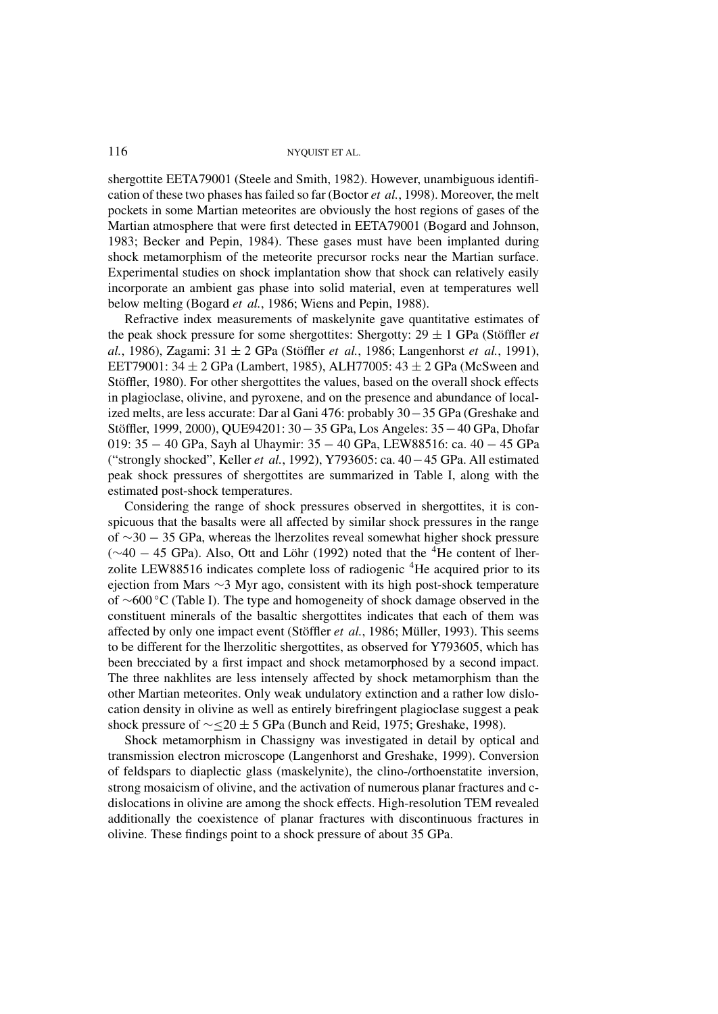shergottite EETA79001 (Steele and Smith, 1982). However, unambiguous identification of these two phases has failed so far (Boctor *et al.*, 1998). Moreover, the melt pockets in some Martian meteorites are obviously the host regions of gases of the Martian atmosphere that were first detected in EETA79001 (Bogard and Johnson, 1983; Becker and Pepin, 1984). These gases must have been implanted during shock metamorphism of the meteorite precursor rocks near the Martian surface. Experimental studies on shock implantation show that shock can relatively easily incorporate an ambient gas phase into solid material, even at temperatures well below melting (Bogard *et al.*, 1986; Wiens and Pepin, 1988).

Refractive index measurements of maskelynite gave quantitative estimates of the peak shock pressure for some shergottites: Shergotty:  $29 \pm 1$  GPa (Stöffler *et*) *al.*, 1986), Zagami:  $31 \pm 2$  GPa (Stöffler *et al.*, 1986; Langenhorst *et al.*, 1991), EET79001:  $34 \pm 2$  GPa (Lambert, 1985), ALH77005:  $43 \pm 2$  GPa (McSween and Stöffler, 1980). For other shergottites the values, based on the overall shock effects in plagioclase, olivine, and pyroxene, and on the presence and abundance of localized melts, are less accurate: Dar al Gani 476: probably 30−35 GPa (Greshake and Stöffler, 1999, 2000), QUE94201:30−35 GPa, Los Angeles:35−40 GPa, Dhofar 019:35 − 40 GPa, Sayh al Uhaymir:35 − 40 GPa, LEW88516:ca. 40 − 45 GPa ("strongly shocked", Keller *et al.*, 1992), Y793605:ca. 40−45 GPa. All estimated peak shock pressures of shergottites are summarized in Table I, along with the estimated post-shock temperatures.

Considering the range of shock pressures observed in shergottites, it is conspicuous that the basalts were all affected by similar shock pressures in the range of ∼30 − 35 GPa, whereas the lherzolites reveal somewhat higher shock pressure  $(\sim 40 - 45 \text{ GPa})$ . Also, Ott and Löhr (1992) noted that the <sup>4</sup>He content of lherzolite LEW88516 indicates complete loss of radiogenic <sup>4</sup>He acquired prior to its ejection from Mars ∼3 Myr ago, consistent with its high post-shock temperature of ∼600 ◦C (Table I). The type and homogeneity of shock damage observed in the constituent minerals of the basaltic shergottites indicates that each of them was affected by only one impact event (Stöffler *et al.*, 1986; Müller, 1993). This seems to be different for the lherzolitic shergottites, as observed for Y793605, which has been brecciated by a first impact and shock metamorphosed by a second impact. The three nakhlites are less intensely affected by shock metamorphism than the other Martian meteorites. Only weak undulatory extinction and a rather low dislocation density in olivine as well as entirely birefringent plagioclase suggest a peak shock pressure of  $\sim$ <20 ± 5 GPa (Bunch and Reid, 1975; Greshake, 1998).

Shock metamorphism in Chassigny was investigated in detail by optical and transmission electron microscope (Langenhorst and Greshake, 1999). Conversion of feldspars to diaplectic glass (maskelynite), the clino-/orthoenstatite inversion, strong mosaicism of olivine, and the activation of numerous planar fractures and cdislocations in olivine are among the shock effects. High-resolution TEM revealed additionally the coexistence of planar fractures with discontinuous fractures in olivine. These findings point to a shock pressure of about 35 GPa.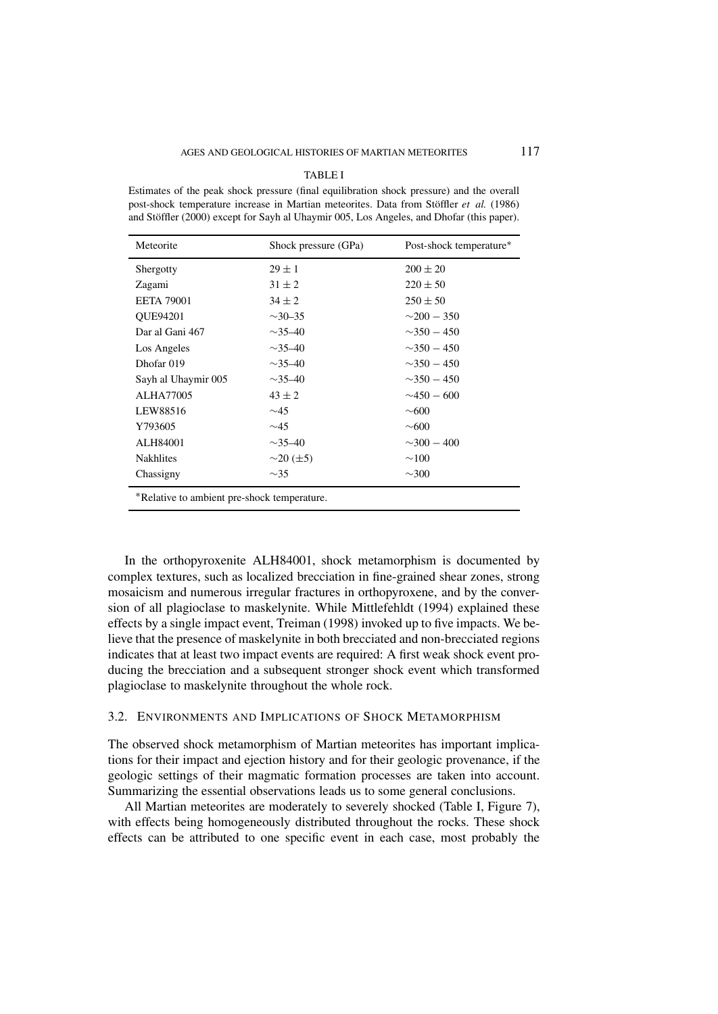#### TABLE I

Estimates of the peak shock pressure (final equilibration shock pressure) and the overall post-shock temperature increase in Martian meteorites. Data from Stöffler *et al.* (1986) and Stöffler (2000) except for Sayh al Uhaymir 005, Los Angeles, and Dhofar (this paper).

| Meteorite                                   | Shock pressure (GPa) | Post-shock temperature* |  |  |  |
|---------------------------------------------|----------------------|-------------------------|--|--|--|
| Shergotty                                   | $29 \pm 1$           | $200 \pm 20$            |  |  |  |
| Zagami                                      | $31 \pm 2$           | $220 \pm 50$            |  |  |  |
| <b>EETA 79001</b>                           | $34 \pm 2$           | $250 \pm 50$            |  |  |  |
| <b>OUE94201</b>                             | $\sim$ 30–35         | $\sim$ 200 - 350        |  |  |  |
| Dar al Gani 467                             | $\sim$ 35–40         | $\sim$ 350 $-$ 450      |  |  |  |
| Los Angeles                                 | $\sim$ 35–40         | $\sim$ 350 $-$ 450      |  |  |  |
| Dhofar 019                                  | $\sim$ 35–40         | $\sim$ 350 $-$ 450      |  |  |  |
| Sayh al Uhaymir 005                         | $\sim$ 35–40         | $\sim$ 350 $-$ 450      |  |  |  |
| ALHA77005                                   | $43 \pm 2$           | $\sim$ 450 - 600        |  |  |  |
| LEW88516                                    | $\sim$ 45            | $\sim 600$              |  |  |  |
| Y793605                                     | $\sim$ 45            | $\sim 600$              |  |  |  |
| ALH84001                                    | $\sim$ 35–40         | $\sim$ 300 $-$ 400      |  |  |  |
| <b>Nakhlites</b>                            | $\sim$ 20 ( $\pm$ 5) | $\sim$ 100              |  |  |  |
| Chassigny                                   | $\sim$ 35            | $\sim$ 300              |  |  |  |
| *Relative to ambient pre-shock temperature. |                      |                         |  |  |  |

In the orthopyroxenite ALH84001, shock metamorphism is documented by complex textures, such as localized brecciation in fine-grained shear zones, strong mosaicism and numerous irregular fractures in orthopyroxene, and by the conversion of all plagioclase to maskelynite. While Mittlefehldt (1994) explained these effects by a single impact event, Treiman (1998) invoked up to five impacts. We believe that the presence of maskelynite in both brecciated and non-brecciated regions indicates that at least two impact events are required: A first weak shock event producing the brecciation and a subsequent stronger shock event which transformed plagioclase to maskelynite throughout the whole rock.

### 3.2. ENVIRONMENTS AND IMPLICATIONS OF SHOCK METAMORPHISM

The observed shock metamorphism of Martian meteorites has important implications for their impact and ejection history and for their geologic provenance, if the geologic settings of their magmatic formation processes are taken into account. Summarizing the essential observations leads us to some general conclusions.

All Martian meteorites are moderately to severely shocked (Table I, Figure 7), with effects being homogeneously distributed throughout the rocks. These shock effects can be attributed to one specific event in each case, most probably the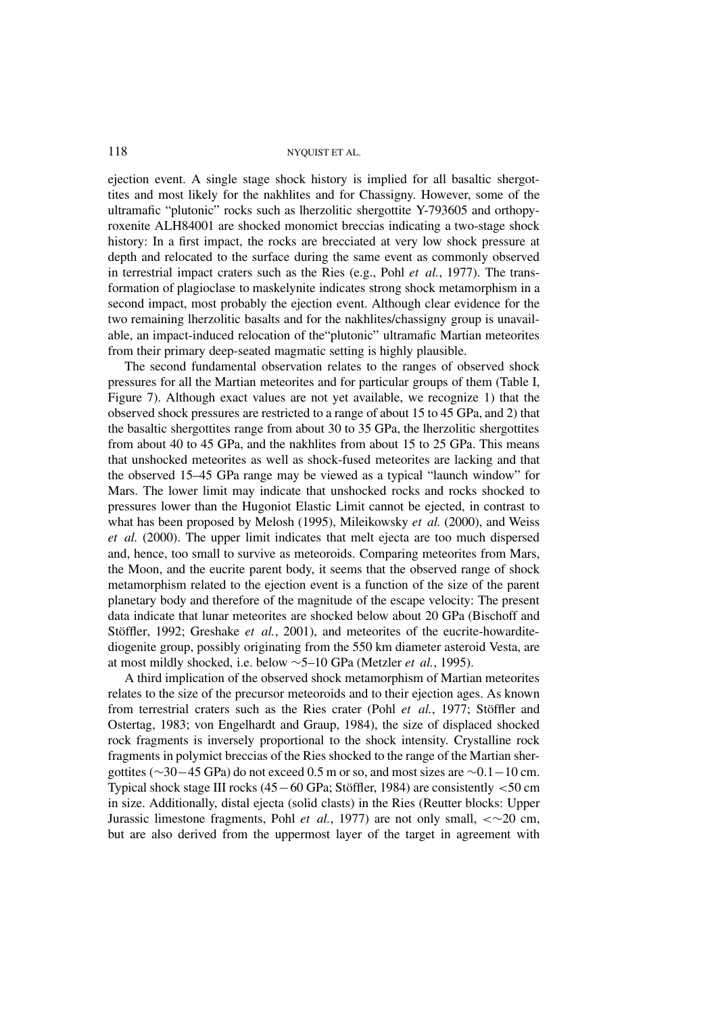ejection event. A single stage shock history is implied for all basaltic shergottites and most likely for the nakhlites and for Chassigny. However, some of the ultramafic "plutonic" rocks such as lherzolitic shergottite Y-793605 and orthopyroxenite ALH84001 are shocked monomict breccias indicating a two-stage shock history: In a first impact, the rocks are brecciated at very low shock pressure at depth and relocated to the surface during the same event as commonly observed in terrestrial impact craters such as the Ries (e.g., Pohl *et al.*, 1977). The transformation of plagioclase to maskelynite indicates strong shock metamorphism in a second impact, most probably the ejection event. Although clear evidence for the two remaining lherzolitic basalts and for the nakhlites/chassigny group is unavailable, an impact-induced relocation of the"plutonic" ultramafic Martian meteorites from their primary deep-seated magmatic setting is highly plausible.

The second fundamental observation relates to the ranges of observed shock pressures for all the Martian meteorites and for particular groups of them (Table I, Figure 7). Although exact values are not yet available, we recognize 1) that the observed shock pressures are restricted to a range of about 15 to 45 GPa, and 2) that the basaltic shergottites range from about 30 to 35 GPa, the lherzolitic shergottites from about 40 to 45 GPa, and the nakhlites from about 15 to 25 GPa. This means that unshocked meteorites as well as shock-fused meteorites are lacking and that the observed 15–45 GPa range may be viewed as a typical "launch window" for Mars. The lower limit may indicate that unshocked rocks and rocks shocked to pressures lower than the Hugoniot Elastic Limit cannot be ejected, in contrast to what has been proposed by Melosh (1995), Mileikowsky *et al.* (2000), and Weiss *et al.* (2000). The upper limit indicates that melt ejecta are too much dispersed and, hence, too small to survive as meteoroids. Comparing meteorites from Mars, the Moon, and the eucrite parent body, it seems that the observed range of shock metamorphism related to the ejection event is a function of the size of the parent planetary body and therefore of the magnitude of the escape velocity: The present data indicate that lunar meteorites are shocked below about 20 GPa (Bischoff and Stöffler, 1992; Greshake *et al.*, 2001), and meteorites of the eucrite-howarditediogenite group, possibly originating from the 550 km diameter asteroid Vesta, are at most mildly shocked, i.e. below ∼5–10 GPa (Metzler *et al.*, 1995).

A third implication of the observed shock metamorphism of Martian meteorites relates to the size of the precursor meteoroids and to their ejection ages. As known from terrestrial craters such as the Ries crater (Pohl *et al.*, 1977; Stöffler and Ostertag, 1983; von Engelhardt and Graup, 1984), the size of displaced shocked rock fragments is inversely proportional to the shock intensity. Crystalline rock fragments in polymict breccias of the Ries shocked to the range of the Martian shergottites ( $\sim$ 30−45 GPa) do not exceed 0.5 m or so, and most sizes are  $\sim$ 0.1−10 cm. Typical shock stage III rocks (45−60 GPa; Stöffler, 1984) are consistently <50 cm in size. Additionally, distal ejecta (solid clasts) in the Ries (Reutter blocks: Upper Jurassic limestone fragments, Pohl *et al.*, 1977) are not only small, <∼20 cm, but are also derived from the uppermost layer of the target in agreement with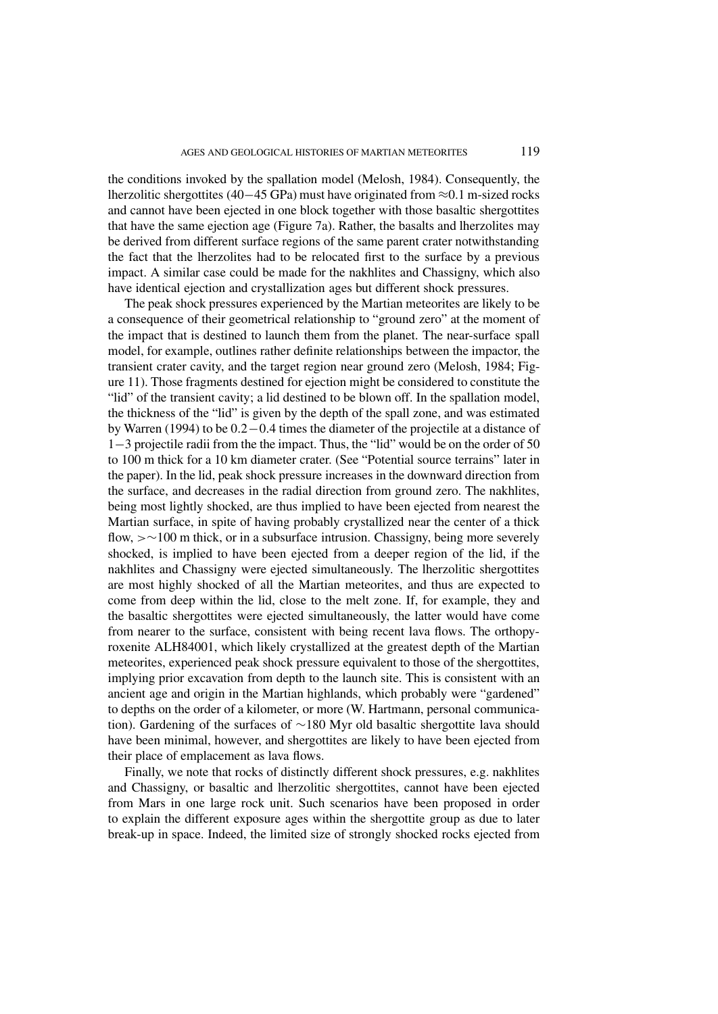the conditions invoked by the spallation model (Melosh, 1984). Consequently, the lherzolitic shergottites (40−45 GPa) must have originated from ≈0.1 m-sized rocks and cannot have been ejected in one block together with those basaltic shergottites that have the same ejection age (Figure 7a). Rather, the basalts and lherzolites may be derived from different surface regions of the same parent crater notwithstanding the fact that the lherzolites had to be relocated first to the surface by a previous impact. A similar case could be made for the nakhlites and Chassigny, which also have identical ejection and crystallization ages but different shock pressures.

The peak shock pressures experienced by the Martian meteorites are likely to be a consequence of their geometrical relationship to "ground zero" at the moment of the impact that is destined to launch them from the planet. The near-surface spall model, for example, outlines rather definite relationships between the impactor, the transient crater cavity, and the target region near ground zero (Melosh, 1984; Figure 11). Those fragments destined for ejection might be considered to constitute the "lid" of the transient cavity; a lid destined to be blown off. In the spallation model, the thickness of the "lid" is given by the depth of the spall zone, and was estimated by Warren (1994) to be 0.2−0.4 times the diameter of the projectile at a distance of 1−3 projectile radii from the the impact. Thus, the "lid" would be on the order of 50 to 100 m thick for a 10 km diameter crater. (See "Potential source terrains" later in the paper). In the lid, peak shock pressure increases in the downward direction from the surface, and decreases in the radial direction from ground zero. The nakhlites, being most lightly shocked, are thus implied to have been ejected from nearest the Martian surface, in spite of having probably crystallized near the center of a thick flow, >∼100 m thick, or in a subsurface intrusion. Chassigny, being more severely shocked, is implied to have been ejected from a deeper region of the lid, if the nakhlites and Chassigny were ejected simultaneously. The lherzolitic shergottites are most highly shocked of all the Martian meteorites, and thus are expected to come from deep within the lid, close to the melt zone. If, for example, they and the basaltic shergottites were ejected simultaneously, the latter would have come from nearer to the surface, consistent with being recent lava flows. The orthopyroxenite ALH84001, which likely crystallized at the greatest depth of the Martian meteorites, experienced peak shock pressure equivalent to those of the shergottites, implying prior excavation from depth to the launch site. This is consistent with an ancient age and origin in the Martian highlands, which probably were "gardened" to depths on the order of a kilometer, or more (W. Hartmann, personal communication). Gardening of the surfaces of ∼180 Myr old basaltic shergottite lava should have been minimal, however, and shergottites are likely to have been ejected from their place of emplacement as lava flows.

Finally, we note that rocks of distinctly different shock pressures, e.g. nakhlites and Chassigny, or basaltic and lherzolitic shergottites, cannot have been ejected from Mars in one large rock unit. Such scenarios have been proposed in order to explain the different exposure ages within the shergottite group as due to later break-up in space. Indeed, the limited size of strongly shocked rocks ejected from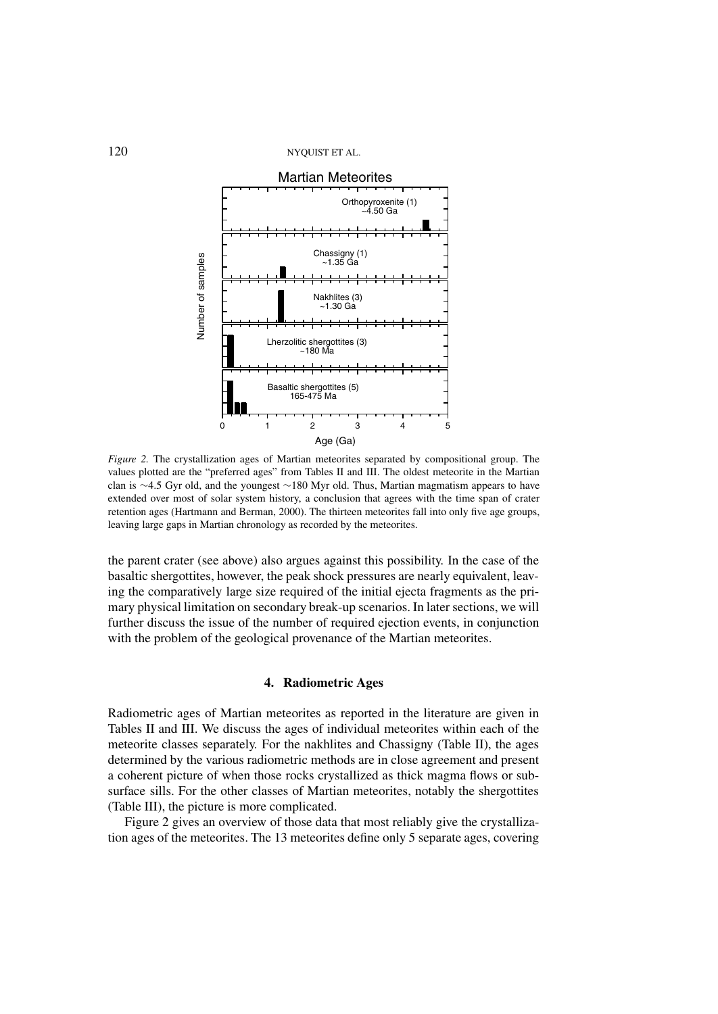

*Figure 2.* The crystallization ages of Martian meteorites separated by compositional group. The values plotted are the "preferred ages" from Tables II and III. The oldest meteorite in the Martian clan is ∼4.5 Gyr old, and the youngest ∼180 Myr old. Thus, Martian magmatism appears to have extended over most of solar system history, a conclusion that agrees with the time span of crater retention ages (Hartmann and Berman, 2000). The thirteen meteorites fall into only five age groups, leaving large gaps in Martian chronology as recorded by the meteorites.

the parent crater (see above) also argues against this possibility. In the case of the basaltic shergottites, however, the peak shock pressures are nearly equivalent, leaving the comparatively large size required of the initial ejecta fragments as the primary physical limitation on secondary break-up scenarios. In later sections, we will further discuss the issue of the number of required ejection events, in conjunction with the problem of the geological provenance of the Martian meteorites.

# **4. Radiometric Ages**

Radiometric ages of Martian meteorites as reported in the literature are given in Tables II and III. We discuss the ages of individual meteorites within each of the meteorite classes separately. For the nakhlites and Chassigny (Table II), the ages determined by the various radiometric methods are in close agreement and present a coherent picture of when those rocks crystallized as thick magma flows or subsurface sills. For the other classes of Martian meteorites, notably the shergottites (Table III), the picture is more complicated.

Figure 2 gives an overview of those data that most reliably give the crystallization ages of the meteorites. The 13 meteorites define only 5 separate ages, covering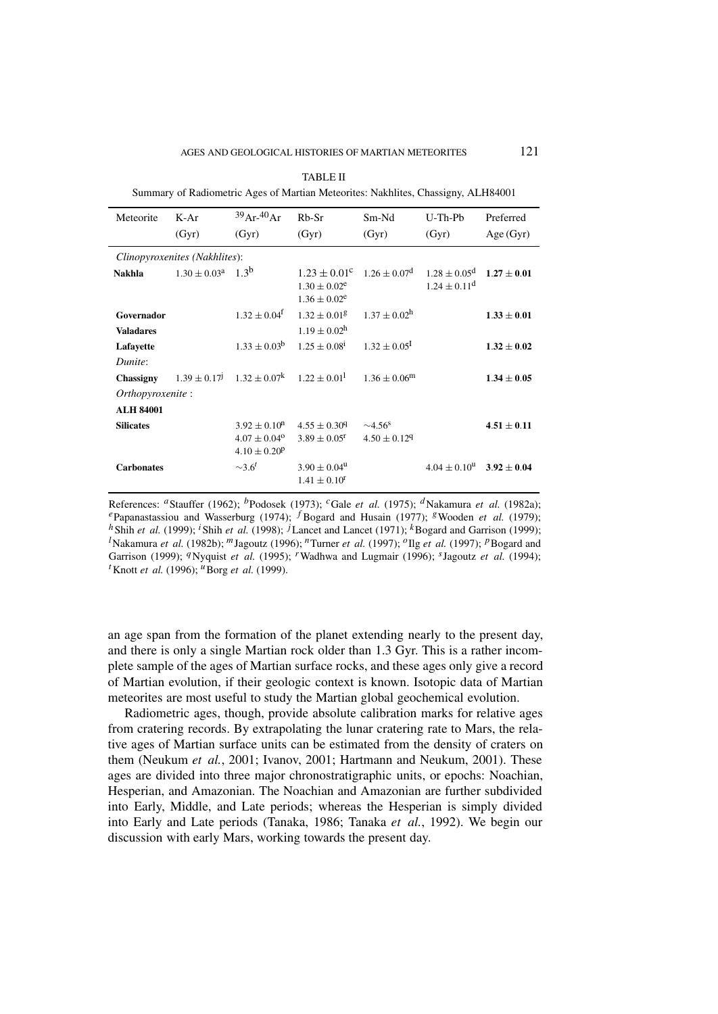| Meteorite                     | $K-Ar$                             | $39$ Ar- $40$ Ar                                                                       | $Rb-Sr$                                                     | Sm-Nd                        | $U$ -Th- $Pb$                                                   | Preferred       |  |
|-------------------------------|------------------------------------|----------------------------------------------------------------------------------------|-------------------------------------------------------------|------------------------------|-----------------------------------------------------------------|-----------------|--|
|                               | (Gyr)                              | (Gyr)                                                                                  | (Gyr)                                                       | (Gyr)                        | (Gyr)                                                           | Age(Gyr)        |  |
| Clinopyroxenites (Nakhlites): |                                    |                                                                                        |                                                             |                              |                                                                 |                 |  |
| <b>Nakhla</b>                 | $1.30 \pm 0.03^a$ 1.3 <sup>b</sup> |                                                                                        | $1.23 \pm 0.01^c$<br>$1.30 \pm 0.02^e$<br>$1.36 \pm 0.02^e$ | $1.26 \pm 0.07^{\rm d}$      | $1.28 \pm 0.05^{\text{d}}$ $1.27 \pm 0.01$<br>$1.24 \pm 0.11^d$ |                 |  |
| Governador                    |                                    | $1.32 \pm 0.04^f$                                                                      | $1.32 \pm 0.01$ g                                           | $1.37 \pm 0.02^{\rm h}$      |                                                                 | $1.33 \pm 0.01$ |  |
| <b>Valadares</b>              |                                    |                                                                                        | $1.19 \pm 0.02^{\rm h}$                                     |                              |                                                                 |                 |  |
| Lafayette                     |                                    | $1.33 \pm 0.03^b$                                                                      | $1.25 \pm 0.08^{\rm i}$                                     | $1.32 \pm 0.05^{\text{I}}$   |                                                                 | $1.32 \pm 0.02$ |  |
| Dunite:                       |                                    |                                                                                        |                                                             |                              |                                                                 |                 |  |
| Chassigny                     |                                    | $1.39 \pm 0.17$ <sup>j</sup> $1.32 \pm 0.07$ <sup>k</sup> $1.22 \pm 0.01$ <sup>l</sup> |                                                             | $1.36 \pm 0.06^{\rm m}$      |                                                                 | $1.34 \pm 0.05$ |  |
| <i>Orthopyroxenite:</i>       |                                    |                                                                                        |                                                             |                              |                                                                 |                 |  |
| <b>ALH 84001</b>              |                                    |                                                                                        |                                                             |                              |                                                                 |                 |  |
| <b>Silicates</b>              |                                    | $3.92 \pm 0.10^{\rm n}$                                                                | $4.55 \pm 0.30^{9}$                                         | $\sim$ 4.56 <sup>s</sup>     |                                                                 | $4.51 \pm 0.11$ |  |
|                               |                                    | $4.07 \pm 0.04^{\circ}$<br>$4.10 \pm 0.20$ <sup>p</sup>                                | $3.89 \pm 0.05^r$                                           | $4.50 \pm 0.12$ <sup>q</sup> |                                                                 |                 |  |
| <b>Carbonates</b>             |                                    | $\sim$ 3.6 <sup>t</sup>                                                                | $3.90 \pm 0.04^{\text{u}}$<br>$1.41 \pm 0.10^r$             |                              | $4.04 \pm 0.10^{\text{u}}$ $3.92 \pm 0.04$                      |                 |  |

TABLE II Summary of Radiometric Ages of Martian Meteorites: Nakhlites, Chassigny, ALH84001

References: <sup>*a*</sup>Stauffer (1962); <sup>*b*</sup>Podosek (1973); <sup>*c*</sup>Gale *et al.* (1975); <sup>*d*</sup>Nakamura *et al.* (1982a); <sup>*e*</sup>Papanastassiou and Wasserburg (1974); *f*<sup>*f*</sup>Bogard and Husain (1977); <sup>*8*</sup>Wooden *et al.* (1979); *<sup>h</sup>*Shih *et al.* (1999); *<sup>i</sup>*Shih *et al.* (1998); *<sup>j</sup>*Lancet and Lancet (1971); *<sup>k</sup>*Bogard and Garrison (1999); <sup>*l*</sup> Nakamura *et al.* (1982b); <sup>*m*</sup> Jagoutz (1996); <sup>*n*</sup> Turner *et al.* (1997); <sup>*o*</sup>Ilg *et al.* (1997); <sup>*p*</sup>Bogard and Garrison (1999); *<sup>q</sup>*Nyquist *et al.* (1995); *<sup>r</sup>*Wadhwa and Lugmair (1996); *<sup>s</sup>*Jagoutz *et al.* (1994); *<sup>t</sup>*Knott *et al.* (1996); *<sup>u</sup>*Borg *et al.* (1999).

an age span from the formation of the planet extending nearly to the present day, and there is only a single Martian rock older than 1.3 Gyr. This is a rather incomplete sample of the ages of Martian surface rocks, and these ages only give a record of Martian evolution, if their geologic context is known. Isotopic data of Martian meteorites are most useful to study the Martian global geochemical evolution.

Radiometric ages, though, provide absolute calibration marks for relative ages from cratering records. By extrapolating the lunar cratering rate to Mars, the relative ages of Martian surface units can be estimated from the density of craters on them (Neukum *et al.*, 2001; Ivanov, 2001; Hartmann and Neukum, 2001). These ages are divided into three major chronostratigraphic units, or epochs: Noachian, Hesperian, and Amazonian. The Noachian and Amazonian are further subdivided into Early, Middle, and Late periods; whereas the Hesperian is simply divided into Early and Late periods (Tanaka, 1986; Tanaka *et al.*, 1992). We begin our discussion with early Mars, working towards the present day.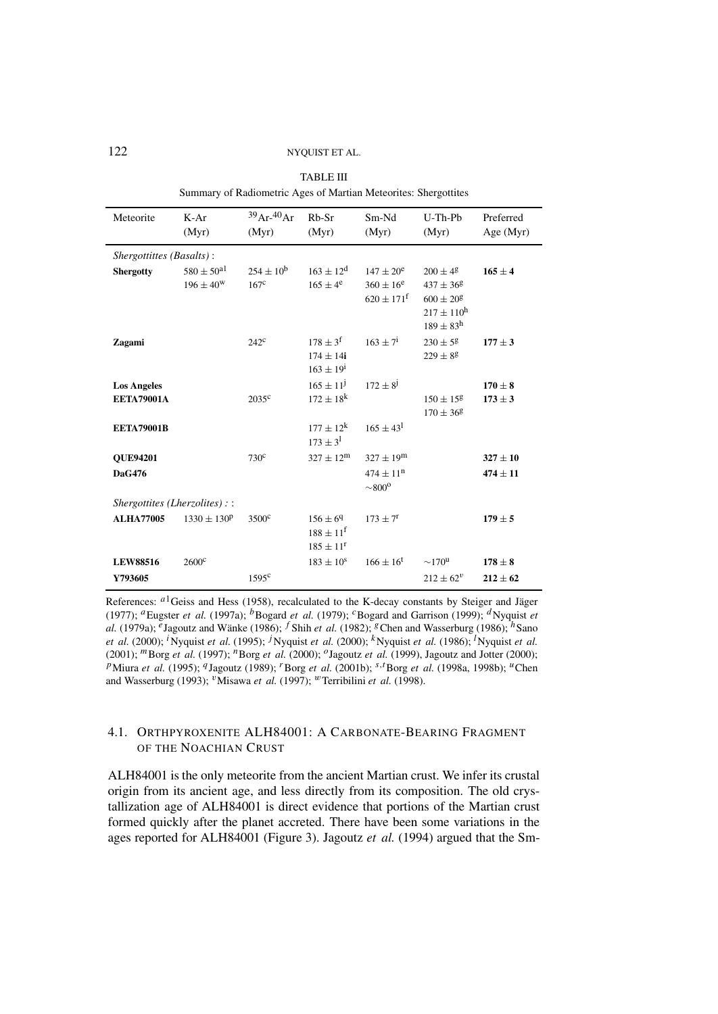|                                         | Summary of Radiometric Ages of Martian Meteorites: Shergottles |                               |                                                      |                                                           |                                                                                                                |                          |  |
|-----------------------------------------|----------------------------------------------------------------|-------------------------------|------------------------------------------------------|-----------------------------------------------------------|----------------------------------------------------------------------------------------------------------------|--------------------------|--|
| Meteorite                               | $K-Ar$<br>(Myr)                                                | $39Ar - 40Ar$<br>(Myr)        | $Rb-Sr$<br>(Myr)                                     | Sm-Nd<br>(Myr)                                            | $U$ -Th- $Pb$<br>(Myr)                                                                                         | Preferred<br>Age $(Myr)$ |  |
| Shergottittes (Basalts):                |                                                                |                               |                                                      |                                                           |                                                                                                                |                          |  |
| <b>Shergotty</b>                        | $580 \pm 50^{a1}$<br>$196 \pm 40^{\rm w}$                      | $254 + 10^b$<br>$167^{\circ}$ | $163 + 12^d$<br>$165 \pm 4^e$                        | $147 \pm 20^e$<br>$360 \pm 16^e$<br>$620 \pm 171^{\rm f}$ | $200 \pm 4^g$<br>$437 \pm 36^{\circ}$<br>$600 \pm 20^{\circ}$<br>$217 \pm 110^{\rm h}$<br>$189 \pm 83^{\rm h}$ | $165 \pm 4$              |  |
| Zagami                                  |                                                                | $242^{\circ}$                 | $178 \pm 3^{f}$<br>$174 \pm 14i$<br>$163 \pm 19^{i}$ | $163 \pm 7^{\rm i}$                                       | $230 \pm 5^{\circ}$<br>$229 \pm 8^g$                                                                           | $177 \pm 3$              |  |
| <b>Los Angeles</b><br><b>EETA79001A</b> |                                                                | 2035c                         | $165 \pm 11^{j}$<br>$172 \pm 18^k$                   | $172 \pm 8^{j}$                                           | $150 \pm 15$ g<br>$170 \pm 36^{\circ}$                                                                         | $170\pm8$<br>$173 \pm 3$ |  |
| <b>EETA79001B</b>                       |                                                                |                               | $177 + 12^k$<br>$173 \pm 3^{\rm l}$                  | $165 \pm 43^{\rm l}$                                      |                                                                                                                |                          |  |
| <b>QUE94201</b>                         |                                                                | 730 <sup>c</sup>              | $327 + 12^m$                                         | $327 \pm 19^{\rm m}$                                      |                                                                                                                | $327 \pm 10$             |  |
| <b>DaG476</b>                           |                                                                |                               |                                                      | $474 \pm 11^{n}$<br>$\sim 800^{\circ}$                    |                                                                                                                | $474 \pm 11$             |  |
| $Shergottites (Lherzolites)$ :          |                                                                |                               |                                                      |                                                           |                                                                                                                |                          |  |
| <b>ALHA77005</b>                        | $1330 \pm 130$ <sup>p</sup>                                    | 3500 <sup>c</sup>             | $156 \pm 69$<br>$188 \pm 11^{f}$<br>$185 \pm 11^{r}$ | $173 \pm 7$ <sup>r</sup>                                  |                                                                                                                | $179 \pm 5$              |  |
| <b>LEW88516</b>                         | $2600^{\circ}$                                                 |                               | $183 \pm 10^{8}$                                     | $166 \pm 16^t$                                            | $\sim$ 170 <sup>u</sup>                                                                                        | $178\pm8$                |  |
| Y793605                                 |                                                                | $1595^{\circ}$                |                                                      |                                                           | $212 \pm 62^v$                                                                                                 | $212 \pm 62$             |  |

TABLE III Summary of Radiometric Ages of Martian Meteorites:Shergottites

References: *<sup>a</sup>*1Geiss and Hess (1958), recalculated to the K-decay constants by Steiger and Jäger (1977);  ${}^a$ Eugster *et al.* (1997a);  ${}^b$ Bogard *et al.* (1979);  ${}^c$ Bogard and Garrison (1999);  ${}^d$ Nyquist *et al.* (1979a); *<sup>e</sup>*Jagoutz and Wänke (1986); *<sup>f</sup>* Shih *et al.* (1982); *<sup>g</sup>*Chen and Wasserburg (1986); *<sup>h</sup>*Sano *et al.* (2000); *<sup>i</sup>*Nyquist *et al.* (1995); *<sup>j</sup>*Nyquist *et al.* (2000); *<sup>k</sup>*Nyquist *et al.* (1986); *<sup>l</sup>* Nyquist *et al.* (2001); *<sup>m</sup>*Borg *et al.* (1997); *<sup>n</sup>*Borg *et al.* (2000); *<sup>o</sup>*Jagoutz *et al.* (1999), Jagoutz and Jotter (2000); *<sup>p</sup>*Miura *et al.* (1995); *<sup>q</sup>* Jagoutz (1989); *<sup>r</sup>*Borg *et al.* (2001b); *<sup>s</sup>*,*<sup>t</sup>* Borg *et al.* (1998a, 1998b); *<sup>u</sup>*Chen and Wasserburg (1993); <sup>v</sup>Misawa *et al.* (1997); <sup>*w*</sup> Terribilini *et al.* (1998).

# 4.1. ORTHPYROXENITE ALH84001:A CARBONATE-BEARING FRAGMENT OF THE NOACHIAN CRUST

ALH84001 is the only meteorite from the ancient Martian crust. We infer its crustal origin from its ancient age, and less directly from its composition. The old crystallization age of ALH84001 is direct evidence that portions of the Martian crust formed quickly after the planet accreted. There have been some variations in the ages reported for ALH84001 (Figure 3). Jagoutz *et al.* (1994) argued that the Sm-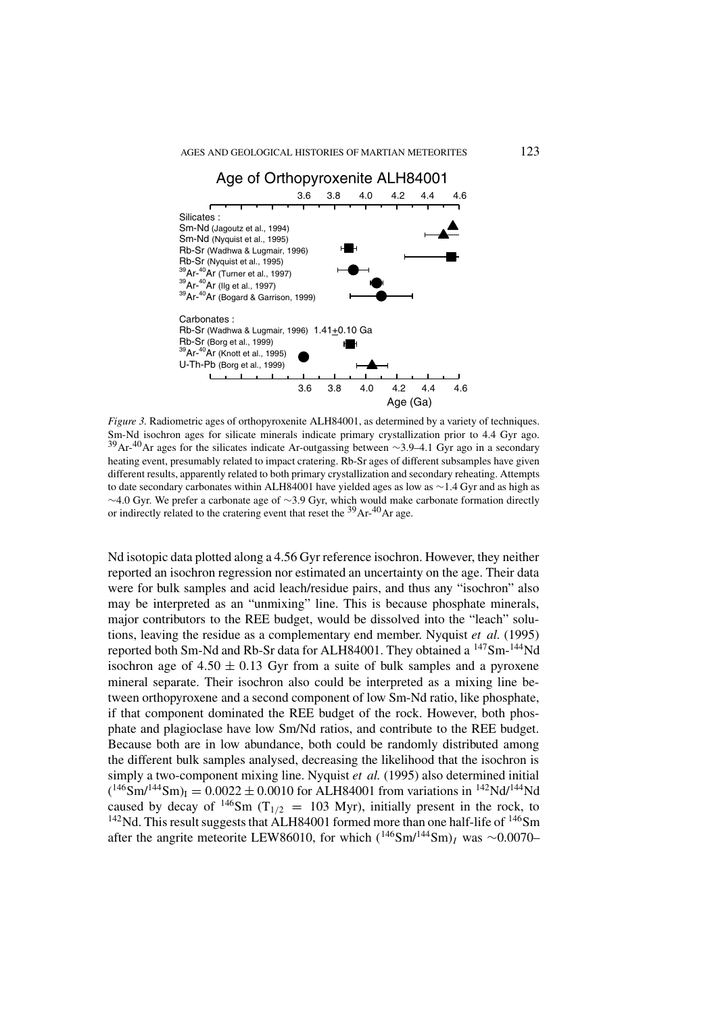

*Figure 3.* Radiometric ages of orthopyroxenite ALH84001, as determined by a variety of techniques. Sm-Nd isochron ages for silicate minerals indicate primary crystallization prior to 4.4 Gyr ago. 39Ar-40Ar ages for the silicates indicate Ar-outgassing between <sup>∼</sup>3.9–4.1 Gyr ago in a secondary heating event, presumably related to impact cratering. Rb-Sr ages of different subsamples have given different results, apparently related to both primary crystallization and secondary reheating. Attempts to date secondary carbonates within ALH84001 have yielded ages as low as ∼1.4 Gyr and as high as  $\sim$ 4.0 Gyr. We prefer a carbonate age of  $\sim$ 3.9 Gyr, which would make carbonate formation directly or indirectly related to the cratering event that reset the 39Ar-40Ar age.

Nd isotopic data plotted along a 4.56 Gyr reference isochron. However, they neither reported an isochron regression nor estimated an uncertainty on the age. Their data were for bulk samples and acid leach/residue pairs, and thus any "isochron" also may be interpreted as an "unmixing" line. This is because phosphate minerals, major contributors to the REE budget, would be dissolved into the "leach" solutions, leaving the residue as a complementary end member. Nyquist *et al.* (1995) reported both Sm-Nd and Rb-Sr data for ALH84001. They obtained a <sup>147</sup>Sm-<sup>144</sup>Nd isochron age of  $4.50 \pm 0.13$  Gyr from a suite of bulk samples and a pyroxene mineral separate. Their isochron also could be interpreted as a mixing line between orthopyroxene and a second component of low Sm-Nd ratio, like phosphate, if that component dominated the REE budget of the rock. However, both phosphate and plagioclase have low Sm/Nd ratios, and contribute to the REE budget. Because both are in low abundance, both could be randomly distributed among the different bulk samples analysed, decreasing the likelihood that the isochron is simply a two-component mixing line. Nyquist *et al.* (1995) also determined initial  $(146\text{Sm}/144\text{Sm})_I = 0.0022 \pm 0.0010$  for ALH84001 from variations in  $142\text{Nd}/144\text{Nd}$ caused by decay of <sup>146</sup>Sm ( $T_{1/2}$  = 103 Myr), initially present in the rock, to  $142$ Nd. This result suggests that ALH84001 formed more than one half-life of  $146$ Sm after the angrite meteorite LEW86010, for which  $(^{146}Sm/^{144}Sm)$ *I* was ∼0.0070–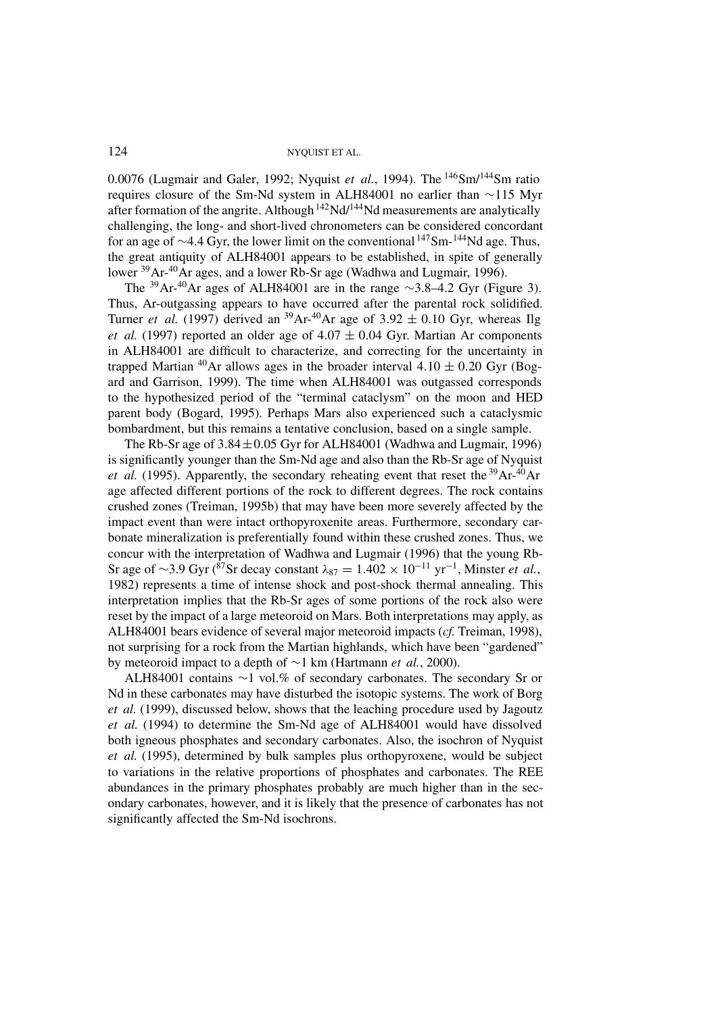0.0076 (Lugmair and Galer, 1992; Nyquist *et al.*, 1994). The 146Sm/144Sm ratio requires closure of the Sm-Nd system in ALH84001 no earlier than ∼115 Myr after formation of the angrite. Although  $142$ Nd/ $144$ Nd measurements are analytically challenging, the long- and short-lived chronometers can be considered concordant for an age of  $\sim$ 4.4 Gyr, the lower limit on the conventional  $147$ Sm- $144$ Nd age. Thus, the great antiquity of ALH84001 appears to be established, in spite of generally lower <sup>39</sup>Ar-<sup>40</sup>Ar ages, and a lower Rb-Sr age (Wadhwa and Lugmair, 1996).

The <sup>39</sup>Ar-<sup>40</sup>Ar ages of ALH84001 are in the range ∼3.8–4.2 Gyr (Figure 3). Thus, Ar-outgassing appears to have occurred after the parental rock solidified. Turner *et al.* (1997) derived an <sup>39</sup>Ar-<sup>40</sup>Ar age of 3.92  $\pm$  0.10 Gyr, whereas Ilg *et al.* (1997) reported an older age of  $4.07 \pm 0.04$  Gyr. Martian Ar components in ALH84001 are difficult to characterize, and correcting for the uncertainty in trapped Martian <sup>40</sup>Ar allows ages in the broader interval  $4.10 \pm 0.20$  Gyr (Bogard and Garrison, 1999). The time when ALH84001 was outgassed corresponds to the hypothesized period of the "terminal cataclysm" on the moon and HED parent body (Bogard, 1995). Perhaps Mars also experienced such a cataclysmic bombardment, but this remains a tentative conclusion, based on a single sample.

The Rb-Sr age of  $3.84 \pm 0.05$  Gyr for ALH84001 (Wadhwa and Lugmair, 1996) is significantly younger than the Sm-Nd age and also than the Rb-Sr age of Nyquist *et al.* (1995). Apparently, the secondary reheating event that reset the  $^{39}Ar^{-40}Ar$ age affected different portions of the rock to different degrees. The rock contains crushed zones (Treiman, 1995b) that may have been more severely affected by the impact event than were intact orthopyroxenite areas. Furthermore, secondary carbonate mineralization is preferentially found within these crushed zones. Thus, we concur with the interpretation of Wadhwa and Lugmair (1996) that the young Rb-Sr age of ~3.9 Gyr (<sup>87</sup>Sr decay constant  $\lambda_{87} = 1.402 \times 10^{-11}$  yr<sup>-1</sup>, Minster *et al.*, 1982) represents a time of intense shock and post-shock thermal annealing. This interpretation implies that the Rb-Sr ages of some portions of the rock also were reset by the impact of a large meteoroid on Mars. Both interpretations may apply, as ALH84001 bears evidence of several major meteoroid impacts (*cf.* Treiman, 1998), not surprising for a rock from the Martian highlands, which have been "gardened" by meteoroid impact to a depth of ∼1 km (Hartmann *et al.*, 2000).

ALH84001 contains ∼1 vol.% of secondary carbonates. The secondary Sr or Nd in these carbonates may have disturbed the isotopic systems. The work of Borg *et al.* (1999), discussed below, shows that the leaching procedure used by Jagoutz *et al.* (1994) to determine the Sm-Nd age of ALH84001 would have dissolved both igneous phosphates and secondary carbonates. Also, the isochron of Nyquist *et al.* (1995), determined by bulk samples plus orthopyroxene, would be subject to variations in the relative proportions of phosphates and carbonates. The REE abundances in the primary phosphates probably are much higher than in the secondary carbonates, however, and it is likely that the presence of carbonates has not significantly affected the Sm-Nd isochrons.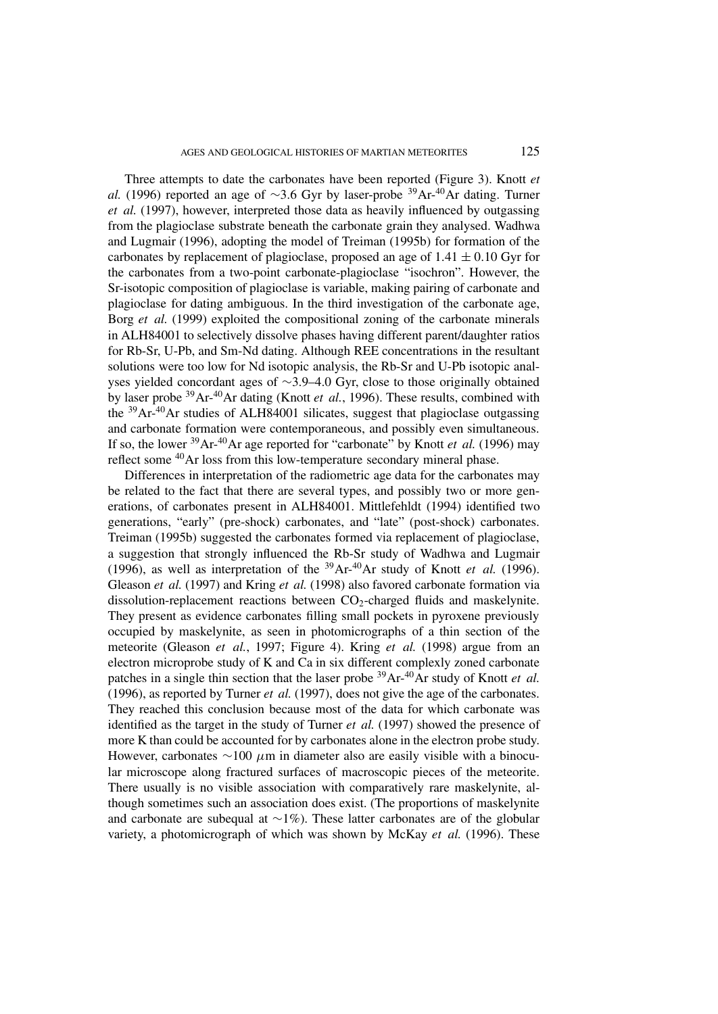Three attempts to date the carbonates have been reported (Figure 3). Knott *et al.* (1996) reported an age of  $\sim$ 3.6 Gyr by laser-probe <sup>39</sup>Ar-<sup>40</sup>Ar dating. Turner *et al.* (1997), however, interpreted those data as heavily influenced by outgassing from the plagioclase substrate beneath the carbonate grain they analysed. Wadhwa and Lugmair (1996), adopting the model of Treiman (1995b) for formation of the carbonates by replacement of plagioclase, proposed an age of  $1.41 \pm 0.10$  Gyr for the carbonates from a two-point carbonate-plagioclase "isochron". However, the Sr-isotopic composition of plagioclase is variable, making pairing of carbonate and plagioclase for dating ambiguous. In the third investigation of the carbonate age, Borg *et al.* (1999) exploited the compositional zoning of the carbonate minerals in ALH84001 to selectively dissolve phases having different parent/daughter ratios for Rb-Sr, U-Pb, and Sm-Nd dating. Although REE concentrations in the resultant solutions were too low for Nd isotopic analysis, the Rb-Sr and U-Pb isotopic analyses yielded concordant ages of ∼3.9–4.0 Gyr, close to those originally obtained by laser probe 39Ar-40Ar dating (Knott *et al.*, 1996). These results, combined with the  $39$ Ar- $40$ Ar studies of ALH84001 silicates, suggest that plagioclase outgassing and carbonate formation were contemporaneous, and possibly even simultaneous. If so, the lower 39Ar-40Ar age reported for "carbonate" by Knott *et al.* (1996) may reflect some <sup>40</sup>Ar loss from this low-temperature secondary mineral phase.

Differences in interpretation of the radiometric age data for the carbonates may be related to the fact that there are several types, and possibly two or more generations, of carbonates present in ALH84001. Mittlefehldt (1994) identified two generations, "early" (pre-shock) carbonates, and "late" (post-shock) carbonates. Treiman (1995b) suggested the carbonates formed via replacement of plagioclase, a suggestion that strongly influenced the Rb-Sr study of Wadhwa and Lugmair (1996), as well as interpretation of the  $39Ar-40Ar$  study of Knott *et al.* (1996). Gleason *et al.* (1997) and Kring *et al.* (1998) also favored carbonate formation via dissolution-replacement reactions between  $CO<sub>2</sub>$ -charged fluids and maskelynite. They present as evidence carbonates filling small pockets in pyroxene previously occupied by maskelynite, as seen in photomicrographs of a thin section of the meteorite (Gleason *et al.*, 1997; Figure 4). Kring *et al.* (1998) argue from an electron microprobe study of K and Ca in six different complexly zoned carbonate patches in a single thin section that the laser probe 39Ar-40Ar study of Knott *et al.* (1996), as reported by Turner *et al.* (1997), does not give the age of the carbonates. They reached this conclusion because most of the data for which carbonate was identified as the target in the study of Turner *et al.* (1997) showed the presence of more K than could be accounted for by carbonates alone in the electron probe study. However, carbonates  $\sim$ 100  $\mu$ m in diameter also are easily visible with a binocular microscope along fractured surfaces of macroscopic pieces of the meteorite. There usually is no visible association with comparatively rare maskelynite, although sometimes such an association does exist. (The proportions of maskelynite and carbonate are subequal at ∼1%). These latter carbonates are of the globular variety, a photomicrograph of which was shown by McKay *et al.* (1996). These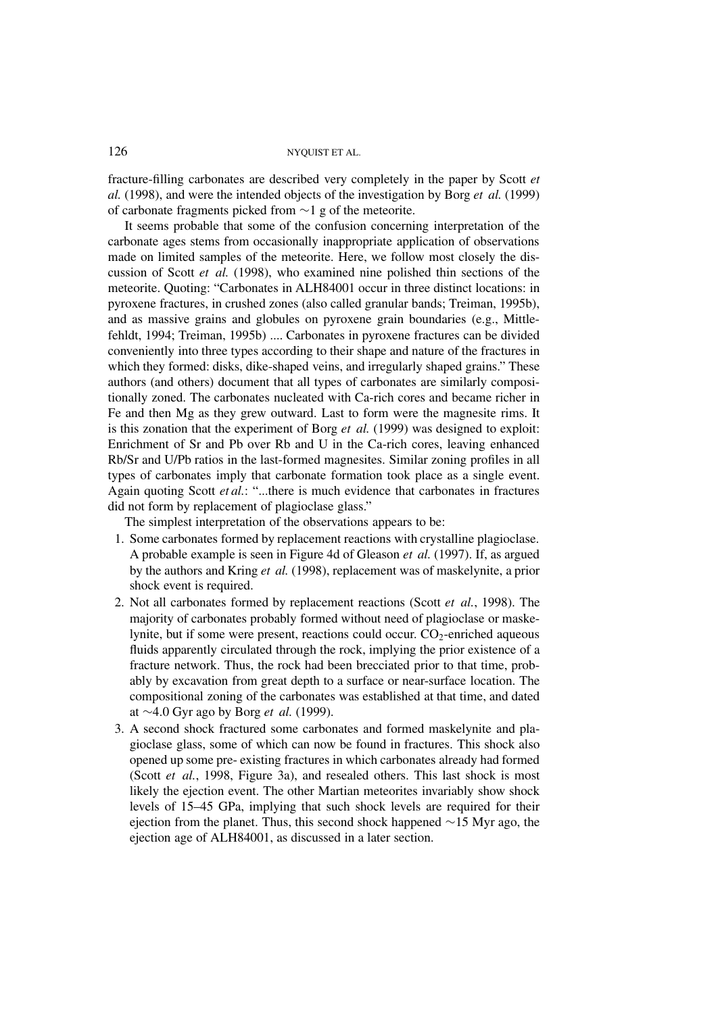fracture-filling carbonates are described very completely in the paper by Scott *et al.* (1998), and were the intended objects of the investigation by Borg *et al.* (1999) of carbonate fragments picked from ∼1 g of the meteorite.

It seems probable that some of the confusion concerning interpretation of the carbonate ages stems from occasionally inappropriate application of observations made on limited samples of the meteorite. Here, we follow most closely the discussion of Scott *et al.* (1998), who examined nine polished thin sections of the meteorite. Quoting: "Carbonates in ALH84001 occur in three distinct locations: in pyroxene fractures, in crushed zones (also called granular bands; Treiman, 1995b), and as massive grains and globules on pyroxene grain boundaries (e.g., Mittlefehldt, 1994; Treiman, 1995b) .... Carbonates in pyroxene fractures can be divided conveniently into three types according to their shape and nature of the fractures in which they formed: disks, dike-shaped veins, and irregularly shaped grains." These authors (and others) document that all types of carbonates are similarly compositionally zoned. The carbonates nucleated with Ca-rich cores and became richer in Fe and then Mg as they grew outward. Last to form were the magnesite rims. It is this zonation that the experiment of Borg *et al.* (1999) was designed to exploit: Enrichment of Sr and Pb over Rb and U in the Ca-rich cores, leaving enhanced Rb/Sr and U/Pb ratios in the last-formed magnesites. Similar zoning profiles in all types of carbonates imply that carbonate formation took place as a single event. Again quoting Scott *et al.*: "...there is much evidence that carbonates in fractures did not form by replacement of plagioclase glass."

The simplest interpretation of the observations appears to be:

- 1. Some carbonates formed by replacement reactions with crystalline plagioclase. A probable example is seen in Figure 4d of Gleason *et al.* (1997). If, as argued by the authors and Kring *et al.* (1998), replacement was of maskelynite, a prior shock event is required.
- 2. Not all carbonates formed by replacement reactions (Scott *et al.*, 1998). The majority of carbonates probably formed without need of plagioclase or maskelynite, but if some were present, reactions could occur.  $CO<sub>2</sub>$ -enriched aqueous fluids apparently circulated through the rock, implying the prior existence of a fracture network. Thus, the rock had been brecciated prior to that time, probably by excavation from great depth to a surface or near-surface location. The compositional zoning of the carbonates was established at that time, and dated at ∼4.0 Gyr ago by Borg *et al.* (1999).
- 3. A second shock fractured some carbonates and formed maskelynite and plagioclase glass, some of which can now be found in fractures. This shock also opened up some pre- existing fractures in which carbonates already had formed (Scott *et al.*, 1998, Figure 3a), and resealed others. This last shock is most likely the ejection event. The other Martian meteorites invariably show shock levels of 15–45 GPa, implying that such shock levels are required for their ejection from the planet. Thus, this second shock happened ∼15 Myr ago, the ejection age of ALH84001, as discussed in a later section.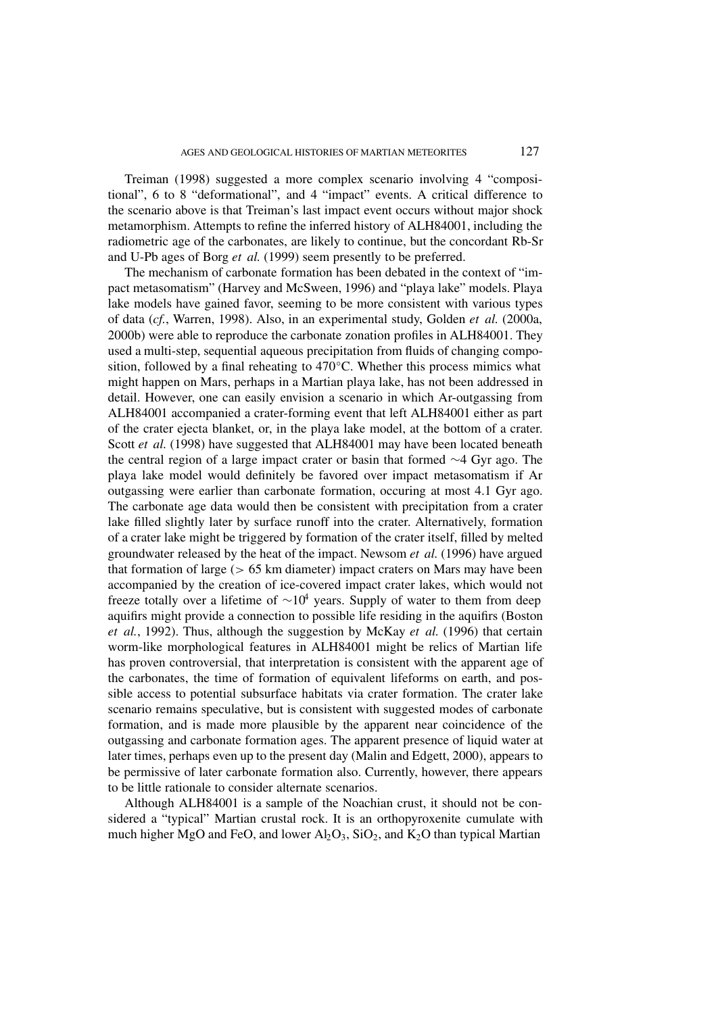Treiman (1998) suggested a more complex scenario involving 4 "compositional", 6 to 8 "deformational", and 4 "impact" events. A critical difference to the scenario above is that Treiman's last impact event occurs without major shock metamorphism. Attempts to refine the inferred history of ALH84001, including the radiometric age of the carbonates, are likely to continue, but the concordant Rb-Sr and U-Pb ages of Borg *et al.* (1999) seem presently to be preferred.

The mechanism of carbonate formation has been debated in the context of "impact metasomatism" (Harvey and McSween, 1996) and "playa lake" models. Playa lake models have gained favor, seeming to be more consistent with various types of data (*cf.*, Warren, 1998). Also, in an experimental study, Golden *et al.* (2000a, 2000b) were able to reproduce the carbonate zonation profiles in ALH84001. They used a multi-step, sequential aqueous precipitation from fluids of changing composition, followed by a final reheating to  $470^{\circ}$ C. Whether this process mimics what might happen on Mars, perhaps in a Martian playa lake, has not been addressed in detail. However, one can easily envision a scenario in which Ar-outgassing from ALH84001 accompanied a crater-forming event that left ALH84001 either as part of the crater ejecta blanket, or, in the playa lake model, at the bottom of a crater. Scott *et al.* (1998) have suggested that ALH84001 may have been located beneath the central region of a large impact crater or basin that formed ∼4 Gyr ago. The playa lake model would definitely be favored over impact metasomatism if Ar outgassing were earlier than carbonate formation, occuring at most 4.1 Gyr ago. The carbonate age data would then be consistent with precipitation from a crater lake filled slightly later by surface runoff into the crater. Alternatively, formation of a crater lake might be triggered by formation of the crater itself, filled by melted groundwater released by the heat of the impact. Newsom *et al.* (1996) have argued that formation of large  $(> 65 \text{ km diameter})$  impact craters on Mars may have been accompanied by the creation of ice-covered impact crater lakes, which would not freeze totally over a lifetime of  $\sim 10^4$  years. Supply of water to them from deep aquifirs might provide a connection to possible life residing in the aquifirs (Boston *et al.*, 1992). Thus, although the suggestion by McKay *et al.* (1996) that certain worm-like morphological features in ALH84001 might be relics of Martian life has proven controversial, that interpretation is consistent with the apparent age of the carbonates, the time of formation of equivalent lifeforms on earth, and possible access to potential subsurface habitats via crater formation. The crater lake scenario remains speculative, but is consistent with suggested modes of carbonate formation, and is made more plausible by the apparent near coincidence of the outgassing and carbonate formation ages. The apparent presence of liquid water at later times, perhaps even up to the present day (Malin and Edgett, 2000), appears to be permissive of later carbonate formation also. Currently, however, there appears to be little rationale to consider alternate scenarios.

Although ALH84001 is a sample of the Noachian crust, it should not be considered a "typical" Martian crustal rock. It is an orthopyroxenite cumulate with much higher MgO and FeO, and lower  $\text{Al}_2\text{O}_3$ ,  $\text{SiO}_2$ , and  $\text{K}_2\text{O}$  than typical Martian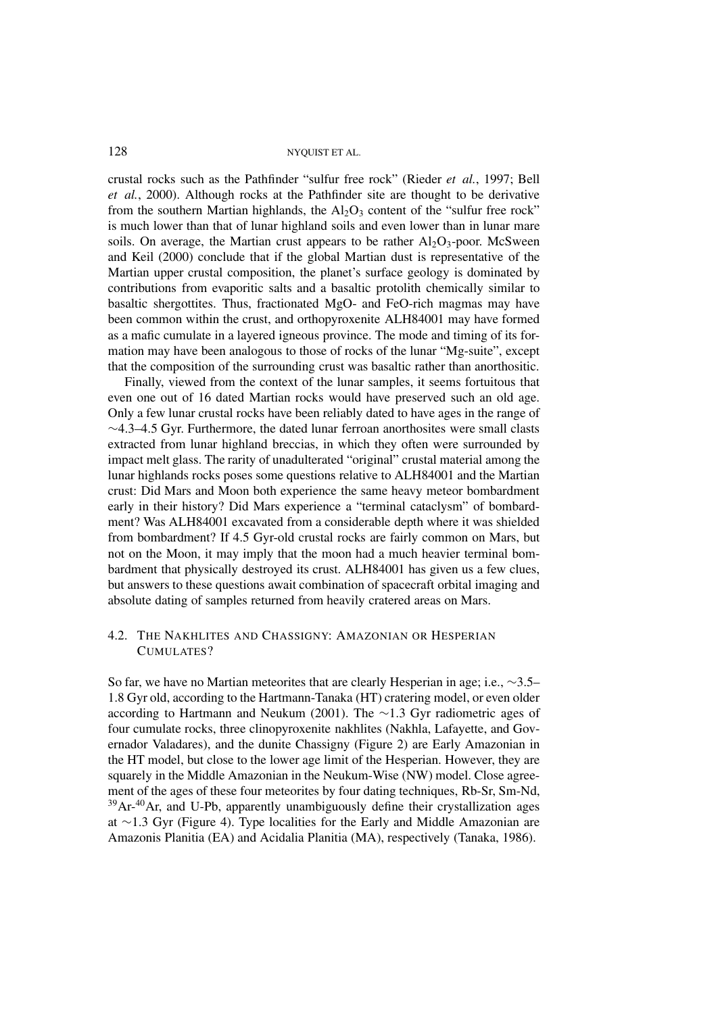crustal rocks such as the Pathfinder "sulfur free rock" (Rieder *et al.*, 1997; Bell *et al.*, 2000). Although rocks at the Pathfinder site are thought to be derivative from the southern Martian highlands, the  $Al_2O_3$  content of the "sulfur free rock" is much lower than that of lunar highland soils and even lower than in lunar mare soils. On average, the Martian crust appears to be rather  $Al_2O_3$ -poor. McSween and Keil (2000) conclude that if the global Martian dust is representative of the Martian upper crustal composition, the planet's surface geology is dominated by contributions from evaporitic salts and a basaltic protolith chemically similar to basaltic shergottites. Thus, fractionated MgO- and FeO-rich magmas may have been common within the crust, and orthopyroxenite ALH84001 may have formed as a mafic cumulate in a layered igneous province. The mode and timing of its formation may have been analogous to those of rocks of the lunar "Mg-suite", except that the composition of the surrounding crust was basaltic rather than anorthositic.

Finally, viewed from the context of the lunar samples, it seems fortuitous that even one out of 16 dated Martian rocks would have preserved such an old age. Only a few lunar crustal rocks have been reliably dated to have ages in the range of ∼4.3–4.5 Gyr. Furthermore, the dated lunar ferroan anorthosites were small clasts extracted from lunar highland breccias, in which they often were surrounded by impact melt glass. The rarity of unadulterated "original" crustal material among the lunar highlands rocks poses some questions relative to ALH84001 and the Martian crust: Did Mars and Moon both experience the same heavy meteor bombardment early in their history? Did Mars experience a "terminal cataclysm" of bombardment? Was ALH84001 excavated from a considerable depth where it was shielded from bombardment? If 4.5 Gyr-old crustal rocks are fairly common on Mars, but not on the Moon, it may imply that the moon had a much heavier terminal bombardment that physically destroyed its crust. ALH84001 has given us a few clues, but answers to these questions await combination of spacecraft orbital imaging and absolute dating of samples returned from heavily cratered areas on Mars.

# 4.2. THE NAKHLITES AND CHASSIGNY: AMAZONIAN OR HESPERIAN CUMULATES?

So far, we have no Martian meteorites that are clearly Hesperian in age; i.e., ∼3.5– 1.8 Gyr old, according to the Hartmann-Tanaka (HT) cratering model, or even older according to Hartmann and Neukum (2001). The ∼1.3 Gyr radiometric ages of four cumulate rocks, three clinopyroxenite nakhlites (Nakhla, Lafayette, and Governador Valadares), and the dunite Chassigny (Figure 2) are Early Amazonian in the HT model, but close to the lower age limit of the Hesperian. However, they are squarely in the Middle Amazonian in the Neukum-Wise (NW) model. Close agreement of the ages of these four meteorites by four dating techniques, Rb-Sr, Sm-Nd,  $39Ar-40Ar$ , and U-Pb, apparently unambiguously define their crystallization ages at ∼1.3 Gyr (Figure 4). Type localities for the Early and Middle Amazonian are Amazonis Planitia (EA) and Acidalia Planitia (MA), respectively (Tanaka, 1986).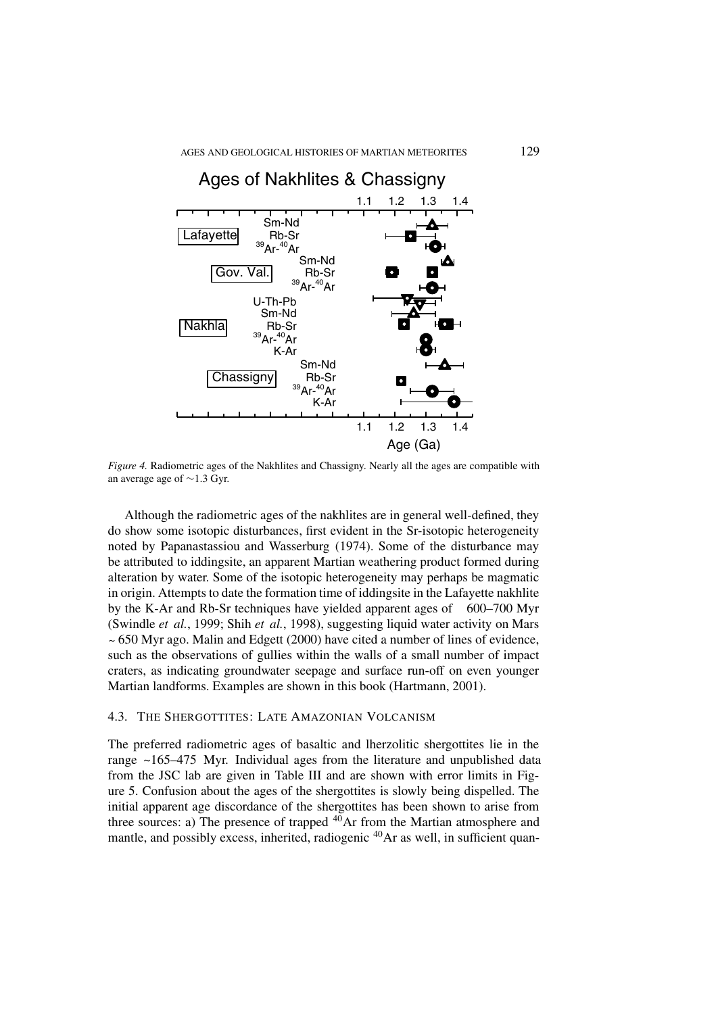

*Figure 4.* Radiometric ages of the Nakhlites and Chassigny. Nearly all the ages are compatible with an average age of ∼1.3 Gyr.

Although the radiometric ages of the nakhlites are in general well-defined, they do show some isotopic disturbances, first evident in the Sr-isotopic heterogeneity noted by Papanastassiou and Wasserburg (1974). Some of the disturbance may be attributed to iddingsite, an apparent Martian weathering product formed during alteration by water. Some of the isotopic heterogeneity may perhaps be magmatic in origin. Attempts to date the formation time of iddingsite in the Lafayette nakhlite by the K-Ar and Rb-Sr techniques have yielded apparent ages of 600–700 Myr (Swindle *et al.*, 1999; Shih *et al.*, 1998), suggesting liquid water activity on Mars  $\sim$  650 Myr ago. Malin and Edgett (2000) have cited a number of lines of evidence, such as the observations of gullies within the walls of a small number of impact craters, as indicating groundwater seepage and surface run-off on even younger Martian landforms. Examples are shown in this book (Hartmann, 2001).

# 4.3. THE SHERGOTTITES: LATE AMAZONIAN VOLCANISM

The preferred radiometric ages of basaltic and lherzolitic shergottites lie in the range  $\sim$ 165–475 Myr. Individual ages from the literature and unpublished data from the JSC lab are given in Table III and are shown with error limits in Figure 5. Confusion about the ages of the shergottites is slowly being dispelled. The initial apparent age discordance of the shergottites has been shown to arise from three sources: a) The presence of trapped  $40$ Ar from the Martian atmosphere and mantle, and possibly excess, inherited, radiogenic <sup>40</sup>Ar as well, in sufficient quan-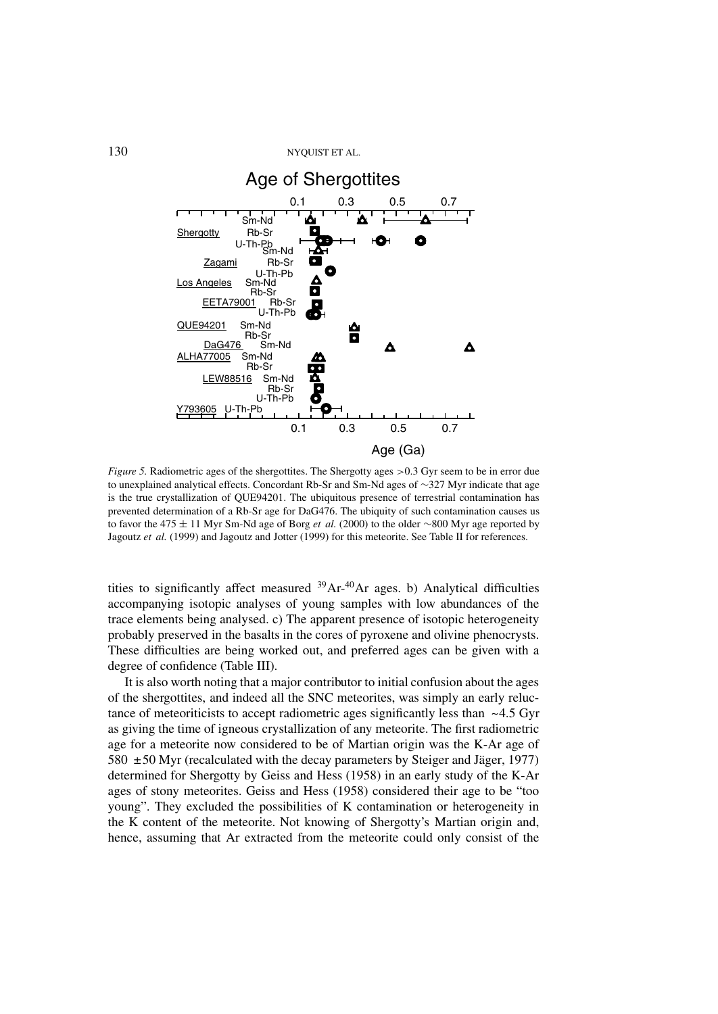

*Figure 5.* Radiometric ages of the shergottites. The Shergotty ages >0.3 Gyr seem to be in error due to unexplained analytical effects. Concordant Rb-Sr and Sm-Nd ages of ∼327 Myr indicate that age is the true crystallization of QUE94201. The ubiquitous presence of terrestrial contamination has prevented determination of a Rb-Sr age for DaG476. The ubiquity of such contamination causes us to favor the 475 ± 11 Myr Sm-Nd age of Borg *et al.* (2000) to the older ∼800 Myr age reported by Jagoutz *et al.* (1999) and Jagoutz and Jotter (1999) for this meteorite. See Table II for references.

tities to significantly affect measured  $39Ar^{-40}Ar$  ages. b) Analytical difficulties accompanying isotopic analyses of young samples with low abundances of the trace elements being analysed. c) The apparent presence of isotopic heterogeneity probably preserved in the basalts in the cores of pyroxene and olivine phenocrysts. These difficulties are being worked out, and preferred ages can be given with a degree of confidence (Table III).

It is also worth noting that a major contributor to initial confusion about the ages of the shergottites, and indeed all the SNC meteorites, was simply an early reluctance of meteoriticists to accept radiometric ages significantly less than  $~24.5$  Gyr as giving the time of igneous crystallization of any meteorite. The first radiometric age for a meteorite now considered to be of Martian origin was the K-Ar age of  $580 \pm 50$  Myr (recalculated with the decay parameters by Steiger and Jäger, 1977) determined for Shergotty by Geiss and Hess (1958) in an early study of the K-Ar ages of stony meteorites. Geiss and Hess (1958) considered their age to be "too young". They excluded the possibilities of K contamination or heterogeneity in the K content of the meteorite. Not knowing of Shergotty's Martian origin and, hence, assuming that Ar extracted from the meteorite could only consist of the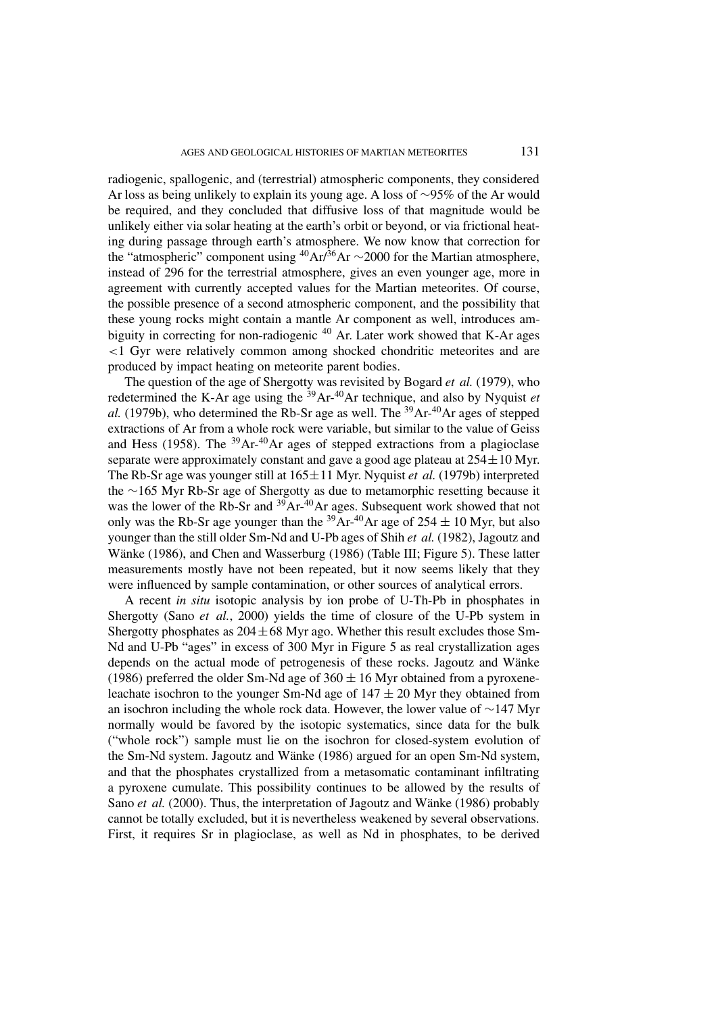radiogenic, spallogenic, and (terrestrial) atmospheric components, they considered Ar loss as being unlikely to explain its young age. A loss of ∼95% of the Ar would be required, and they concluded that diffusive loss of that magnitude would be unlikely either via solar heating at the earth's orbit or beyond, or via frictional heating during passage through earth's atmosphere. We now know that correction for the "atmospheric" component using 40Ar/36Ar ∼2000 for the Martian atmosphere, instead of 296 for the terrestrial atmosphere, gives an even younger age, more in agreement with currently accepted values for the Martian meteorites. Of course, the possible presence of a second atmospheric component, and the possibility that these young rocks might contain a mantle Ar component as well, introduces ambiguity in correcting for non-radiogenic  $40$  Ar. Later work showed that K-Ar ages <1 Gyr were relatively common among shocked chondritic meteorites and are produced by impact heating on meteorite parent bodies.

The question of the age of Shergotty was revisited by Bogard *et al.* (1979), who redetermined the K-Ar age using the  $39$ Ar- $40$ Ar technique, and also by Nyquist *et al.* (1979b), who determined the Rb-Sr age as well. The <sup>39</sup>Ar-<sup>40</sup>Ar ages of stepped extractions of Ar from a whole rock were variable, but similar to the value of Geiss and Hess (1958). The  $39Ar^{-40}Ar$  ages of stepped extractions from a plagioclase separate were approximately constant and gave a good age plateau at  $254 \pm 10$  Myr. The Rb-Sr age was younger still at 165±11 Myr. Nyquist *et al.* (1979b) interpreted the ∼165 Myr Rb-Sr age of Shergotty as due to metamorphic resetting because it was the lower of the Rb-Sr and <sup>39</sup>Ar-<sup>40</sup>Ar ages. Subsequent work showed that not only was the Rb-Sr age younger than the <sup>39</sup>Ar-<sup>40</sup>Ar age of 254  $\pm$  10 Myr, but also younger than the still older Sm-Nd and U-Pb ages of Shih *et al.* (1982), Jagoutz and Wänke (1986), and Chen and Wasserburg (1986) (Table III; Figure 5). These latter measurements mostly have not been repeated, but it now seems likely that they were influenced by sample contamination, or other sources of analytical errors.

A recent *in situ* isotopic analysis by ion probe of U-Th-Pb in phosphates in Shergotty (Sano *et al.*, 2000) yields the time of closure of the U-Pb system in Shergotty phosphates as  $204 \pm 68$  Myr ago. Whether this result excludes those Sm-Nd and U-Pb "ages" in excess of 300 Myr in Figure 5 as real crystallization ages depends on the actual mode of petrogenesis of these rocks. Jagoutz and Wänke (1986) preferred the older Sm-Nd age of  $360 \pm 16$  Myr obtained from a pyroxeneleachate isochron to the younger Sm-Nd age of  $147 \pm 20$  Myr they obtained from an isochron including the whole rock data. However, the lower value of ∼147 Myr normally would be favored by the isotopic systematics, since data for the bulk ("whole rock") sample must lie on the isochron for closed-system evolution of the Sm-Nd system. Jagoutz and Wänke (1986) argued for an open Sm-Nd system, and that the phosphates crystallized from a metasomatic contaminant infiltrating a pyroxene cumulate. This possibility continues to be allowed by the results of Sano *et al.* (2000). Thus, the interpretation of Jagoutz and Wänke (1986) probably cannot be totally excluded, but it is nevertheless weakened by several observations. First, it requires Sr in plagioclase, as well as Nd in phosphates, to be derived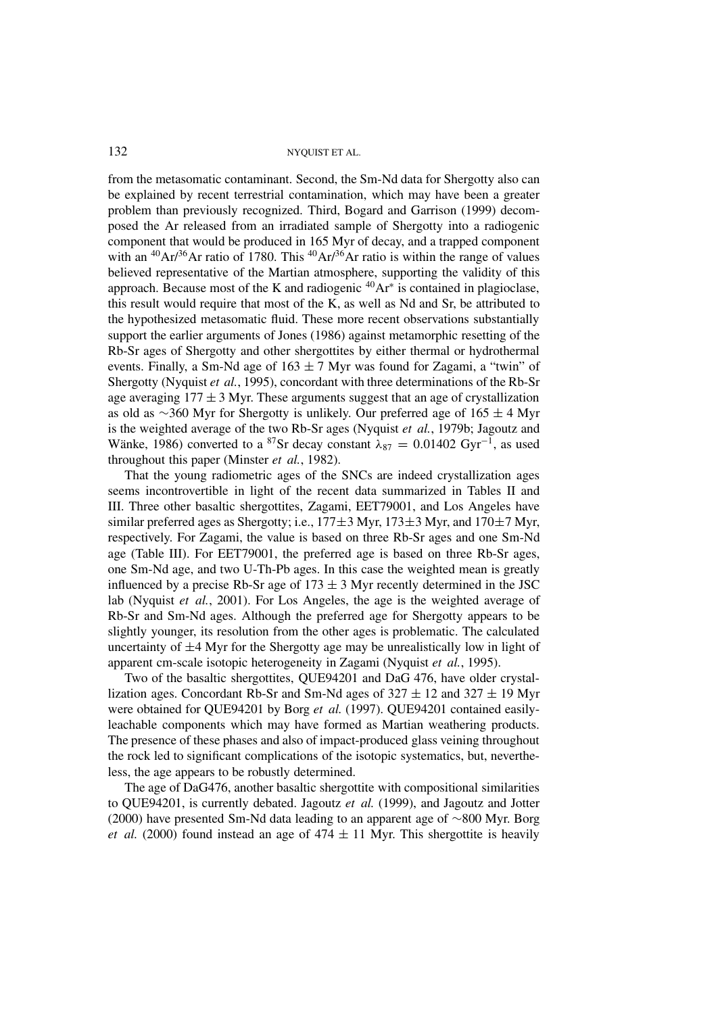from the metasomatic contaminant. Second, the Sm-Nd data for Shergotty also can be explained by recent terrestrial contamination, which may have been a greater problem than previously recognized. Third, Bogard and Garrison (1999) decomposed the Ar released from an irradiated sample of Shergotty into a radiogenic component that would be produced in 165 Myr of decay, and a trapped component with an  $^{40}Ar/^{36}Ar$  ratio of 1780. This  $^{40}Ar/^{36}Ar$  ratio is within the range of values believed representative of the Martian atmosphere, supporting the validity of this approach. Because most of the K and radiogenic  $40Ar^*$  is contained in plagioclase, this result would require that most of the K, as well as Nd and Sr, be attributed to the hypothesized metasomatic fluid. These more recent observations substantially support the earlier arguments of Jones (1986) against metamorphic resetting of the Rb-Sr ages of Shergotty and other shergottites by either thermal or hydrothermal events. Finally, a Sm-Nd age of  $163 \pm 7$  Myr was found for Zagami, a "twin" of Shergotty (Nyquist *et al.*, 1995), concordant with three determinations of the Rb-Sr age averaging  $177 \pm 3$  Myr. These arguments suggest that an age of crystallization as old as ∼360 Myr for Shergotty is unlikely. Our preferred age of  $165 \pm 4$  Myr is the weighted average of the two Rb-Sr ages (Nyquist *et al.*, 1979b; Jagoutz and Wänke, 1986) converted to a <sup>87</sup>Sr decay constant  $\lambda_{87} = 0.01402 \text{ Gyr}^{-1}$ , as used throughout this paper (Minster *et al.*, 1982).

That the young radiometric ages of the SNCs are indeed crystallization ages seems incontrovertible in light of the recent data summarized in Tables II and III. Three other basaltic shergottites, Zagami, EET79001, and Los Angeles have similar preferred ages as Shergotty; i.e.,  $177 \pm 3$  Myr,  $173 \pm 3$  Myr, and  $170 \pm 7$  Myr, respectively. For Zagami, the value is based on three Rb-Sr ages and one Sm-Nd age (Table III). For EET79001, the preferred age is based on three Rb-Sr ages, one Sm-Nd age, and two U-Th-Pb ages. In this case the weighted mean is greatly influenced by a precise Rb-Sr age of  $173 \pm 3$  Myr recently determined in the JSC lab (Nyquist *et al.*, 2001). For Los Angeles, the age is the weighted average of Rb-Sr and Sm-Nd ages. Although the preferred age for Shergotty appears to be slightly younger, its resolution from the other ages is problematic. The calculated uncertainty of  $\pm 4$  Myr for the Shergotty age may be unrealistically low in light of apparent cm-scale isotopic heterogeneity in Zagami (Nyquist *et al.*, 1995).

Two of the basaltic shergottites, QUE94201 and DaG 476, have older crystallization ages. Concordant Rb-Sr and Sm-Nd ages of  $327 \pm 12$  and  $327 \pm 19$  Myr were obtained for QUE94201 by Borg *et al.* (1997). QUE94201 contained easilyleachable components which may have formed as Martian weathering products. The presence of these phases and also of impact-produced glass veining throughout the rock led to significant complications of the isotopic systematics, but, nevertheless, the age appears to be robustly determined.

The age of DaG476, another basaltic shergottite with compositional similarities to QUE94201, is currently debated. Jagoutz *et al.* (1999), and Jagoutz and Jotter (2000) have presented Sm-Nd data leading to an apparent age of ∼800 Myr. Borg *et al.* (2000) found instead an age of  $474 \pm 11$  Myr. This shergottite is heavily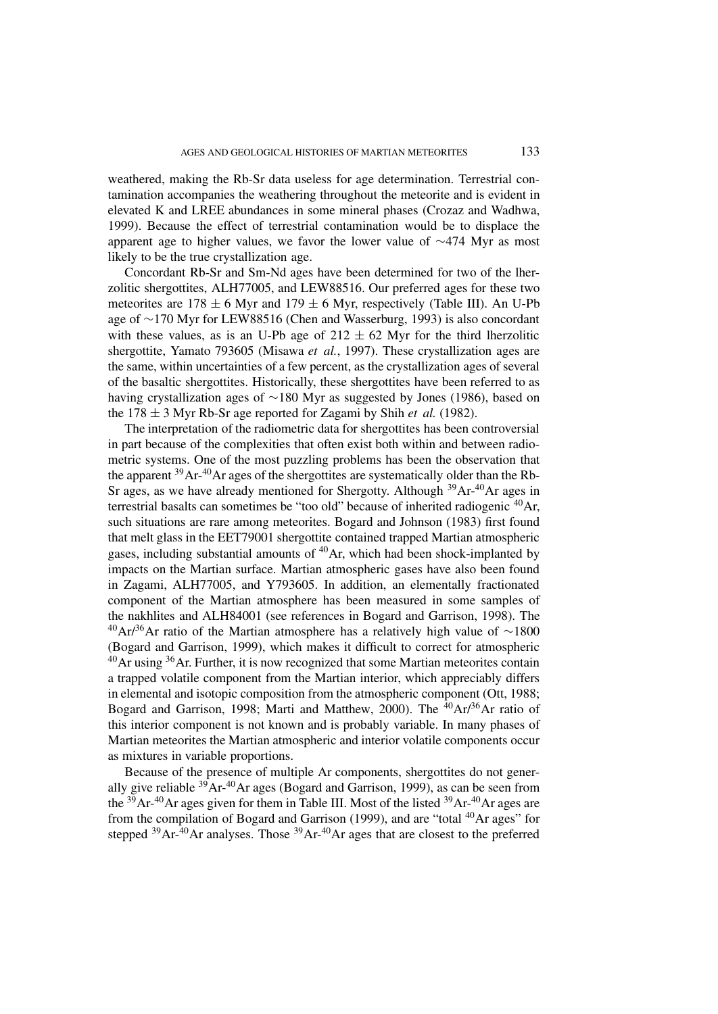weathered, making the Rb-Sr data useless for age determination. Terrestrial contamination accompanies the weathering throughout the meteorite and is evident in elevated K and LREE abundances in some mineral phases (Crozaz and Wadhwa, 1999). Because the effect of terrestrial contamination would be to displace the apparent age to higher values, we favor the lower value of ∼474 Myr as most likely to be the true crystallization age.

Concordant Rb-Sr and Sm-Nd ages have been determined for two of the lherzolitic shergottites, ALH77005, and LEW88516. Our preferred ages for these two meteorites are  $178 \pm 6$  Myr and  $179 \pm 6$  Myr, respectively (Table III). An U-Pb age of ∼170 Myr for LEW88516 (Chen and Wasserburg, 1993) is also concordant with these values, as is an U-Pb age of  $212 \pm 62$  Myr for the third lherzolitic shergottite, Yamato 793605 (Misawa *et al.*, 1997). These crystallization ages are the same, within uncertainties of a few percent, as the crystallization ages of several of the basaltic shergottites. Historically, these shergottites have been referred to as having crystallization ages of ∼180 Myr as suggested by Jones (1986), based on the  $178 \pm 3$  Myr Rb-Sr age reported for Zagami by Shih *et al.* (1982).

The interpretation of the radiometric data for shergottites has been controversial in part because of the complexities that often exist both within and between radiometric systems. One of the most puzzling problems has been the observation that the apparent 39Ar-40Ar ages of the shergottites are systematically older than the Rb-Sr ages, as we have already mentioned for Shergotty. Although 39Ar-40Ar ages in terrestrial basalts can sometimes be "too old" because of inherited radiogenic  $^{40}Ar$ , such situations are rare among meteorites. Bogard and Johnson (1983) first found that melt glass in the EET79001 shergottite contained trapped Martian atmospheric gases, including substantial amounts of <sup>40</sup>Ar, which had been shock-implanted by impacts on the Martian surface. Martian atmospheric gases have also been found in Zagami, ALH77005, and Y793605. In addition, an elementally fractionated component of the Martian atmosphere has been measured in some samples of the nakhlites and ALH84001 (see references in Bogard and Garrison, 1998). The  $^{40}$ Ar/<sup>36</sup>Ar ratio of the Martian atmosphere has a relatively high value of ~1800 (Bogard and Garrison, 1999), which makes it difficult to correct for atmospheric  $^{40}$ Ar using  $^{36}$ Ar. Further, it is now recognized that some Martian meteorites contain a trapped volatile component from the Martian interior, which appreciably differs in elemental and isotopic composition from the atmospheric component (Ott, 1988; Bogard and Garrison, 1998; Marti and Matthew, 2000). The  $40Ar^{36}Ar$  ratio of this interior component is not known and is probably variable. In many phases of Martian meteorites the Martian atmospheric and interior volatile components occur as mixtures in variable proportions.

Because of the presence of multiple Ar components, shergottites do not generally give reliable  $39$ Ar- $40$ Ar ages (Bogard and Garrison, 1999), as can be seen from the  $39$ Ar- $40$ Ar ages given for them in Table III. Most of the listed  $39$ Ar- $40$ Ar ages are from the compilation of Bogard and Garrison (1999), and are "total  $40$ Ar ages" for stepped  $39Ar^{-40}Ar$  analyses. Those  $39Ar^{-40}Ar$  ages that are closest to the preferred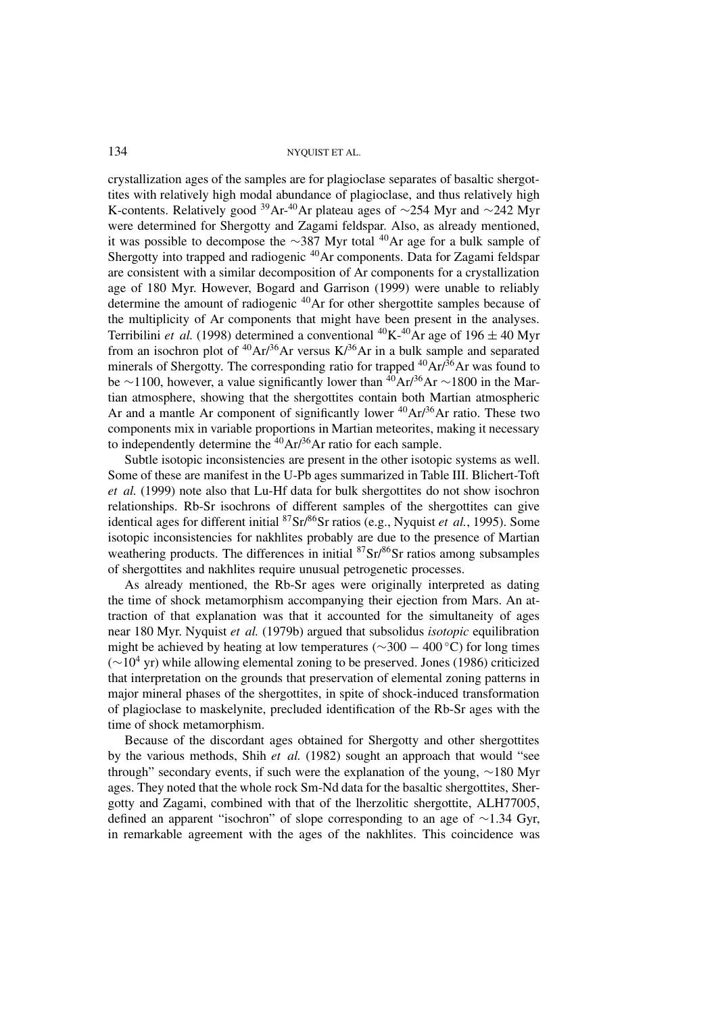crystallization ages of the samples are for plagioclase separates of basaltic shergottites with relatively high modal abundance of plagioclase, and thus relatively high K-contents. Relatively good 39Ar-40Ar plateau ages of ∼254 Myr and ∼242 Myr were determined for Shergotty and Zagami feldspar. Also, as already mentioned, it was possible to decompose the ∼387 Myr total <sup>40</sup>Ar age for a bulk sample of Shergotty into trapped and radiogenic 40Ar components. Data for Zagami feldspar are consistent with a similar decomposition of Ar components for a crystallization age of 180 Myr. However, Bogard and Garrison (1999) were unable to reliably determine the amount of radiogenic 40Ar for other shergottite samples because of the multiplicity of Ar components that might have been present in the analyses. Terribilini *et al.* (1998) determined a conventional <sup>40</sup>K-<sup>40</sup>Ar age of 196  $\pm$  40 Myr from an isochron plot of  $^{40}Ar^{36}Ar$  versus K $/36Ar$  in a bulk sample and separated minerals of Shergotty. The corresponding ratio for trapped  ${}^{40}Ar/{}^{36}Ar$  was found to be ∼1100, however, a value significantly lower than  $^{40}Ar^{36}Ar \sim 1800$  in the Martian atmosphere, showing that the shergottites contain both Martian atmospheric Ar and a mantle Ar component of significantly lower  $^{40}Ar^{36}Ar$  ratio. These two components mix in variable proportions in Martian meteorites, making it necessary to independently determine the  $40Ar^{36}Ar$  ratio for each sample.

Subtle isotopic inconsistencies are present in the other isotopic systems as well. Some of these are manifest in the U-Pb ages summarized in Table III. Blichert-Toft *et al.* (1999) note also that Lu-Hf data for bulk shergottites do not show isochron relationships. Rb-Sr isochrons of different samples of the shergottites can give identical ages for different initial 87Sr/86Sr ratios (e.g., Nyquist *et al.*, 1995). Some isotopic inconsistencies for nakhlites probably are due to the presence of Martian weathering products. The differences in initial <sup>87</sup>Sr/<sup>86</sup>Sr ratios among subsamples of shergottites and nakhlites require unusual petrogenetic processes.

As already mentioned, the Rb-Sr ages were originally interpreted as dating the time of shock metamorphism accompanying their ejection from Mars. An attraction of that explanation was that it accounted for the simultaneity of ages near 180 Myr. Nyquist *et al.* (1979b) argued that subsolidus *isotopic* equilibration might be achieved by heating at low temperatures ( $\sim$ 300 − 400 °C) for long times  $(\sim 10^4 \text{ yr})$  while allowing elemental zoning to be preserved. Jones (1986) criticized that interpretation on the grounds that preservation of elemental zoning patterns in major mineral phases of the shergottites, in spite of shock-induced transformation of plagioclase to maskelynite, precluded identification of the Rb-Sr ages with the time of shock metamorphism.

Because of the discordant ages obtained for Shergotty and other shergottites by the various methods, Shih *et al.* (1982) sought an approach that would "see through" secondary events, if such were the explanation of the young, ∼180 Myr ages. They noted that the whole rock Sm-Nd data for the basaltic shergottites, Shergotty and Zagami, combined with that of the lherzolitic shergottite, ALH77005, defined an apparent "isochron" of slope corresponding to an age of ∼1.34 Gyr, in remarkable agreement with the ages of the nakhlites. This coincidence was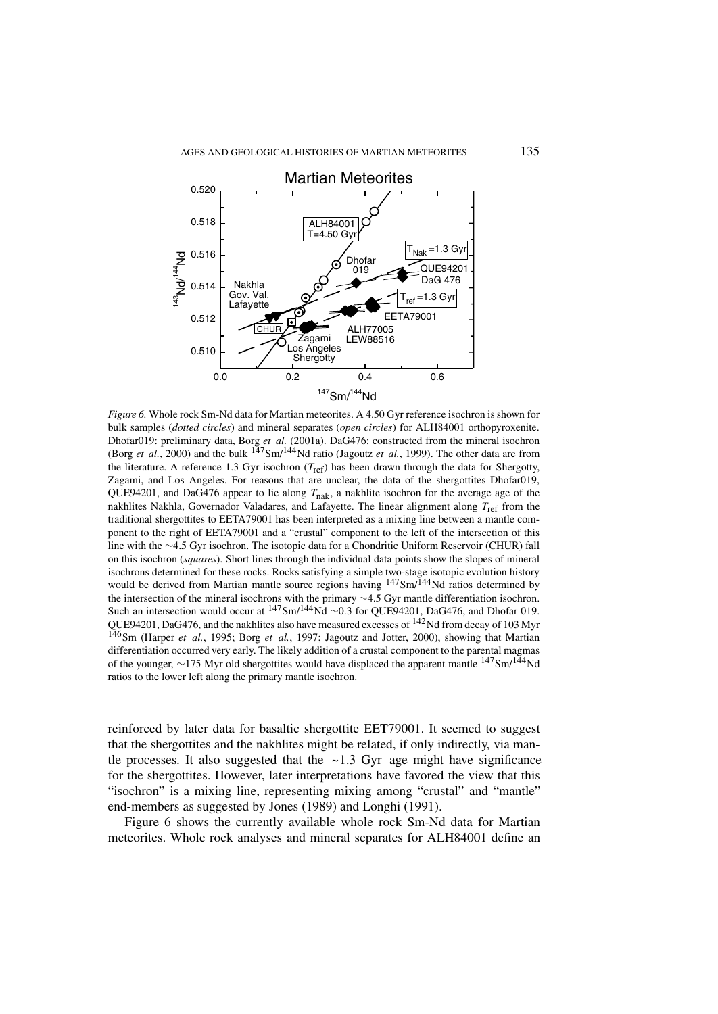

*Figure 6.* Whole rock Sm-Nd data for Martian meteorites. A 4.50 Gyr reference isochron is shown for bulk samples (*dotted circles*) and mineral separates (*open circles*) for ALH84001 orthopyroxenite. Dhofar019: preliminary data, Borg *et al.* (2001a). DaG476: constructed from the mineral isochron (Borg *et al.*, 2000) and the bulk  $^{147}$ Sm/ $^{144}$ Nd ratio (Jagoutz *et al.*, 1999). The other data are from the literature. A reference 1.3 Gyr isochron (*T*ref) has been drawn through the data for Shergotty, Zagami, and Los Angeles. For reasons that are unclear, the data of the shergottites Dhofar019, QUE94201, and DaG476 appear to lie along *T*nak, a nakhlite isochron for the average age of the nakhlites Nakhla, Governador Valadares, and Lafayette. The linear alignment along *T*ref from the traditional shergottites to EETA79001 has been interpreted as a mixing line between a mantle component to the right of EETA79001 and a "crustal" component to the left of the intersection of this line with the ∼4.5 Gyr isochron. The isotopic data for a Chondritic Uniform Reservoir (CHUR) fall on this isochron (*squares*). Short lines through the individual data points show the slopes of mineral isochrons determined for these rocks. Rocks satisfying a simple two-stage isotopic evolution history would be derived from Martian mantle source regions having  $147 \text{Sm}/144 \text{Nd}$  ratios determined by the intersection of the mineral isochrons with the primary ∼4.5 Gyr mantle differentiation isochron. Such an intersection would occur at <sup>147</sup>Sm/<sup>144</sup>Nd ∼0.3 for QUE94201, DaG476, and Dhofar 019. QUE94201, DaG476, and the nakhlites also have measured excesses of 142Nd from decay of 103 Myr 146Sm (Harper *et al.*, 1995; Borg *et al.*, 1997; Jagoutz and Jotter, 2000), showing that Martian differentiation occurred very early. The likely addition of a crustal component to the parental magmas of the younger, ~175 Myr old shergottites would have displaced the apparent mantle <sup>147</sup>Sm/<sup>144</sup>Nd ratios to the lower left along the primary mantle isochron.

reinforced by later data for basaltic shergottite EET79001. It seemed to suggest that the shergottites and the nakhlites might be related, if only indirectly, via mantle processes. It also suggested that the  $\sim$ 1.3 Gyr age might have significance for the shergottites. However, later interpretations have favored the view that this "isochron" is a mixing line, representing mixing among "crustal" and "mantle" end-members as suggested by Jones (1989) and Longhi (1991).

Figure 6 shows the currently available whole rock Sm-Nd data for Martian meteorites. Whole rock analyses and mineral separates for ALH84001 define an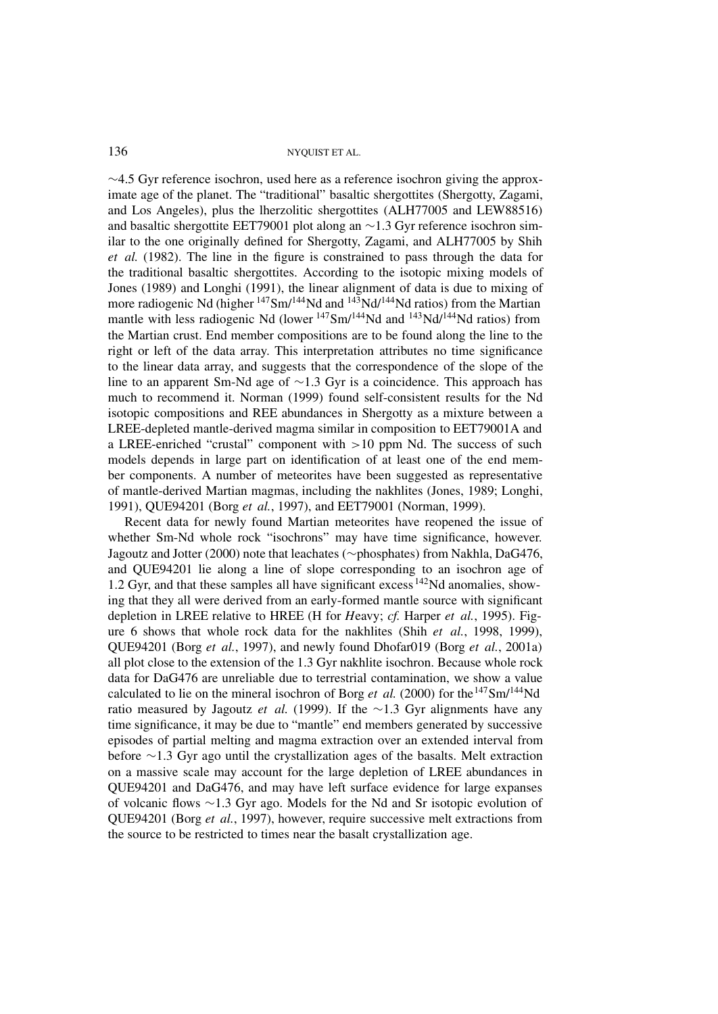$~\sim$ 4.5 Gyr reference isochron, used here as a reference isochron giving the approximate age of the planet. The "traditional" basaltic shergottites (Shergotty, Zagami, and Los Angeles), plus the lherzolitic shergottites (ALH77005 and LEW88516) and basaltic shergottite EET79001 plot along an ∼1.3 Gyr reference isochron similar to the one originally defined for Shergotty, Zagami, and ALH77005 by Shih *et al.* (1982). The line in the figure is constrained to pass through the data for the traditional basaltic shergottites. According to the isotopic mixing models of Jones (1989) and Longhi (1991), the linear alignment of data is due to mixing of more radiogenic Nd (higher  $147$ Sm/ $144$ Nd and  $143$ Nd/ $144$ Nd ratios) from the Martian mantle with less radiogenic Nd (lower <sup>147</sup>Sm/<sup>144</sup>Nd and <sup>143</sup>Nd/<sup>144</sup>Nd ratios) from the Martian crust. End member compositions are to be found along the line to the right or left of the data array. This interpretation attributes no time significance to the linear data array, and suggests that the correspondence of the slope of the line to an apparent Sm-Nd age of ∼1.3 Gyr is a coincidence. This approach has much to recommend it. Norman (1999) found self-consistent results for the Nd isotopic compositions and REE abundances in Shergotty as a mixture between a LREE-depleted mantle-derived magma similar in composition to EET79001A and a LREE-enriched "crustal" component with  $>10$  ppm Nd. The success of such models depends in large part on identification of at least one of the end member components. A number of meteorites have been suggested as representative of mantle-derived Martian magmas, including the nakhlites (Jones, 1989; Longhi, 1991), QUE94201 (Borg *et al.*, 1997), and EET79001 (Norman, 1999).

Recent data for newly found Martian meteorites have reopened the issue of whether Sm-Nd whole rock "isochrons" may have time significance, however. Jagoutz and Jotter (2000) note that leachates (∼phosphates) from Nakhla, DaG476, and QUE94201 lie along a line of slope corresponding to an isochron age of 1.2 Gyr, and that these samples all have significant excess 142Nd anomalies, showing that they all were derived from an early-formed mantle source with significant depletion in LREE relative to HREE (H for *H*eavy; *cf.* Harper *et al.*, 1995). Figure 6 shows that whole rock data for the nakhlites (Shih *et al.*, 1998, 1999), QUE94201 (Borg *et al.*, 1997), and newly found Dhofar019 (Borg *et al.*, 2001a) all plot close to the extension of the 1.3 Gyr nakhlite isochron. Because whole rock data for DaG476 are unreliable due to terrestrial contamination, we show a value calculated to lie on the mineral isochron of Borg *et al.* (2000) for the<sup>147</sup>Sm/<sup>144</sup>Nd ratio measured by Jagoutz *et al.* (1999). If the ∼1.3 Gyr alignments have any time significance, it may be due to "mantle" end members generated by successive episodes of partial melting and magma extraction over an extended interval from before ∼1.3 Gyr ago until the crystallization ages of the basalts. Melt extraction on a massive scale may account for the large depletion of LREE abundances in QUE94201 and DaG476, and may have left surface evidence for large expanses of volcanic flows ∼1.3 Gyr ago. Models for the Nd and Sr isotopic evolution of QUE94201 (Borg *et al.*, 1997), however, require successive melt extractions from the source to be restricted to times near the basalt crystallization age.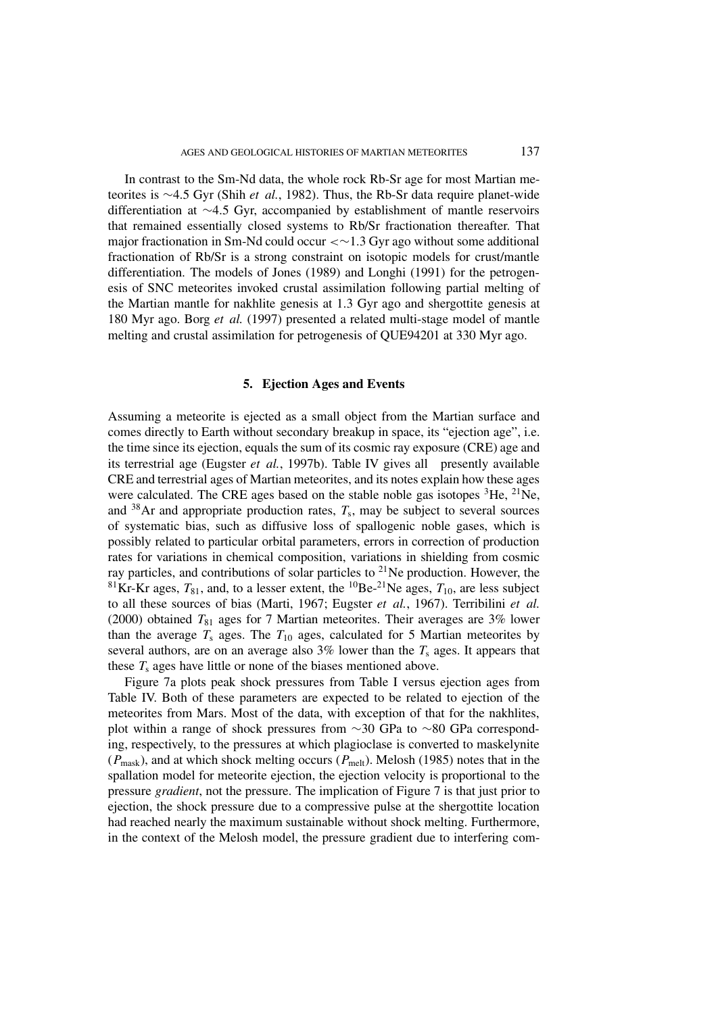In contrast to the Sm-Nd data, the whole rock Rb-Sr age for most Martian meteorites is ∼4.5 Gyr (Shih *et al.*, 1982). Thus, the Rb-Sr data require planet-wide differentiation at ∼4.5 Gyr, accompanied by establishment of mantle reservoirs that remained essentially closed systems to Rb/Sr fractionation thereafter. That major fractionation in Sm-Nd could occur <∼1.3 Gyr ago without some additional fractionation of Rb/Sr is a strong constraint on isotopic models for crust/mantle differentiation. The models of Jones (1989) and Longhi (1991) for the petrogenesis of SNC meteorites invoked crustal assimilation following partial melting of the Martian mantle for nakhlite genesis at 1.3 Gyr ago and shergottite genesis at 180 Myr ago. Borg *et al.* (1997) presented a related multi-stage model of mantle melting and crustal assimilation for petrogenesis of QUE94201 at 330 Myr ago.

### **5. Ejection Ages and Events**

Assuming a meteorite is ejected as a small object from the Martian surface and comes directly to Earth without secondary breakup in space, its "ejection age", i.e. the time since its ejection, equals the sum of its cosmic ray exposure (CRE) age and its terrestrial age (Eugster *et al.*, 1997b). Table IV gives all presently available CRE and terrestrial ages of Martian meteorites, and its notes explain how these ages were calculated. The CRE ages based on the stable noble gas isotopes <sup>3</sup>He, <sup>21</sup>Ne, and  $38$ Ar and appropriate production rates,  $T_s$ , may be subject to several sources of systematic bias, such as diffusive loss of spallogenic noble gases, which is possibly related to particular orbital parameters, errors in correction of production rates for variations in chemical composition, variations in shielding from cosmic ray particles, and contributions of solar particles to  $^{21}$ Ne production. However, the <sup>81</sup>Kr-Kr ages,  $T_{81}$ , and, to a lesser extent, the <sup>10</sup>Be-<sup>21</sup>Ne ages,  $T_{10}$ , are less subject to all these sources of bias (Marti, 1967; Eugster *et al.*, 1967). Terribilini *et al.* (2000) obtained  $T_{81}$  ages for 7 Martian meteorites. Their averages are 3% lower than the average  $T_s$  ages. The  $T_{10}$  ages, calculated for 5 Martian meteorites by several authors, are on an average also  $3\%$  lower than the  $T_s$  ages. It appears that these  $T_s$  ages have little or none of the biases mentioned above.

Figure 7a plots peak shock pressures from Table I versus ejection ages from Table IV. Both of these parameters are expected to be related to ejection of the meteorites from Mars. Most of the data, with exception of that for the nakhlites, plot within a range of shock pressures from ∼30 GPa to ∼80 GPa corresponding, respectively, to the pressures at which plagioclase is converted to maskelynite  $(P_{\text{mask}})$ , and at which shock melting occurs  $(P_{\text{melt}})$ . Melosh (1985) notes that in the spallation model for meteorite ejection, the ejection velocity is proportional to the pressure *gradient*, not the pressure. The implication of Figure 7 is that just prior to ejection, the shock pressure due to a compressive pulse at the shergottite location had reached nearly the maximum sustainable without shock melting. Furthermore, in the context of the Melosh model, the pressure gradient due to interfering com-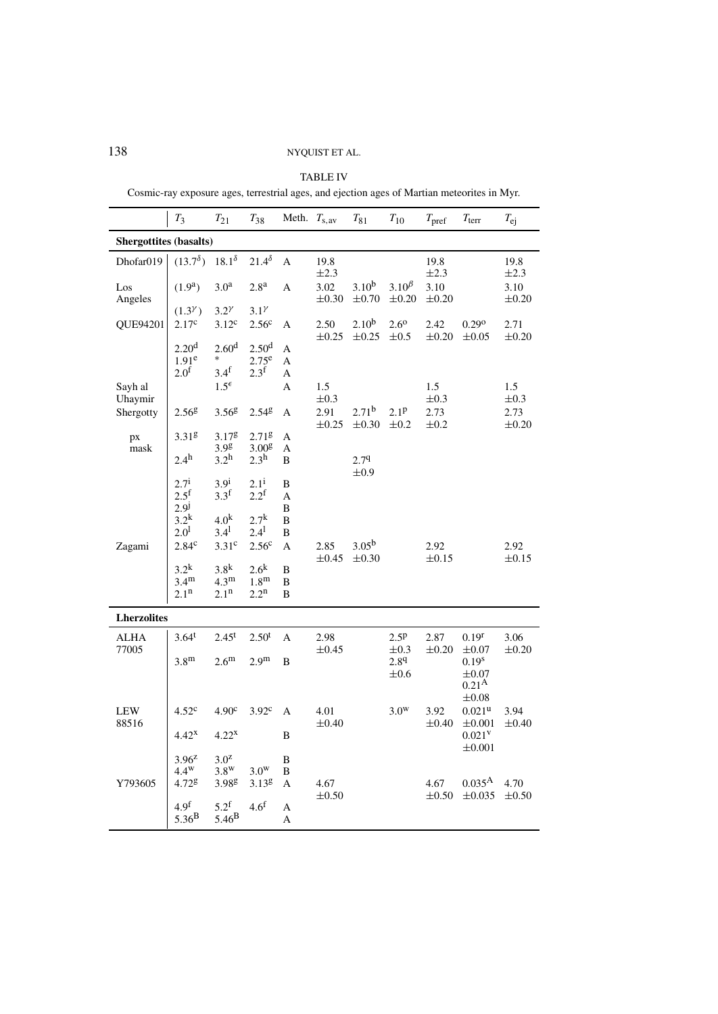# TABLE IV

Cosmic-ray exposure ages, terrestrial ages, and ejection ages of Martian meteorites in Myr.

|                               | $T_3$                                 | $T_{21}$                             | $T_{38}$                              | Meth.        | $T_{\rm s,av}$     | $T_{81}$                 | $T_{10}$                      | $T_{\text{pref}}$  | $T_{\rm terr}$                      | $T_{\rm ej}$       |
|-------------------------------|---------------------------------------|--------------------------------------|---------------------------------------|--------------|--------------------|--------------------------|-------------------------------|--------------------|-------------------------------------|--------------------|
| <b>Shergottites (basalts)</b> |                                       |                                      |                                       |              |                    |                          |                               |                    |                                     |                    |
| Dhofar019                     | (13.7 <sup>δ</sup> )                  | $18.1^{\delta}$                      | $21.4^{\delta}$                       | A            | 19.8<br>$\pm 2.3$  |                          |                               | 19.8<br>$\pm 2.3$  |                                     | 19.8<br>$\pm 2.3$  |
| Los<br>Angeles                | (1.9 <sup>a</sup> )                   | 3.0 <sup>a</sup>                     | 2.8 <sup>a</sup>                      | $\mathsf{A}$ | 3.02<br>$\pm 0.30$ | $3.10^{b}$<br>$\pm 0.70$ | $3.10\beta$<br>$\pm 0.20$     | 3.10<br>$\pm 0.20$ |                                     | 3.10<br>$\pm 0.20$ |
|                               | $(1.3^{\gamma})$                      | $3.2\gamma$                          | $3.1\gamma$                           |              |                    |                          |                               |                    |                                     |                    |
| QUE94201                      | 2.17 <sup>c</sup>                     | $3.12^{\circ}$                       | 2.56 <sup>c</sup>                     | A            | 2.50<br>$\pm 0.25$ | $2.10^{b}$<br>$\pm 0.25$ | $2.6^{\circ}$<br>$\pm 0.5$    | 2.42<br>$\pm 0.20$ | $0.29^{\circ}$<br>$\pm 0.05$        | 2.71<br>$\pm 0.20$ |
|                               | 2.20 <sup>d</sup>                     | 2.60 <sup>d</sup>                    | 2.50 <sup>d</sup>                     | A            |                    |                          |                               |                    |                                     |                    |
|                               | 1.91 <sup>e</sup><br>2.0 <sup>f</sup> | $\ast$<br>3.4 <sup>f</sup>           | $2.75^e$<br>2.3 <sup>f</sup>          | A            |                    |                          |                               |                    |                                     |                    |
|                               |                                       | $1.5^{\epsilon}$                     |                                       | A<br>A       | 1.5                |                          |                               | 1.5                |                                     | 1.5                |
| Sayh al<br>Uhaymir            |                                       |                                      |                                       |              | $\pm 0.3$          |                          |                               | $\pm 0.3$          |                                     | $\pm 0.3$          |
| Shergotty                     | 2.56 <sup>g</sup>                     | 3.56 <sup>g</sup>                    | 2.54 <sup>g</sup>                     | A            | 2.91<br>$\pm 0.25$ | $2.71^{b}$<br>$\pm 0.30$ | 2.1 <sup>p</sup><br>$\pm 0.2$ | 2.73<br>$\pm 0.2$  |                                     | 2.73<br>$\pm 0.20$ |
| px                            | 3.31 <sup>g</sup>                     | 3.17g                                | 2.71 <sup>g</sup>                     | A            |                    |                          |                               |                    |                                     |                    |
| mask                          |                                       | 3.9 <sup>g</sup><br>3.2 <sup>h</sup> | 3.00 <sup>g</sup><br>2.3 <sup>h</sup> | A            |                    |                          |                               |                    |                                     |                    |
|                               | $2.4^h$                               |                                      |                                       | B            |                    | 2.79<br>$\pm 0.9$        |                               |                    |                                     |                    |
|                               | $2.7^{1}$                             | 3.9 <sup>1</sup>                     | $2.1^{1}$                             | B            |                    |                          |                               |                    |                                     |                    |
|                               | 2.5 <sup>f</sup><br>2.9 <sup>j</sup>  | 3.3 <sup>f</sup>                     | $2.2^{\mathrm{f}}$                    | A<br>B       |                    |                          |                               |                    |                                     |                    |
|                               | $3.2^k$                               | 4.0 <sup>k</sup>                     | 2.7 <sup>k</sup>                      | B            |                    |                          |                               |                    |                                     |                    |
|                               | 2.0 <sup>1</sup>                      | $3.4^{1}$                            | $2.4^{1}$                             | B            |                    |                          |                               |                    |                                     |                    |
| Zagami                        | 2.84 <sup>c</sup>                     | 3.31 <sup>c</sup>                    | 2.56 <sup>c</sup>                     | $\mathsf{A}$ | 2.85               | $3.05^{b}$               |                               | 2.92               |                                     | 2.92               |
|                               |                                       |                                      |                                       |              | $\pm 0.45$         | $\pm 0.30$               |                               | $\pm 0.15$         |                                     | $\pm 0.15$         |
|                               | $3.2^k$                               | 3.8 <sup>k</sup>                     | 2.6 <sup>k</sup>                      | B            |                    |                          |                               |                    |                                     |                    |
|                               | 3.4 <sup>m</sup>                      | 4.3 <sup>m</sup>                     | 1.8 <sup>m</sup>                      | B            |                    |                          |                               |                    |                                     |                    |
|                               | 2.1 <sup>n</sup>                      | 2.1 <sup>n</sup>                     | 2.2 <sup>n</sup>                      | B            |                    |                          |                               |                    |                                     |                    |
| <b>Lherzolites</b>            |                                       |                                      |                                       |              |                    |                          |                               |                    |                                     |                    |
| ALHA<br>77005                 | $3.64^t$                              | $2.45^t$                             | $2.50^t$                              | A            | 2.98<br>$\pm 0.45$ |                          | 2.5 <sup>p</sup><br>$\pm 0.3$ | 2.87<br>$\pm 0.20$ | 0.19 <sup>r</sup><br>$\pm 0.07$     | 3.06<br>$\pm 0.20$ |
|                               | 3.8 <sup>m</sup>                      | 2.6 <sup>m</sup>                     | 2.9 <sup>m</sup>                      | B            |                    |                          | 2.89<br>$\pm 0.6$             |                    | 0.19 <sup>s</sup><br>$\pm 0.07$     |                    |
|                               |                                       |                                      |                                       |              |                    |                          |                               |                    | $0.21^{A}$                          |                    |
| <b>LEW</b>                    | $4.52^c$                              | 4.90 <sup>c</sup>                    | $3.92^c$                              | A            | 4.01               |                          | 3.0 <sup>w</sup>              | 3.92               | $\pm 0.08$<br>$0.021$ <sup>u</sup>  | 3.94               |
| 88516                         | $4.42^{x}$                            | $4.22^{x}$                           |                                       | B            | $\pm 0.40$         |                          |                               | $\pm 0.40$         | $\pm 0.001$<br>$0.021$ <sup>V</sup> | $\pm 0.40$         |
|                               | $3.96^{2}$                            | 3.0 <sup>z</sup>                     |                                       | B            |                    |                          |                               |                    | $\pm 0.001$                         |                    |
|                               | $4.4^{\mathrm{W}}$                    | $3.8^{\rm W}$                        | $3.0^{\mathrm{w}}$                    | B            |                    |                          |                               |                    |                                     |                    |
| Y793605                       | 4.72 <sup>g</sup>                     | 3.98 <sup>g</sup>                    | 3.13 <sup>g</sup>                     | A            | 4.67               |                          |                               | 4.67               | $0.035^{A}$                         | 4.70               |
|                               |                                       |                                      |                                       |              | $\pm 0.50$         |                          |                               | $\pm 0.50$         | $\pm 0.035$                         | $\pm 0.50$         |
|                               | $4.9^{\rm f}$                         | $5.2^{\mathrm{f}}$                   | $4.6^{\rm f}$                         | A            |                    |                          |                               |                    |                                     |                    |
|                               | $5.36^{B}$                            | $5.46^{B}$                           |                                       | A            |                    |                          |                               |                    |                                     |                    |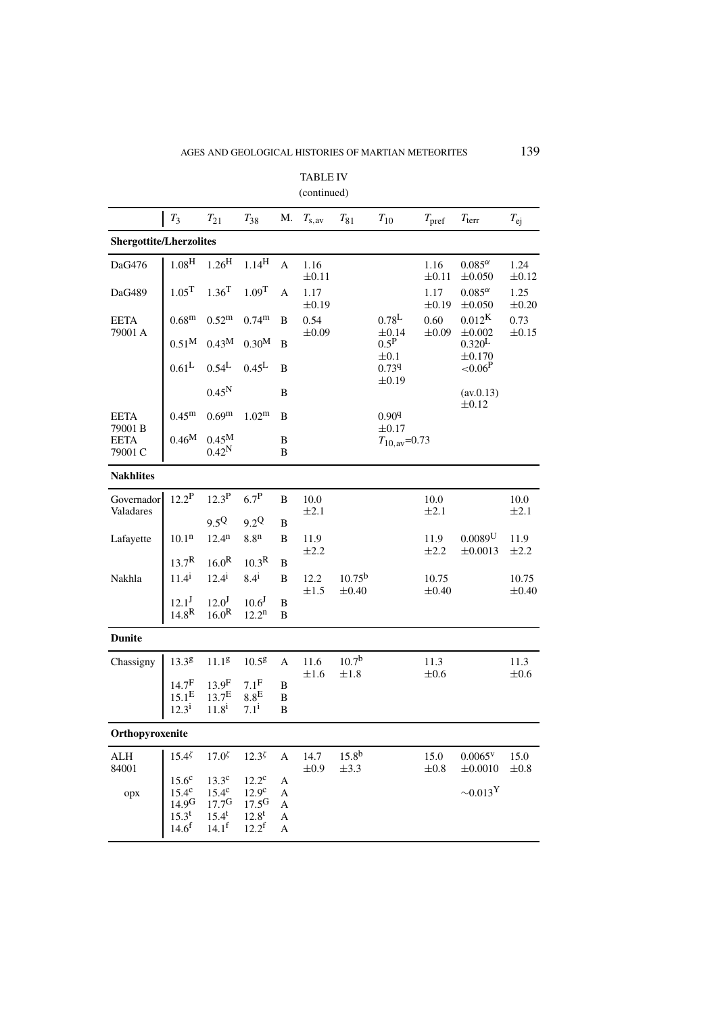|                                |                                                        |                                                   |                                                       |                        | <b>TABLE IV</b><br>(continued) |                                |                                 |                     |                                       |                     |
|--------------------------------|--------------------------------------------------------|---------------------------------------------------|-------------------------------------------------------|------------------------|--------------------------------|--------------------------------|---------------------------------|---------------------|---------------------------------------|---------------------|
|                                | $T_3$                                                  | $T_{21}$                                          | $T_{38}$                                              | M.                     | $T_{\rm s,av}$                 | $T_{81}$                       | $T_{10}$                        | $T_{\text{pref}}$   | $T_{\rm terr}$                        | $T_{\rm ej}$        |
| <b>Shergottite/Lherzolites</b> |                                                        |                                                   |                                                       |                        |                                |                                |                                 |                     |                                       |                     |
| DaG476                         | 1.08 <sup>H</sup>                                      | $1.26^{\rm H}$                                    | $1.14$ <sup>H</sup>                                   | $\mathbf{A}$           | 1.16<br>$\pm 0.11$             |                                |                                 | 1.16<br>$\pm 0.11$  | $0.085^{\alpha}$<br>$\pm 0.050$       | 1.24<br>$\pm 0.12$  |
| DaG489                         | $1.05$ <sup>T</sup>                                    | $1.36^{T}$                                        | $1.09$ <sup>T</sup>                                   | A                      | 1.17<br>$\pm 0.19$             |                                |                                 | 1.17<br>$\pm 0.19$  | $0.085^{\alpha}$<br>±0.050            | 1.25<br>$\pm 0.20$  |
| <b>EETA</b><br>79001 A         | $0.68^{\rm m}$                                         | $0.52^{\rm m}$                                    | $0.74^{\rm m}$                                        | B                      | 0.54<br>$\pm 0.09$             |                                | $0.78^{\text{L}}$<br>$\pm 0.14$ | 0.60<br>$\pm 0.09$  | $0.012$ <sup>K</sup><br>$\pm 0.002$   | 0.73<br>$\pm 0.15$  |
|                                | 0.51 <sup>M</sup>                                      | $0.43^{M}$                                        | 0.30 <sup>M</sup>                                     | B                      |                                |                                | $0.5^{\rm P}$<br>$\pm 0.1$      |                     | $0.320^{\rm L}$<br>±0.170             |                     |
|                                | $0.61^L$                                               | 0.54 <sup>L</sup>                                 | $0.45^L$                                              | B                      |                                |                                | 0.739<br>$\pm 0.19$             |                     | ${<}0.06^{\rm P}$                     |                     |
|                                |                                                        | $0.45^{N}$                                        |                                                       | B                      |                                |                                |                                 |                     | (av.0.13)<br>$\pm 0.12$               |                     |
| <b>EETA</b><br>79001B          | $0.45^{\rm m}$                                         | 0.69 <sup>m</sup>                                 | $1.02^{\rm m}$                                        | B                      |                                |                                | 0.90 <sup>q</sup><br>$\pm 0.17$ |                     |                                       |                     |
| <b>EETA</b><br>79001 C         | $0.46^{M}$                                             | $0.45^{M}$<br>$0.42^{N}$                          |                                                       | B<br>B                 |                                |                                | $T_{10,av}$ =0.73               |                     |                                       |                     |
| <b>Nakhlites</b>               |                                                        |                                                   |                                                       |                        |                                |                                |                                 |                     |                                       |                     |
| Governador<br>Valadares        | $12.2^P$                                               | 12.3 <sup>P</sup>                                 | 6.7 <sup>P</sup>                                      | B                      | 10.0<br>$\pm 2.1$              |                                |                                 | 10.0<br>$\pm 2.1$   |                                       | 10.0<br>$\pm 2.1$   |
|                                |                                                        | 9.5Q                                              | 9.2 <sup>Q</sup>                                      | B                      |                                |                                |                                 |                     |                                       |                     |
| Lafayette                      | 10.1 <sup>n</sup>                                      | 12.4 <sup>n</sup>                                 | 8.8 <sup>n</sup>                                      | $\, {\bf B}$           | 11.9<br>$\pm 2.2$              |                                |                                 | 11.9<br>$\pm 2.2$   | $0.0089$ <sup>U</sup><br>$\pm 0.0013$ | 11.9<br>$\pm 2.2$   |
|                                | $13.7^{R}$                                             | 16.0 <sup>R</sup>                                 | 10.3 <sup>R</sup>                                     | B                      |                                |                                |                                 |                     |                                       |                     |
| Nakhla                         | $11.4^{i}$                                             | $12.4^{i}$                                        | $8.4^{i}$                                             | $\, {\bf B}$           | 12.2<br>$\pm 1.5$              | $10.75^{b}$<br>$\pm 0.40$      |                                 | 10.75<br>$\pm 0.40$ |                                       | 10.75<br>$\pm 0.40$ |
|                                | $12.1^{\mathrm{J}}$<br>14.8 <sup>R</sup>               | 12.0 <sup>J</sup><br>16.0 <sup>R</sup>            | 10.6 <sup>J</sup><br>12.2 <sup>n</sup>                | B<br>B                 |                                |                                |                                 |                     |                                       |                     |
| <b>Dunite</b>                  |                                                        |                                                   |                                                       |                        |                                |                                |                                 |                     |                                       |                     |
| Chassigny                      | 13.3 <sup>g</sup>                                      | 11.1 <sup>g</sup>                                 | 10.5 <sup>g</sup>                                     | A                      | 11.6<br>$\pm 1.6$              | 10.7 <sup>b</sup><br>$\pm 1.8$ |                                 | 11.3<br>$\pm 0.6$   |                                       | 11.3<br>$\pm 0.6$   |
|                                | 14.7 <sup>F</sup>                                      | 13.9 <sup>F</sup>                                 | $7.1$ F                                               | B                      |                                |                                |                                 |                     |                                       |                     |
|                                | $15.1^{\rm E}$                                         | 13.7 <sup>E</sup>                                 | $8.8^{\text{E}}$                                      | B                      |                                |                                |                                 |                     |                                       |                     |
|                                | $12.3^{i}$                                             | $11.8^{i}$                                        | $7.1^{\rm i}$                                         | $\, {\bf B}$           |                                |                                |                                 |                     |                                       |                     |
| Orthopyroxenite                |                                                        |                                                   |                                                       |                        |                                |                                |                                 |                     |                                       |                     |
| ALH<br>84001                   | $15.4^{\zeta}$                                         | $17.0^{5}$                                        | $12.3^{5}$                                            | A                      | 14.7<br>$\pm 0.9$              | $15.8^{b}$<br>$\pm 3.3$        |                                 | 15.0<br>$\pm 0.8$   | $0.0065$ <sup>v</sup><br>±0.0010      | 15.0<br>$\pm 0.8$   |
| opx                            | 15.6 <sup>c</sup><br>$15.4^\circ$<br>14.9 <sup>G</sup> | 13.3 <sup>c</sup><br>$15.4^{\circ}$<br>$17.7^{G}$ | $12.2^{\rm c}$<br>12.9 <sup>c</sup><br>$17.5^{\rm G}$ | A<br>A<br>$\mathbf{A}$ |                                |                                |                                 |                     | $\sim 0.013^{\rm Y}$                  |                     |
|                                | $15.3^t$<br>14.6 <sup>f</sup>                          | $15.4^{\rm t}$<br>$14.1^f$                        | $12.8^t$<br>$12.2^{f}$                                | A<br>$\mathbf A$       |                                |                                |                                 |                     |                                       |                     |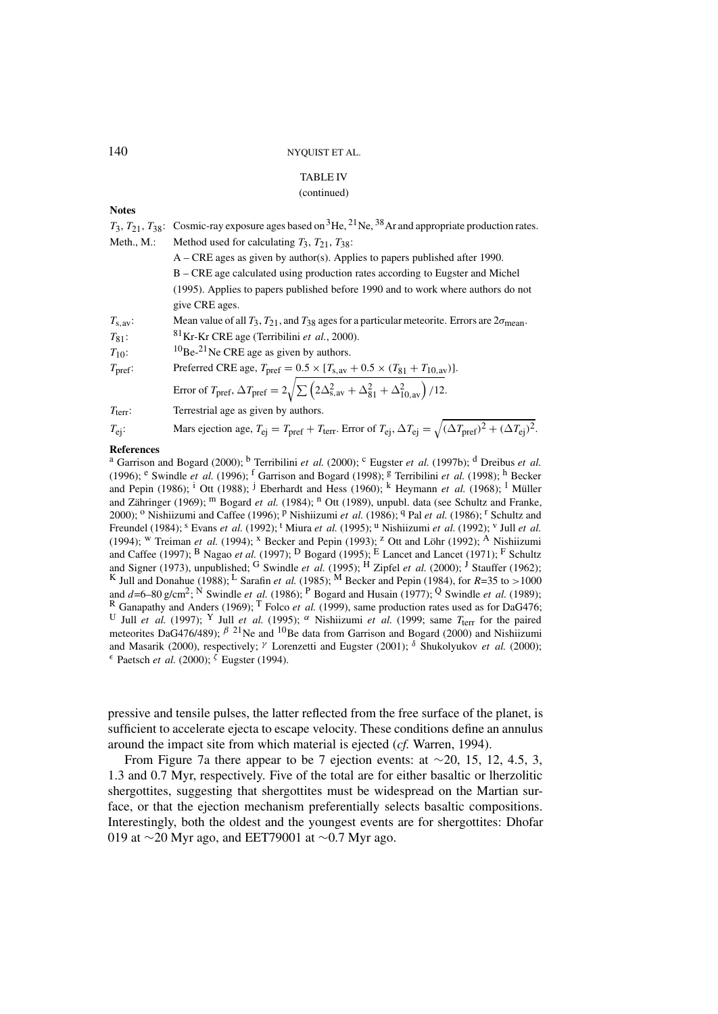#### TABLE IV

#### (continued)

**Notes**

|                     | $T_3$ , $T_{21}$ , $T_{38}$ : Cosmic-ray exposure ages based on <sup>3</sup> He, <sup>21</sup> Ne, <sup>38</sup> Ar and appropriate production rates.       |
|---------------------|-------------------------------------------------------------------------------------------------------------------------------------------------------------|
| Meth., $M$ .:       | Method used for calculating $T_3$ , $T_{21}$ , $T_{38}$ :                                                                                                   |
|                     | $A - CRE$ ages as given by author(s). Applies to papers published after 1990.                                                                               |
|                     | B – CRE age calculated using production rates according to Eugster and Michel                                                                               |
|                     | (1995). Applies to papers published before 1990 and to work where authors do not                                                                            |
|                     | give CRE ages.                                                                                                                                              |
| $T_{\rm s,av}$ :    | Mean value of all $T_3$ , $T_{21}$ , and $T_{38}$ ages for a particular meteorite. Errors are $2\sigma_{\text{mean}}$ .                                     |
| $T_{81}$ :          | $81$ Kr-Kr CRE age (Terribilini <i>et al.</i> , 2000).                                                                                                      |
| $T_{10}$ :          | ${}^{10}$ Be- ${}^{21}$ Ne CRE age as given by authors.                                                                                                     |
| $T_{\text{pref}}$ : | Preferred CRE age, $T_{\text{pref}} = 0.5 \times [T_{s,av} + 0.5 \times (T_{81} + T_{10,av})].$                                                             |
|                     | Error of $T_{\text{pref}}, \Delta T_{\text{pref}} = 2\sqrt{\sum \left(2\Delta_{\text{s,av}}^2 + \Delta_{\text{81}}^2 + \Delta_{\text{10,av}}^2\right)/12}.$ |
| $T_{\text{terr}}$ : | Terrestrial age as given by authors.                                                                                                                        |
| $T_{\rm ei}$ :      | Mars ejection age, $T_{ej} = T_{pref} + T_{terr}$ . Error of $T_{ej}$ , $\Delta T_{ej} = \sqrt{(\Delta T_{pref})^2 + (\Delta T_{ej})^2}$ .                  |

#### **References**

<sup>a</sup> Garrison and Bogard (2000); <sup>b</sup> Terribilini *et al.* (2000); <sup>c</sup> Eugster *et al.* (1997b); <sup>d</sup> Dreibus *et al.* (1996); <sup>e</sup> Swindle *et al.* (1996); <sup>f</sup> Garrison and Bogard (1998); <sup>g</sup> Terribilini *et al.* (1998); <sup>h</sup> Becker and Pepin (1986); <sup>i</sup> Ott (1988); <sup>j</sup> Eberhardt and Hess (1960); <sup>k</sup> Heymann *et al.* (1968); <sup>1</sup> Müller and Zähringer (1969); <sup>m</sup> Bogard *et al.* (1984); <sup>n</sup> Ott (1989), unpubl. data (see Schultz and Franke, 2000); <sup>o</sup> Nishiizumi and Caffee (1996); <sup>p</sup> Nishiizumi *et al.* (1986); <sup>q</sup> Pal *et al.* (1986); <sup>r</sup> Schultz and Freundel (1984); <sup>s</sup> Evans *et al.* (1992); <sup>t</sup> Miura *et al.* (1995); <sup>u</sup> Nishiizumi *et al.* (1992); <sup>v</sup> Jull *et al.* (1994); <sup>w</sup> Treiman *et al.* (1994); <sup>x</sup> Becker and Pepin (1993); <sup>z</sup> Ott and Löhr (1992); <sup>A</sup> Nishiizumi and Caffee (1997); <sup>B</sup> Nagao *et al.* (1997); <sup>D</sup> Bogard (1995); <sup>E</sup> Lancet and Lancet (1971); <sup>F</sup> Schultz and Signer (1973), unpublished; <sup>G</sup> Swindle *et al.* (1995); <sup>H</sup> Zipfel *et al.* (2000); <sup>J</sup> Stauffer (1962); K Jull and Donahue (1988); <sup>L</sup> Sarafin *et al.* (1985); <sup>M</sup> Becker and Pepin (1984), for *R*=35 to >1000 and  $d=6-80$  g/cm<sup>2</sup>; <sup>N</sup> Swindle *et al.* (1986); <sup>P</sup> Bogard and Husain (1977); <sup>Q</sup> Swindle *et al.* (1989); <sup>R</sup> Ganapathy and Anders (1969); <sup>T</sup> Folco *et al.* (1999), same production rates used as for DaG476; U Jull *et al.* (1997); <sup>Y</sup> Jull *et al.* (1995); <sup> $\alpha$ </sup> Nishiizumi *et al.* (1999; same *T*<sub>terr</sub> for the paired meteorites DaG476/489);  $\beta$  <sup>21</sup>Ne and <sup>10</sup>Be data from Garrison and Bogard (2000) and Nishiizumi and Masarik (2000), respectively;  $\gamma$  Lorenzetti and Eugster (2001);  $\delta$  Shukolyukov *et al.* (2000);  $\epsilon$  Paetsch *et al.* (2000);  $\delta$  Eugster (1994).

pressive and tensile pulses, the latter reflected from the free surface of the planet, is sufficient to accelerate ejecta to escape velocity. These conditions define an annulus around the impact site from which material is ejected (*cf.* Warren, 1994).

From Figure 7a there appear to be 7 ejection events: at ∼20, 15, 12, 4.5, 3, 1.3 and 0.7 Myr, respectively. Five of the total are for either basaltic or lherzolitic shergottites, suggesting that shergottites must be widespread on the Martian surface, or that the ejection mechanism preferentially selects basaltic compositions. Interestingly, both the oldest and the youngest events are for shergottites: Dhofar 019 at ∼20 Myr ago, and EET79001 at ∼0.7 Myr ago.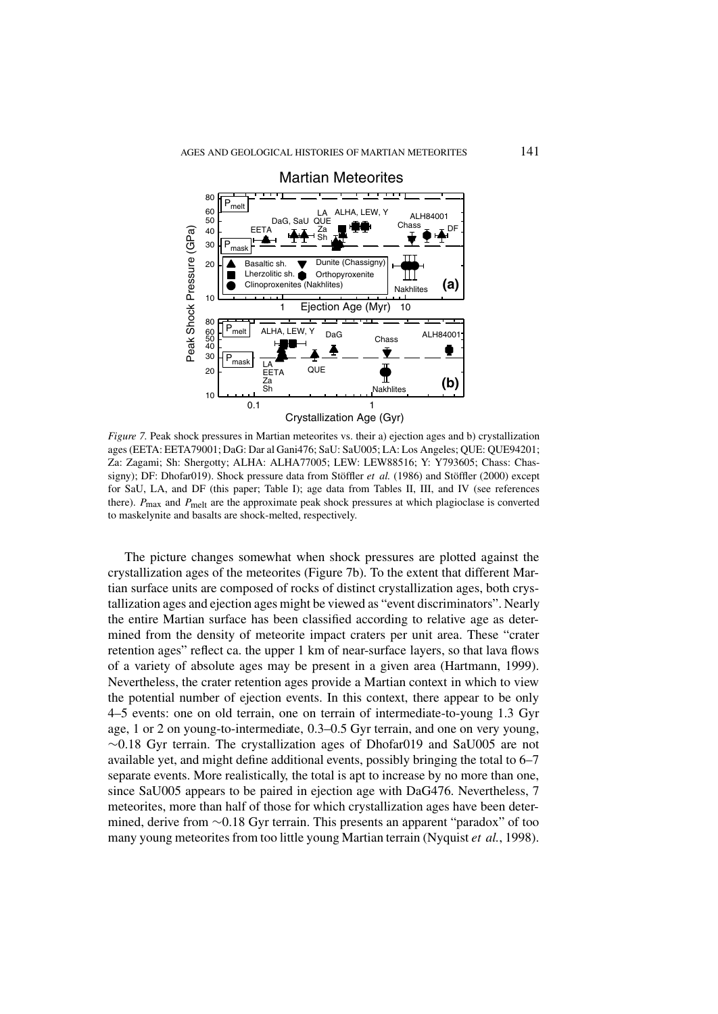

*Figure 7.* Peak shock pressures in Martian meteorites vs. their a) ejection ages and b) crystallization ages (EETA: EETA79001; DaG: Dar al Gani476; SaU: SaU005; LA: Los Angeles; QUE: QUE94201; Za: Zagami; Sh: Shergotty; ALHA: ALHA77005; LEW: LEW88516; Y: Y793605; Chass: Chassigny); DF: Dhofar019). Shock pressure data from Stöffler *et al.* (1986) and Stöffler (2000) except for SaU, LA, and DF (this paper; Table I); age data from Tables II, III, and IV (see references there). *P*max and *P*melt are the approximate peak shock pressures at which plagioclase is converted to maskelynite and basalts are shock-melted, respectively.

The picture changes somewhat when shock pressures are plotted against the crystallization ages of the meteorites (Figure 7b). To the extent that different Martian surface units are composed of rocks of distinct crystallization ages, both crystallization ages and ejection ages might be viewed as "event discriminators". Nearly the entire Martian surface has been classified according to relative age as determined from the density of meteorite impact craters per unit area. These "crater retention ages" reflect ca. the upper 1 km of near-surface layers, so that lava flows of a variety of absolute ages may be present in a given area (Hartmann, 1999). Nevertheless, the crater retention ages provide a Martian context in which to view the potential number of ejection events. In this context, there appear to be only 4–5 events: one on old terrain, one on terrain of intermediate-to-young 1.3 Gyr age, 1 or 2 on young-to-intermediate, 0.3–0.5 Gyr terrain, and one on very young, ∼0.18 Gyr terrain. The crystallization ages of Dhofar019 and SaU005 are not available yet, and might define additional events, possibly bringing the total to 6–7 separate events. More realistically, the total is apt to increase by no more than one, since SaU005 appears to be paired in ejection age with DaG476. Nevertheless, 7 meteorites, more than half of those for which crystallization ages have been determined, derive from ∼0.18 Gyr terrain. This presents an apparent "paradox" of too many young meteorites from too little young Martian terrain (Nyquist *et al.*, 1998).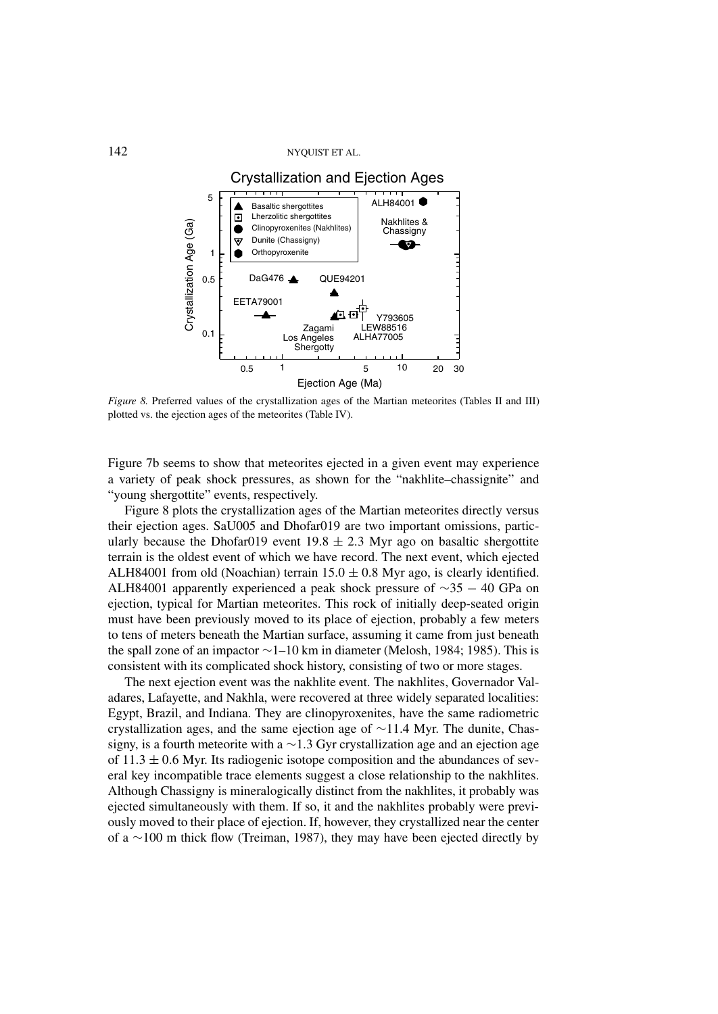

*Figure 8.* Preferred values of the crystallization ages of the Martian meteorites (Tables II and III) plotted vs. the ejection ages of the meteorites (Table IV).

Figure 7b seems to show that meteorites ejected in a given event may experience a variety of peak shock pressures, as shown for the "nakhlite–chassignite" and "young shergottite" events, respectively.

Figure 8 plots the crystallization ages of the Martian meteorites directly versus their ejection ages. SaU005 and Dhofar019 are two important omissions, particularly because the Dhofar019 event  $19.8 \pm 2.3$  Myr ago on basaltic shergottite terrain is the oldest event of which we have record. The next event, which ejected ALH84001 from old (Noachian) terrain  $15.0 \pm 0.8$  Myr ago, is clearly identified. ALH84001 apparently experienced a peak shock pressure of  $\sim$ 35 − 40 GPa on ejection, typical for Martian meteorites. This rock of initially deep-seated origin must have been previously moved to its place of ejection, probably a few meters to tens of meters beneath the Martian surface, assuming it came from just beneath the spall zone of an impactor ∼1–10 km in diameter (Melosh, 1984; 1985). This is consistent with its complicated shock history, consisting of two or more stages.

The next ejection event was the nakhlite event. The nakhlites, Governador Valadares, Lafayette, and Nakhla, were recovered at three widely separated localities: Egypt, Brazil, and Indiana. They are clinopyroxenites, have the same radiometric crystallization ages, and the same ejection age of ∼11.4 Myr. The dunite, Chassigny, is a fourth meteorite with a ∼1.3 Gyr crystallization age and an ejection age of  $11.3 \pm 0.6$  Myr. Its radiogenic isotope composition and the abundances of several key incompatible trace elements suggest a close relationship to the nakhlites. Although Chassigny is mineralogically distinct from the nakhlites, it probably was ejected simultaneously with them. If so, it and the nakhlites probably were previously moved to their place of ejection. If, however, they crystallized near the center of a ∼100 m thick flow (Treiman, 1987), they may have been ejected directly by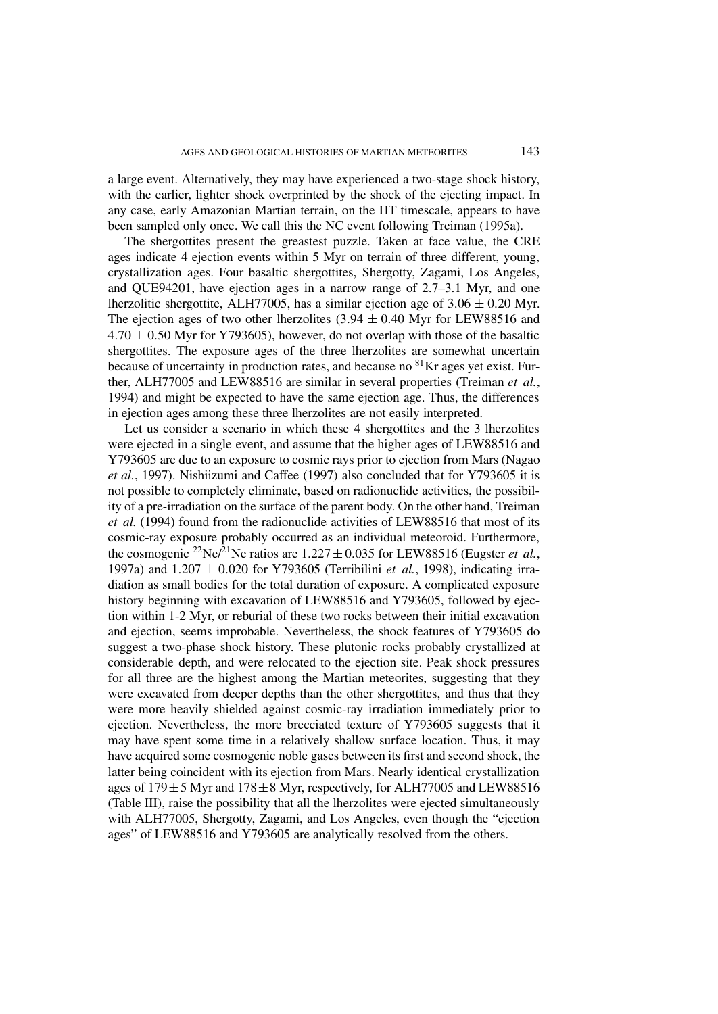a large event. Alternatively, they may have experienced a two-stage shock history, with the earlier, lighter shock overprinted by the shock of the ejecting impact. In any case, early Amazonian Martian terrain, on the HT timescale, appears to have been sampled only once. We call this the NC event following Treiman (1995a).

The shergottites present the greastest puzzle. Taken at face value, the CRE ages indicate 4 ejection events within 5 Myr on terrain of three different, young, crystallization ages. Four basaltic shergottites, Shergotty, Zagami, Los Angeles, and QUE94201, have ejection ages in a narrow range of 2.7–3.1 Myr, and one lherzolitic shergottite, ALH77005, has a similar ejection age of  $3.06 \pm 0.20$  Myr. The ejection ages of two other lherzolites  $(3.94 \pm 0.40 \text{ Myr}$  for LEW88516 and  $4.70 \pm 0.50$  Myr for Y793605), however, do not overlap with those of the basaltic shergottites. The exposure ages of the three lherzolites are somewhat uncertain because of uncertainty in production rates, and because no  $81$ Kr ages yet exist. Further, ALH77005 and LEW88516 are similar in several properties (Treiman *et al.*, 1994) and might be expected to have the same ejection age. Thus, the differences in ejection ages among these three lherzolites are not easily interpreted.

Let us consider a scenario in which these 4 shergottites and the 3 lherzolites were ejected in a single event, and assume that the higher ages of LEW88516 and Y793605 are due to an exposure to cosmic rays prior to ejection from Mars (Nagao *et al.*, 1997). Nishiizumi and Caffee (1997) also concluded that for Y793605 it is not possible to completely eliminate, based on radionuclide activities, the possibility of a pre-irradiation on the surface of the parent body. On the other hand, Treiman *et al.* (1994) found from the radionuclide activities of LEW88516 that most of its cosmic-ray exposure probably occurred as an individual meteoroid. Furthermore, the cosmogenic <sup>22</sup>Ne/<sup>21</sup>Ne ratios are  $1.227 \pm 0.035$  for LEW88516 (Eugster *et al.*, 1997a) and 1.207 ± 0.020 for Y793605 (Terribilini *et al.*, 1998), indicating irradiation as small bodies for the total duration of exposure. A complicated exposure history beginning with excavation of LEW88516 and Y793605, followed by ejection within 1-2 Myr, or reburial of these two rocks between their initial excavation and ejection, seems improbable. Nevertheless, the shock features of Y793605 do suggest a two-phase shock history. These plutonic rocks probably crystallized at considerable depth, and were relocated to the ejection site. Peak shock pressures for all three are the highest among the Martian meteorites, suggesting that they were excavated from deeper depths than the other shergottites, and thus that they were more heavily shielded against cosmic-ray irradiation immediately prior to ejection. Nevertheless, the more brecciated texture of Y793605 suggests that it may have spent some time in a relatively shallow surface location. Thus, it may have acquired some cosmogenic noble gases between its first and second shock, the latter being coincident with its ejection from Mars. Nearly identical crystallization ages of  $179 \pm 5$  Myr and  $178 \pm 8$  Myr, respectively, for ALH77005 and LEW88516 (Table III), raise the possibility that all the lherzolites were ejected simultaneously with ALH77005, Shergotty, Zagami, and Los Angeles, even though the "ejection ages" of LEW88516 and Y793605 are analytically resolved from the others.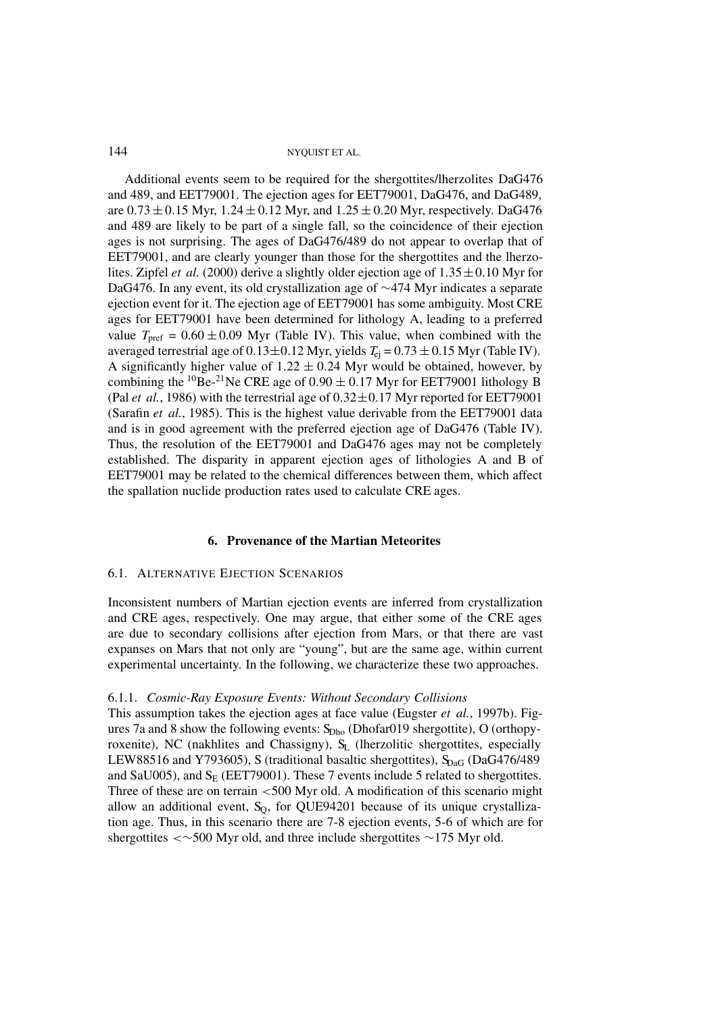Additional events seem to be required for the shergottites/lherzolites DaG476 and 489, and EET79001. The ejection ages for EET79001, DaG476, and DaG489, are  $0.73 \pm 0.15$  Myr,  $1.24 \pm 0.12$  Myr, and  $1.25 \pm 0.20$  Myr, respectively. DaG476 and 489 are likely to be part of a single fall, so the coincidence of their ejection ages is not surprising. The ages of DaG476/489 do not appear to overlap that of EET79001, and are clearly younger than those for the shergottites and the lherzolites. Zipfel *et al.* (2000) derive a slightly older ejection age of  $1.35 \pm 0.10$  Myr for DaG476. In any event, its old crystallization age of ∼474 Myr indicates a separate ejection event for it. The ejection age of EET79001 has some ambiguity. Most CRE ages for EET79001 have been determined for lithology A, leading to a preferred value  $T_{\text{pref}} = 0.60 \pm 0.09$  Myr (Table IV). This value, when combined with the averaged terrestrial age of  $0.13 \pm 0.12$  Myr, yields  $T_{ei} = 0.73 \pm 0.15$  Myr (Table IV). A significantly higher value of  $1.22 \pm 0.24$  Myr would be obtained, however, by combining the <sup>10</sup>Be-<sup>21</sup>Ne CRE age of  $0.90 \pm 0.17$  Myr for EET79001 lithology B (Pal *et al.*, 1986) with the terrestrial age of  $0.32 \pm 0.17$  Myr reported for EET79001 (Sarafin *et al.*, 1985). This is the highest value derivable from the EET79001 data and is in good agreement with the preferred ejection age of DaG476 (Table IV). Thus, the resolution of the EET79001 and DaG476 ages may not be completely established. The disparity in apparent ejection ages of lithologies A and B of EET79001 may be related to the chemical differences between them, which affect the spallation nuclide production rates used to calculate CRE ages.

### **6. Provenance of the Martian Meteorites**

### 6.1. ALTERNATIVE EJECTION SCENARIOS

Inconsistent numbers of Martian ejection events are inferred from crystallization and CRE ages, respectively. One may argue, that either some of the CRE ages are due to secondary collisions after ejection from Mars, or that there are vast expanses on Mars that not only are "young", but are the same age, within current experimental uncertainty. In the following, we characterize these two approaches.

### 6.1.1. *Cosmic-Ray Exposure Events: Without Secondary Collisions*

This assumption takes the ejection ages at face value (Eugster *et al.*, 1997b). Figures 7a and 8 show the following events:  $S_{Dho}$  (Dhofar019 shergottite), O (orthopyroxenite), NC (nakhlites and Chassigny), S<sub>L</sub> (lherzolitic shergottites, especially LEW88516 and Y793605), S (traditional basaltic shergottites),  $S_{DAG}$  (DaG476/489 and SaU005), and  $S_E$  (EET79001). These 7 events include 5 related to shergottites. Three of these are on terrain <500 Myr old. A modification of this scenario might allow an additional event,  $S_Q$ , for QUE94201 because of its unique crystallization age. Thus, in this scenario there are 7-8 ejection events, 5-6 of which are for shergottites <∼500 Myr old, and three include shergottites ∼175 Myr old.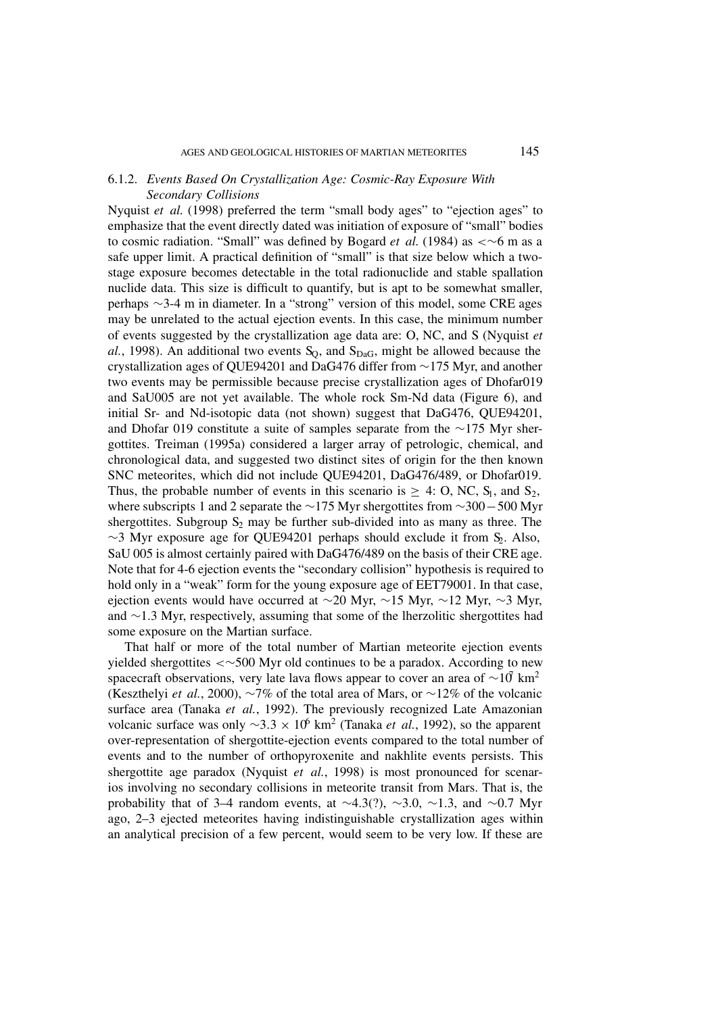# 6.1.2. *Events Based On Crystallization Age: Cosmic-Ray Exposure With Secondary Collisions*

Nyquist *et al.* (1998) preferred the term "small body ages" to "ejection ages" to emphasize that the event directly dated was initiation of exposure of "small" bodies to cosmic radiation. "Small" was defined by Bogard *et al.* (1984) as <∼6 m as a safe upper limit. A practical definition of "small" is that size below which a twostage exposure becomes detectable in the total radionuclide and stable spallation nuclide data. This size is difficult to quantify, but is apt to be somewhat smaller, perhaps ∼3-4 m in diameter. In a "strong" version of this model, some CRE ages may be unrelated to the actual ejection events. In this case, the minimum number of events suggested by the crystallization age data are:O, NC, and S (Nyquist *et*  $al.$ , 1998). An additional two events  $S<sub>0</sub>$ , and  $S<sub>DaG</sub>$ , might be allowed because the crystallization ages of QUE94201 and DaG476 differ from ∼175 Myr, and another two events may be permissible because precise crystallization ages of Dhofar019 and SaU005 are not yet available. The whole rock Sm-Nd data (Figure 6), and initial Sr- and Nd-isotopic data (not shown) suggest that DaG476, QUE94201, and Dhofar 019 constitute a suite of samples separate from the ∼175 Myr shergottites. Treiman (1995a) considered a larger array of petrologic, chemical, and chronological data, and suggested two distinct sites of origin for the then known SNC meteorites, which did not include QUE94201, DaG476/489, or Dhofar019. Thus, the probable number of events in this scenario is  $\geq 4$ : O, NC, S<sub>1</sub>, and S<sub>2</sub>, where subscripts 1 and 2 separate the ∼175 Myr shergottites from ∼300−500 Myr shergottites. Subgroup  $S_2$  may be further sub-divided into as many as three. The  $\sim$ 3 Myr exposure age for QUE94201 perhaps should exclude it from S<sub>2</sub>. Also, SaU 005 is almost certainly paired with DaG476/489 on the basis of their CRE age. Note that for 4-6 ejection events the "secondary collision" hypothesis is required to hold only in a "weak" form for the young exposure age of EET79001. In that case, ejection events would have occurred at ∼20 Myr, ∼15 Myr, ∼12 Myr, ∼3 Myr, and ∼1.3 Myr, respectively, assuming that some of the lherzolitic shergottites had some exposure on the Martian surface.

That half or more of the total number of Martian meteorite ejection events yielded shergottites <∼500 Myr old continues to be a paradox. According to new spacecraft observations, very late lava flows appear to cover an area of  $\sim 10^7$  km<sup>2</sup> (Keszthelyi *et al.*, 2000), ∼7% of the total area of Mars, or ∼12% of the volcanic surface area (Tanaka *et al.*, 1992). The previously recognized Late Amazonian volcanic surface was only ∼3.3 × 106 km2 (Tanaka *et al.*, 1992), so the apparent over-representation of shergottite-ejection events compared to the total number of events and to the number of orthopyroxenite and nakhlite events persists. This shergottite age paradox (Nyquist *et al.*, 1998) is most pronounced for scenarios involving no secondary collisions in meteorite transit from Mars. That is, the probability that of 3–4 random events, at  $\sim$ 4.3(?),  $\sim$ 3.0,  $\sim$ 1.3, and  $\sim$ 0.7 Myr ago, 2–3 ejected meteorites having indistinguishable crystallization ages within an analytical precision of a few percent, would seem to be very low. If these are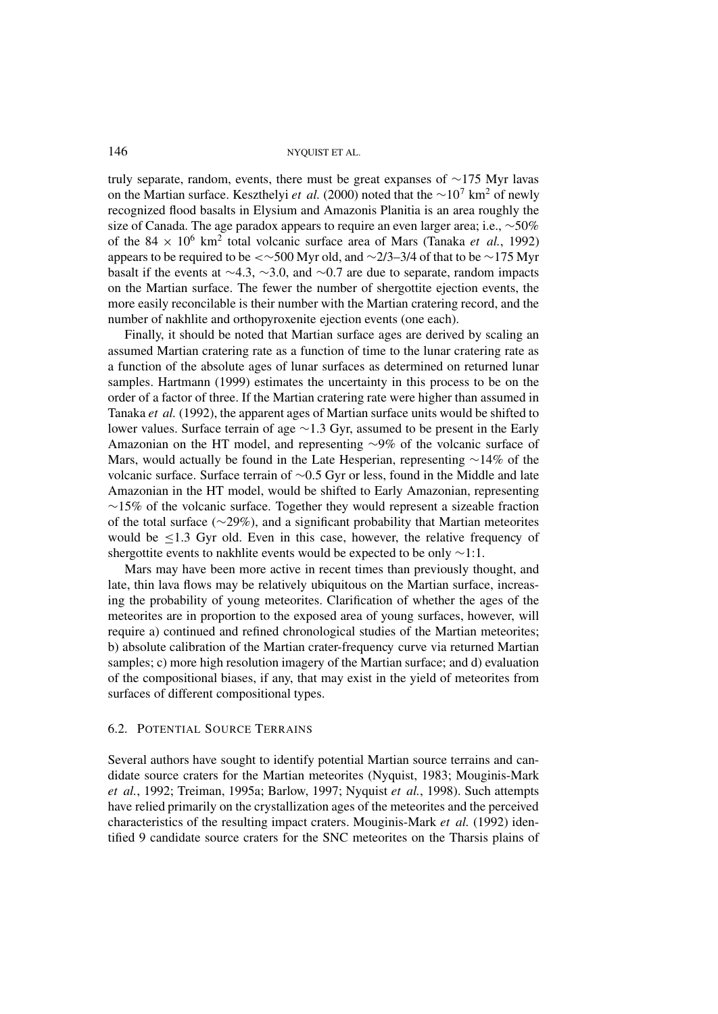truly separate, random, events, there must be great expanses of ∼175 Myr lavas on the Martian surface. Keszthelyi *et al.* (2000) noted that the ∼10<sup>7</sup> km2 of newly recognized flood basalts in Elysium and Amazonis Planitia is an area roughly the size of Canada. The age paradox appears to require an even larger area; i.e.,  $\sim$ 50% of the  $84 \times 10^6$  km<sup>2</sup> total volcanic surface area of Mars (Tanaka *et al.*, 1992) appears to be required to be <∼500 Myr old, and ∼2/3–3/4 of that to be ∼175 Myr basalt if the events at ∼4.3, ∼3.0, and ∼0.7 are due to separate, random impacts on the Martian surface. The fewer the number of shergottite ejection events, the more easily reconcilable is their number with the Martian cratering record, and the number of nakhlite and orthopyroxenite ejection events (one each).

Finally, it should be noted that Martian surface ages are derived by scaling an assumed Martian cratering rate as a function of time to the lunar cratering rate as a function of the absolute ages of lunar surfaces as determined on returned lunar samples. Hartmann (1999) estimates the uncertainty in this process to be on the order of a factor of three. If the Martian cratering rate were higher than assumed in Tanaka *et al.* (1992), the apparent ages of Martian surface units would be shifted to lower values. Surface terrain of age ∼1.3 Gyr, assumed to be present in the Early Amazonian on the HT model, and representing ∼9% of the volcanic surface of Mars, would actually be found in the Late Hesperian, representing ∼14% of the volcanic surface. Surface terrain of ∼0.5 Gyr or less, found in the Middle and late Amazonian in the HT model, would be shifted to Early Amazonian, representing ∼15% of the volcanic surface. Together they would represent a sizeable fraction of the total surface (∼29%), and a significant probability that Martian meteorites would be <1.3 Gyr old. Even in this case, however, the relative frequency of shergottite events to nakhlite events would be expected to be only ∼1:1.

Mars may have been more active in recent times than previously thought, and late, thin lava flows may be relatively ubiquitous on the Martian surface, increasing the probability of young meteorites. Clarification of whether the ages of the meteorites are in proportion to the exposed area of young surfaces, however, will require a) continued and refined chronological studies of the Martian meteorites; b) absolute calibration of the Martian crater-frequency curve via returned Martian samples; c) more high resolution imagery of the Martian surface; and d) evaluation of the compositional biases, if any, that may exist in the yield of meteorites from surfaces of different compositional types.

## 6.2. POTENTIAL SOURCE TERRAINS

Several authors have sought to identify potential Martian source terrains and candidate source craters for the Martian meteorites (Nyquist, 1983; Mouginis-Mark *et al.*, 1992; Treiman, 1995a; Barlow, 1997; Nyquist *et al.*, 1998). Such attempts have relied primarily on the crystallization ages of the meteorites and the perceived characteristics of the resulting impact craters. Mouginis-Mark *et al.* (1992) identified 9 candidate source craters for the SNC meteorites on the Tharsis plains of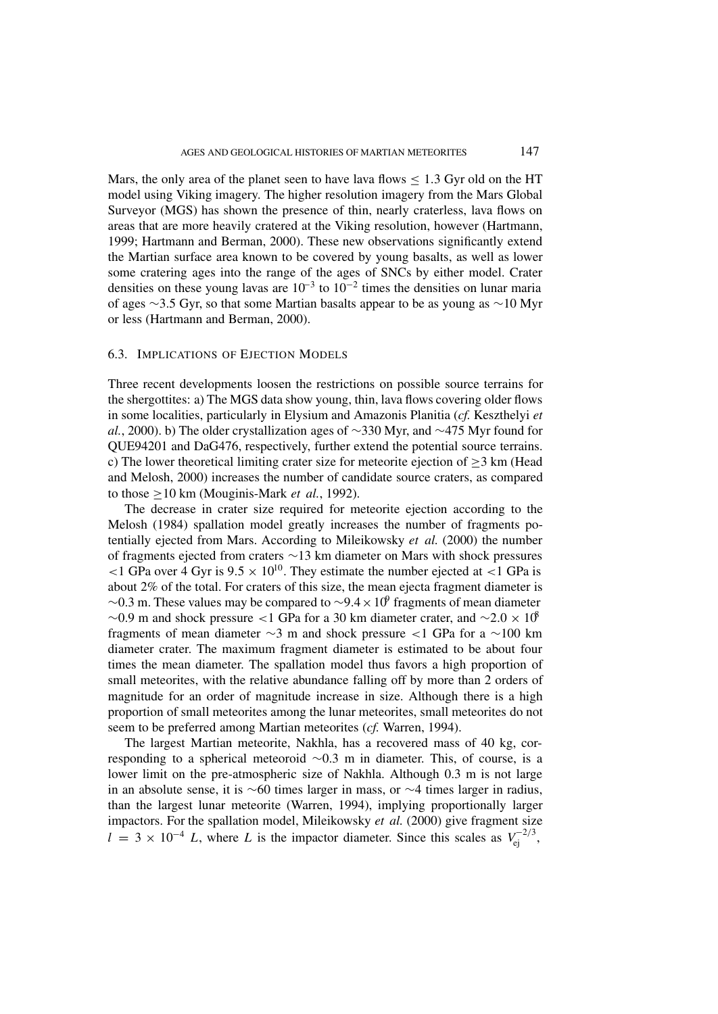Mars, the only area of the planet seen to have lava flows  $\leq 1.3$  Gyr old on the HT model using Viking imagery. The higher resolution imagery from the Mars Global Surveyor (MGS) has shown the presence of thin, nearly craterless, lava flows on areas that are more heavily cratered at the Viking resolution, however (Hartmann, 1999; Hartmann and Berman, 2000). These new observations significantly extend the Martian surface area known to be covered by young basalts, as well as lower some cratering ages into the range of the ages of SNCs by either model. Crater densities on these young lavas are  $10^{-3}$  to  $10^{-2}$  times the densities on lunar maria of ages ∼3.5 Gyr, so that some Martian basalts appear to be as young as ∼10 Myr or less (Hartmann and Berman, 2000).

#### 6.3. IMPLICATIONS OF EJECTION MODELS

Three recent developments loosen the restrictions on possible source terrains for the shergottites: a) The MGS data show young, thin, lava flows covering older flows in some localities, particularly in Elysium and Amazonis Planitia (*cf.* Keszthelyi *et al.*, 2000). b) The older crystallization ages of ∼330 Myr, and ∼475 Myr found for QUE94201 and DaG476, respectively, further extend the potential source terrains. c) The lower theoretical limiting crater size for meteorite ejection of  $\geq 3$  km (Head and Melosh, 2000) increases the number of candidate source craters, as compared to those  $\geq$  10 km (Mouginis-Mark *et al.*, 1992).

The decrease in crater size required for meteorite ejection according to the Melosh (1984) spallation model greatly increases the number of fragments potentially ejected from Mars. According to Mileikowsky *et al.* (2000) the number of fragments ejected from craters ∼13 km diameter on Mars with shock pressures  $\langle$  1 GPa over 4 Gyr is 9.5  $\times$  10<sup>10</sup>. They estimate the number ejected at  $\langle$  1 GPa is about 2% of the total. For craters of this size, the mean ejecta fragment diameter is  $\sim$ 0.3 m. These values may be compared to  $\sim$ 9.4 × 10<sup>9</sup> fragments of mean diameter  $\sim$ 0.9 m and shock pressure <1 GPa for a 30 km diameter crater, and  $\sim$ 2.0  $\times$  10<sup>8</sup> fragments of mean diameter ∼3 m and shock pressure <1 GPa for a ∼100 km diameter crater. The maximum fragment diameter is estimated to be about four times the mean diameter. The spallation model thus favors a high proportion of small meteorites, with the relative abundance falling off by more than 2 orders of magnitude for an order of magnitude increase in size. Although there is a high proportion of small meteorites among the lunar meteorites, small meteorites do not seem to be preferred among Martian meteorites (*cf.* Warren, 1994).

The largest Martian meteorite, Nakhla, has a recovered mass of 40 kg, corresponding to a spherical meteoroid ∼0.3 m in diameter. This, of course, is a lower limit on the pre-atmospheric size of Nakhla. Although 0.3 m is not large in an absolute sense, it is ∼60 times larger in mass, or ∼4 times larger in radius, than the largest lunar meteorite (Warren, 1994), implying proportionally larger impactors. For the spallation model, Mileikowsky *et al.* (2000) give fragment size  $l = 3 \times 10^{-4}$  *L*, where *L* is the impactor diameter. Since this scales as  $V_{\text{ej}}^{-2/3}$ ,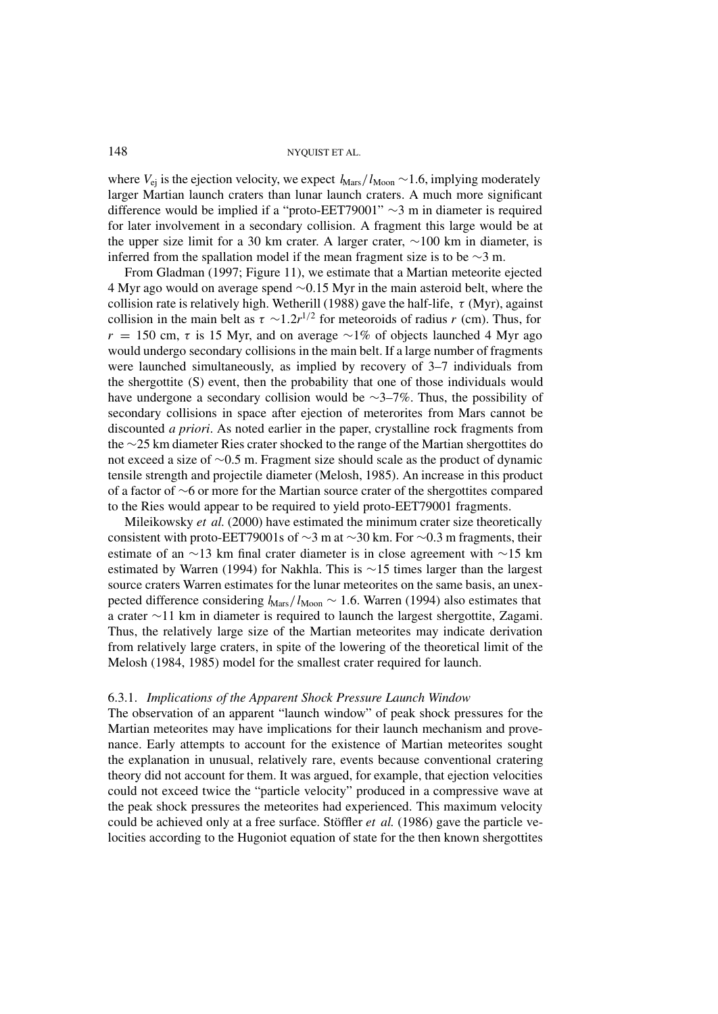where  $V_{ei}$  is the ejection velocity, we expect  $l_{\text{Mars}}/l_{\text{Moon}} \sim 1.6$ , implying moderately larger Martian launch craters than lunar launch craters. A much more significant difference would be implied if a "proto-EET79001" ∼3 m in diameter is required for later involvement in a secondary collision. A fragment this large would be at the upper size limit for a 30 km crater. A larger crater, ∼100 km in diameter, is inferred from the spallation model if the mean fragment size is to be ∼3 m.

From Gladman (1997; Figure 11), we estimate that a Martian meteorite ejected 4 Myr ago would on average spend ∼0.15 Myr in the main asteroid belt, where the collision rate is relatively high. Wetherill (1988) gave the half-life,  $\tau$  (Myr), against collision in the main belt as  $\tau \sim 1.2r^{1/2}$  for meteoroids of radius *r* (cm). Thus, for *r* = 150 cm, *τ* is 15 Myr, and on average ~1% of objects launched 4 Myr ago would undergo secondary collisions in the main belt. If a large number of fragments were launched simultaneously, as implied by recovery of 3–7 individuals from the shergottite (S) event, then the probability that one of those individuals would have undergone a secondary collision would be ∼3–7%. Thus, the possibility of secondary collisions in space after ejection of meterorites from Mars cannot be discounted *a priori*. As noted earlier in the paper, crystalline rock fragments from the ∼25 km diameter Ries crater shocked to the range of the Martian shergottites do not exceed a size of ∼0.5 m. Fragment size should scale as the product of dynamic tensile strength and projectile diameter (Melosh, 1985). An increase in this product of a factor of ∼6 or more for the Martian source crater of the shergottites compared to the Ries would appear to be required to yield proto-EET79001 fragments.

Mileikowsky *et al.* (2000) have estimated the minimum crater size theoretically consistent with proto-EET79001s of  $\sim$ 3 m at  $\sim$ 30 km. For  $\sim$ 0.3 m fragments, their estimate of an ∼13 km final crater diameter is in close agreement with ∼15 km estimated by Warren (1994) for Nakhla. This is ∼15 times larger than the largest source craters Warren estimates for the lunar meteorites on the same basis, an unexpected difference considering *l*<sub>Mars</sub>/*l*<sub>Moon</sub> ~ 1.6. Warren (1994) also estimates that a crater ∼11 km in diameter is required to launch the largest shergottite, Zagami. Thus, the relatively large size of the Martian meteorites may indicate derivation from relatively large craters, in spite of the lowering of the theoretical limit of the Melosh (1984, 1985) model for the smallest crater required for launch.

### 6.3.1. *Implications of the Apparent Shock Pressure Launch Window*

The observation of an apparent "launch window" of peak shock pressures for the Martian meteorites may have implications for their launch mechanism and provenance. Early attempts to account for the existence of Martian meteorites sought the explanation in unusual, relatively rare, events because conventional cratering theory did not account for them. It was argued, for example, that ejection velocities could not exceed twice the "particle velocity" produced in a compressive wave at the peak shock pressures the meteorites had experienced. This maximum velocity could be achieved only at a free surface. Stöffler *et al.* (1986) gave the particle velocities according to the Hugoniot equation of state for the then known shergottites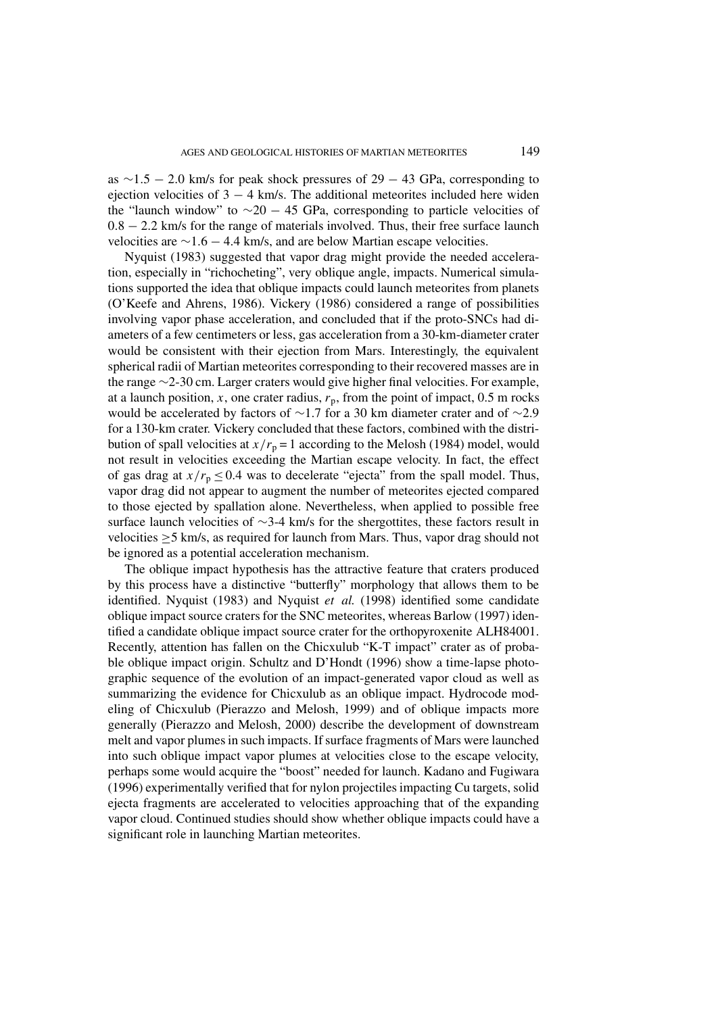as  $\sim$ 1.5 − 2.0 km/s for peak shock pressures of 29 − 43 GPa, corresponding to ejection velocities of  $3 - 4$  km/s. The additional meteorites included here widen the "launch window" to  $\sim$ 20 − 45 GPa, corresponding to particle velocities of 0.8 − 2.2 km/s for the range of materials involved. Thus, their free surface launch velocities are ∼1.6 − 4.4 km/s, and are below Martian escape velocities.

Nyquist (1983) suggested that vapor drag might provide the needed acceleration, especially in "richocheting", very oblique angle, impacts. Numerical simulations supported the idea that oblique impacts could launch meteorites from planets (O'Keefe and Ahrens, 1986). Vickery (1986) considered a range of possibilities involving vapor phase acceleration, and concluded that if the proto-SNCs had diameters of a few centimeters or less, gas acceleration from a 30-km-diameter crater would be consistent with their ejection from Mars. Interestingly, the equivalent spherical radii of Martian meteorites corresponding to their recovered masses are in the range ∼2-30 cm. Larger craters would give higher final velocities. For example, at a launch position,  $x$ , one crater radius,  $r_p$ , from the point of impact, 0.5 m rocks would be accelerated by factors of ∼1.7 for a 30 km diameter crater and of ∼2.9 for a 130-km crater. Vickery concluded that these factors, combined with the distribution of spall velocities at  $x/r_p = 1$  according to the Melosh (1984) model, would not result in velocities exceeding the Martian escape velocity. In fact, the effect of gas drag at  $x/r_p \leq 0.4$  was to decelerate "ejecta" from the spall model. Thus, vapor drag did not appear to augment the number of meteorites ejected compared to those ejected by spallation alone. Nevertheless, when applied to possible free surface launch velocities of ∼3-4 km/s for the shergottites, these factors result in velocities ≥5 km/s, as required for launch from Mars. Thus, vapor drag should not be ignored as a potential acceleration mechanism.

The oblique impact hypothesis has the attractive feature that craters produced by this process have a distinctive "butterfly" morphology that allows them to be identified. Nyquist (1983) and Nyquist *et al.* (1998) identified some candidate oblique impact source craters for the SNC meteorites, whereas Barlow (1997) identified a candidate oblique impact source crater for the orthopyroxenite ALH84001. Recently, attention has fallen on the Chicxulub "K-T impact" crater as of probable oblique impact origin. Schultz and D'Hondt (1996) show a time-lapse photographic sequence of the evolution of an impact-generated vapor cloud as well as summarizing the evidence for Chicxulub as an oblique impact. Hydrocode modeling of Chicxulub (Pierazzo and Melosh, 1999) and of oblique impacts more generally (Pierazzo and Melosh, 2000) describe the development of downstream melt and vapor plumes in such impacts. If surface fragments of Mars were launched into such oblique impact vapor plumes at velocities close to the escape velocity, perhaps some would acquire the "boost" needed for launch. Kadano and Fugiwara (1996) experimentally verified that for nylon projectiles impacting Cu targets, solid ejecta fragments are accelerated to velocities approaching that of the expanding vapor cloud. Continued studies should show whether oblique impacts could have a significant role in launching Martian meteorites.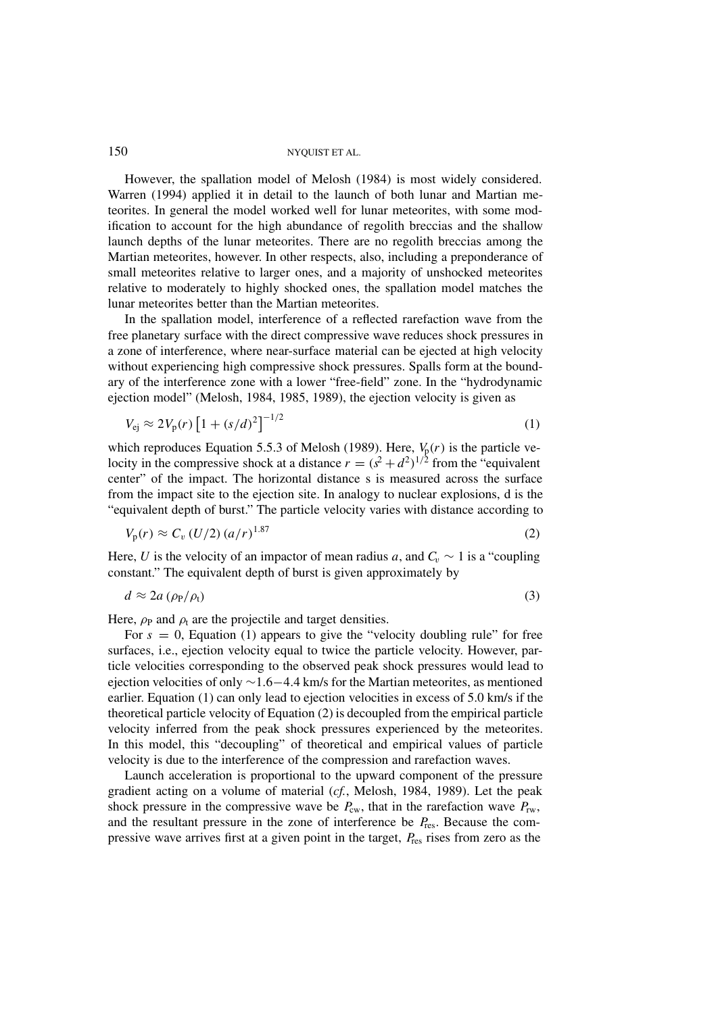However, the spallation model of Melosh (1984) is most widely considered. Warren (1994) applied it in detail to the launch of both lunar and Martian meteorites. In general the model worked well for lunar meteorites, with some modification to account for the high abundance of regolith breccias and the shallow launch depths of the lunar meteorites. There are no regolith breccias among the Martian meteorites, however. In other respects, also, including a preponderance of small meteorites relative to larger ones, and a majority of unshocked meteorites relative to moderately to highly shocked ones, the spallation model matches the lunar meteorites better than the Martian meteorites.

In the spallation model, interference of a reflected rarefaction wave from the free planetary surface with the direct compressive wave reduces shock pressures in a zone of interference, where near-surface material can be ejected at high velocity without experiencing high compressive shock pressures. Spalls form at the boundary of the interference zone with a lower "free-field" zone. In the "hydrodynamic ejection model" (Melosh, 1984, 1985, 1989), the ejection velocity is given as

$$
V_{\rm ej} \approx 2V_{\rm p}(r)\left[1 + (s/d)^2\right]^{-1/2} \tag{1}
$$

which reproduces Equation 5.5.3 of Melosh (1989). Here,  $V_p(r)$  is the particle velocity in the compressive shock at a distance  $r = (s^2 + d^2)^{1/2}$  from the "equivalent" center" of the impact. The horizontal distance s is measured across the surface from the impact site to the ejection site. In analogy to nuclear explosions, d is the "equivalent depth of burst." The particle velocity varies with distance according to

$$
V_{\rm p}(r) \approx C_v \,(U/2) \,(a/r)^{1.87} \tag{2}
$$

Here, *U* is the velocity of an impactor of mean radius *a*, and  $C_v \sim 1$  is a "coupling" constant." The equivalent depth of burst is given approximately by

$$
d \approx 2a \left(\rho_{\rm P}/\rho_{\rm t}\right) \tag{3}
$$

Here,  $\rho_P$  and  $\rho_t$  are the projectile and target densities.

For  $s = 0$ , Equation (1) appears to give the "velocity doubling rule" for free surfaces, i.e., ejection velocity equal to twice the particle velocity. However, particle velocities corresponding to the observed peak shock pressures would lead to ejection velocities of only ∼1.6−4.4 km/s for the Martian meteorites, as mentioned earlier. Equation (1) can only lead to ejection velocities in excess of 5.0 km/s if the theoretical particle velocity of Equation (2) is decoupled from the empirical particle velocity inferred from the peak shock pressures experienced by the meteorites. In this model, this "decoupling" of theoretical and empirical values of particle velocity is due to the interference of the compression and rarefaction waves.

Launch acceleration is proportional to the upward component of the pressure gradient acting on a volume of material (*cf.*, Melosh, 1984, 1989). Let the peak shock pressure in the compressive wave be  $P_{\text{cw}}$ , that in the rarefaction wave  $P_{\text{rw}}$ , and the resultant pressure in the zone of interference be  $P_{res}$ . Because the compressive wave arrives first at a given point in the target,  $P_{res}$  rises from zero as the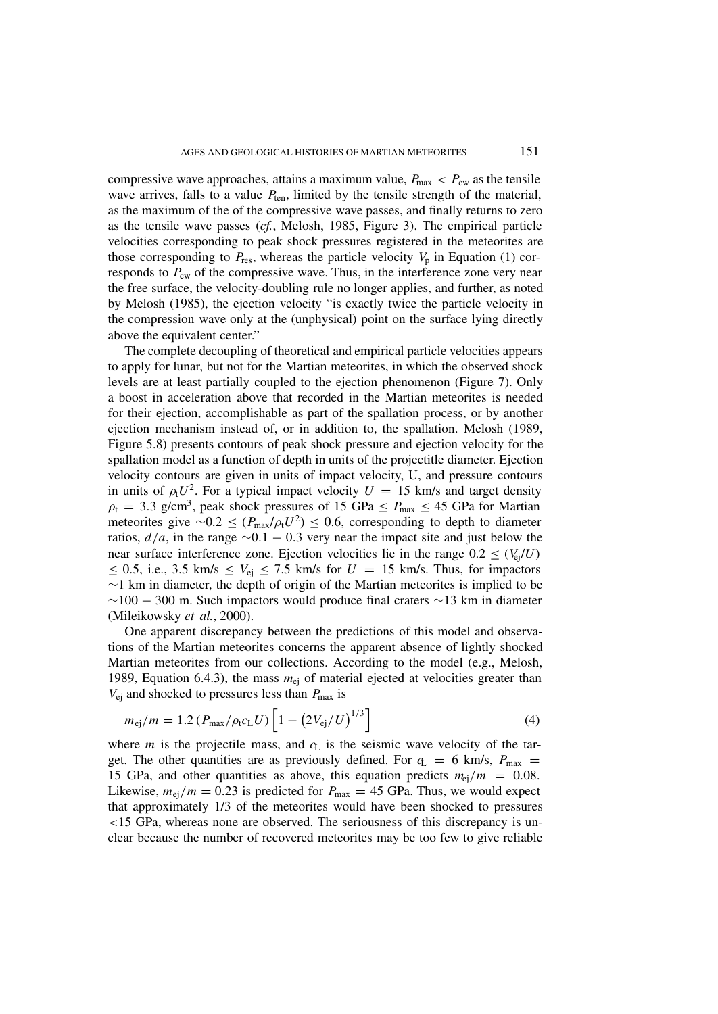compressive wave approaches, attains a maximum value,  $P_{\text{max}} < P_{\text{cw}}$  as the tensile wave arrives, falls to a value  $P_{ten}$ , limited by the tensile strength of the material, as the maximum of the of the compressive wave passes, and finally returns to zero as the tensile wave passes (*cf.*, Melosh, 1985, Figure 3). The empirical particle velocities corresponding to peak shock pressures registered in the meteorites are those corresponding to  $P_{\text{res}}$ , whereas the particle velocity  $V_p$  in Equation (1) corresponds to  $P_{\text{cw}}$  of the compressive wave. Thus, in the interference zone very near the free surface, the velocity-doubling rule no longer applies, and further, as noted by Melosh (1985), the ejection velocity "is exactly twice the particle velocity in the compression wave only at the (unphysical) point on the surface lying directly above the equivalent center."

The complete decoupling of theoretical and empirical particle velocities appears to apply for lunar, but not for the Martian meteorites, in which the observed shock levels are at least partially coupled to the ejection phenomenon (Figure 7). Only a boost in acceleration above that recorded in the Martian meteorites is needed for their ejection, accomplishable as part of the spallation process, or by another ejection mechanism instead of, or in addition to, the spallation. Melosh (1989, Figure 5.8) presents contours of peak shock pressure and ejection velocity for the spallation model as a function of depth in units of the projectitle diameter. Ejection velocity contours are given in units of impact velocity, U, and pressure contours in units of  $\rho_t U^2$ . For a typical impact velocity  $U = 15$  km/s and target density  $\rho_t = 3.3$  g/cm<sup>3</sup>, peak shock pressures of 15 GPa  $\leq P_{\text{max}} \leq 45$  GPa for Martian meteorites give ~0.2 ≤ ( $P_{\text{max}}/\rho_t U^2$ ) ≤ 0.6, corresponding to depth to diameter ratios,  $d/a$ , in the range  $\sim 0.1 - 0.3$  very near the impact site and just below the near surface interference zone. Ejection velocities lie in the range  $0.2 \leq (V_{\rm ej}/U)$ ≤ 0.5, i.e., 3.5 km/s ≤  $V_{ei}$  ≤ 7.5 km/s for  $U = 15$  km/s. Thus, for impactors  $~\sim$ 1 km in diameter, the depth of origin of the Martian meteorites is implied to be  $\sim$ 100 − 300 m. Such impactors would produce final craters  $\sim$ 13 km in diameter (Mileikowsky *et al.*, 2000).

One apparent discrepancy between the predictions of this model and observations of the Martian meteorites concerns the apparent absence of lightly shocked Martian meteorites from our collections. According to the model (e.g., Melosh, 1989, Equation 6.4.3), the mass  $m_{e}$  of material ejected at velocities greater than  $V_{ei}$  and shocked to pressures less than  $P_{\text{max}}$  is

$$
m_{\rm ej}/m = 1.2 \left( P_{\rm max} / \rho_{\rm t} c_{\rm L} U \right) \left[ 1 - \left( 2 V_{\rm ej} / U \right)^{1/3} \right] \tag{4}
$$

where *m* is the projectile mass, and  $q_{\perp}$  is the seismic wave velocity of the target. The other quantities are as previously defined. For  $q_{\perp} = 6$  km/s,  $P_{\text{max}} =$ 15 GPa, and other quantities as above, this equation predicts  $m_{ei}/m = 0.08$ . Likewise,  $m_{\text{ej}}/m = 0.23$  is predicted for  $P_{\text{max}} = 45$  GPa. Thus, we would expect that approximately 1/3 of the meteorites would have been shocked to pressures <15 GPa, whereas none are observed. The seriousness of this discrepancy is unclear because the number of recovered meteorites may be too few to give reliable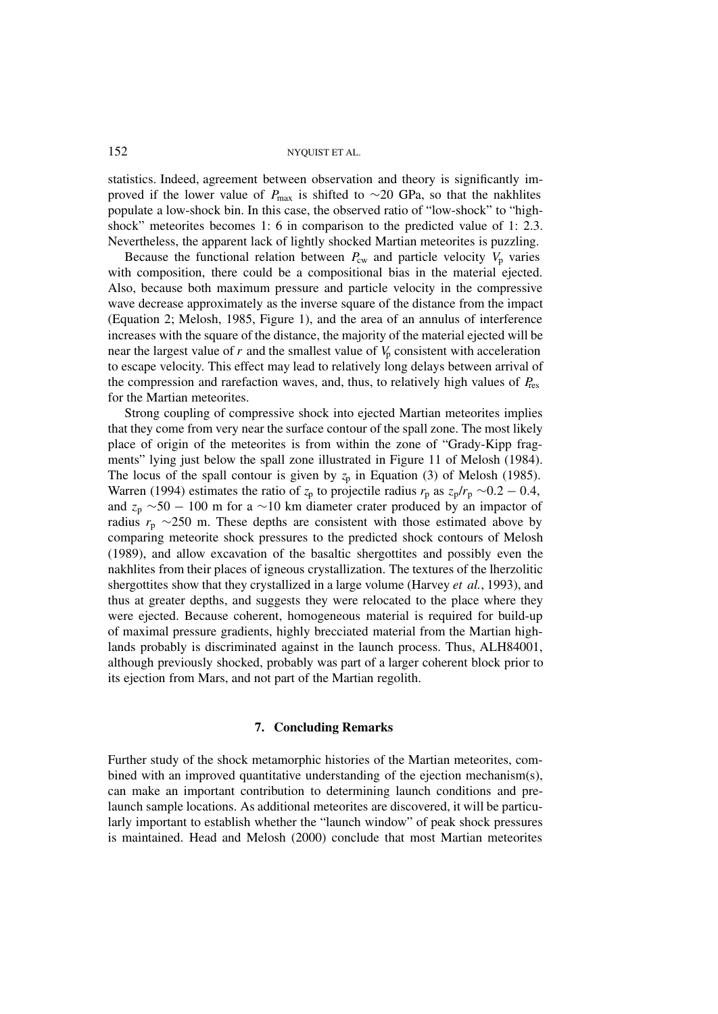statistics. Indeed, agreement between observation and theory is significantly improved if the lower value of  $P_{\text{max}}$  is shifted to ~20 GPa, so that the nakhlites populate a low-shock bin. In this case, the observed ratio of "low-shock" to "highshock" meteorites becomes 1:6 in comparison to the predicted value of 1:2.3. Nevertheless, the apparent lack of lightly shocked Martian meteorites is puzzling.

Because the functional relation between  $P_{\rm cw}$  and particle velocity  $V_{\rm p}$  varies with composition, there could be a compositional bias in the material ejected. Also, because both maximum pressure and particle velocity in the compressive wave decrease approximately as the inverse square of the distance from the impact (Equation 2; Melosh, 1985, Figure 1), and the area of an annulus of interference increases with the square of the distance, the majority of the material ejected will be near the largest value of  $r$  and the smallest value of  $V_p$  consistent with acceleration to escape velocity. This effect may lead to relatively long delays between arrival of the compression and rarefaction waves, and, thus, to relatively high values of  $P_{\text{res}}$ for the Martian meteorites.

Strong coupling of compressive shock into ejected Martian meteorites implies that they come from very near the surface contour of the spall zone. The most likely place of origin of the meteorites is from within the zone of "Grady-Kipp fragments" lying just below the spall zone illustrated in Figure 11 of Melosh (1984). The locus of the spall contour is given by  $z_p$  in Equation (3) of Melosh (1985). Warren (1994) estimates the ratio of  $z_p$  to projectile radius  $r_p$  as  $z_p/r_p \sim 0.2 - 0.4$ , and *z*<sup>p</sup> ∼50 − 100 m for a ∼10 km diameter crater produced by an impactor of radius  $r_p \sim 250$  m. These depths are consistent with those estimated above by comparing meteorite shock pressures to the predicted shock contours of Melosh (1989), and allow excavation of the basaltic shergottites and possibly even the nakhlites from their places of igneous crystallization. The textures of the lherzolitic shergottites show that they crystallized in a large volume (Harvey *et al.*, 1993), and thus at greater depths, and suggests they were relocated to the place where they were ejected. Because coherent, homogeneous material is required for build-up of maximal pressure gradients, highly brecciated material from the Martian highlands probably is discriminated against in the launch process. Thus, ALH84001, although previously shocked, probably was part of a larger coherent block prior to its ejection from Mars, and not part of the Martian regolith.

### **7. Concluding Remarks**

Further study of the shock metamorphic histories of the Martian meteorites, combined with an improved quantitative understanding of the ejection mechanism(s), can make an important contribution to determining launch conditions and prelaunch sample locations. As additional meteorites are discovered, it will be particularly important to establish whether the "launch window" of peak shock pressures is maintained. Head and Melosh (2000) conclude that most Martian meteorites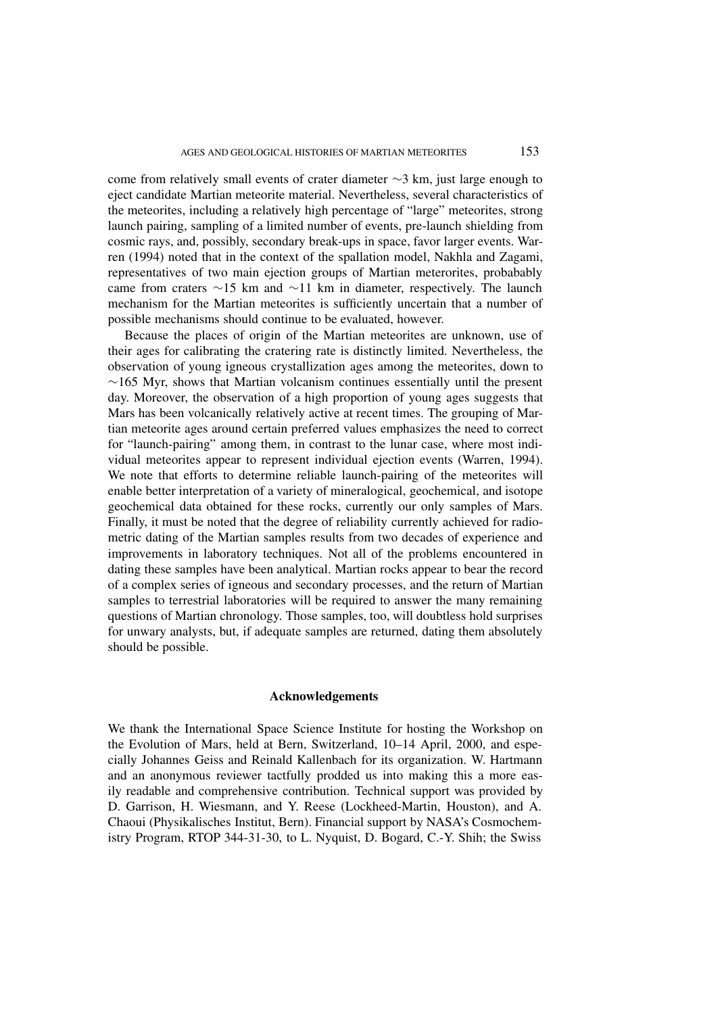come from relatively small events of crater diameter  $\sim$ 3 km, just large enough to eject candidate Martian meteorite material. Nevertheless, several characteristics of the meteorites, including a relatively high percentage of "large" meteorites, strong launch pairing, sampling of a limited number of events, pre-launch shielding from cosmic rays, and, possibly, secondary break-ups in space, favor larger events. Warren (1994) noted that in the context of the spallation model, Nakhla and Zagami, representatives of two main ejection groups of Martian meterorites, probabably came from craters  $\sim$ 15 km and  $\sim$ 11 km in diameter, respectively. The launch mechanism for the Martian meteorites is sufficiently uncertain that a number of possible mechanisms should continue to be evaluated, however.

Because the places of origin of the Martian meteorites are unknown, use of their ages for calibrating the cratering rate is distinctly limited. Nevertheless, the observation of young igneous crystallization ages among the meteorites, down to  $~\sim$ 165 Myr, shows that Martian volcanism continues essentially until the present day. Moreover, the observation of a high proportion of young ages suggests that Mars has been volcanically relatively active at recent times. The grouping of Martian meteorite ages around certain preferred values emphasizes the need to correct for "launch-pairing" among them, in contrast to the lunar case, where most individual meteorites appear to represent individual ejection events (Warren, 1994). We note that efforts to determine reliable launch-pairing of the meteorites will enable better interpretation of a variety of mineralogical, geochemical, and isotope geochemical data obtained for these rocks, currently our only samples of Mars. Finally, it must be noted that the degree of reliability currently achieved for radiometric dating of the Martian samples results from two decades of experience and improvements in laboratory techniques. Not all of the problems encountered in dating these samples have been analytical. Martian rocks appear to bear the record of a complex series of igneous and secondary processes, and the return of Martian samples to terrestrial laboratories will be required to answer the many remaining questions of Martian chronology. Those samples, too, will doubtless hold surprises for unwary analysts, but, if adequate samples are returned, dating them absolutely should be possible.

### **Acknowledgements**

We thank the International Space Science Institute for hosting the Workshop on the Evolution of Mars, held at Bern, Switzerland, 10–14 April, 2000, and especially Johannes Geiss and Reinald Kallenbach for its organization. W. Hartmann and an anonymous reviewer tactfully prodded us into making this a more easily readable and comprehensive contribution. Technical support was provided by D. Garrison, H. Wiesmann, and Y. Reese (Lockheed-Martin, Houston), and A. Chaoui (Physikalisches Institut, Bern). Financial support by NASA's Cosmochemistry Program, RTOP 344-31-30, to L. Nyquist, D. Bogard, C.-Y. Shih; the Swiss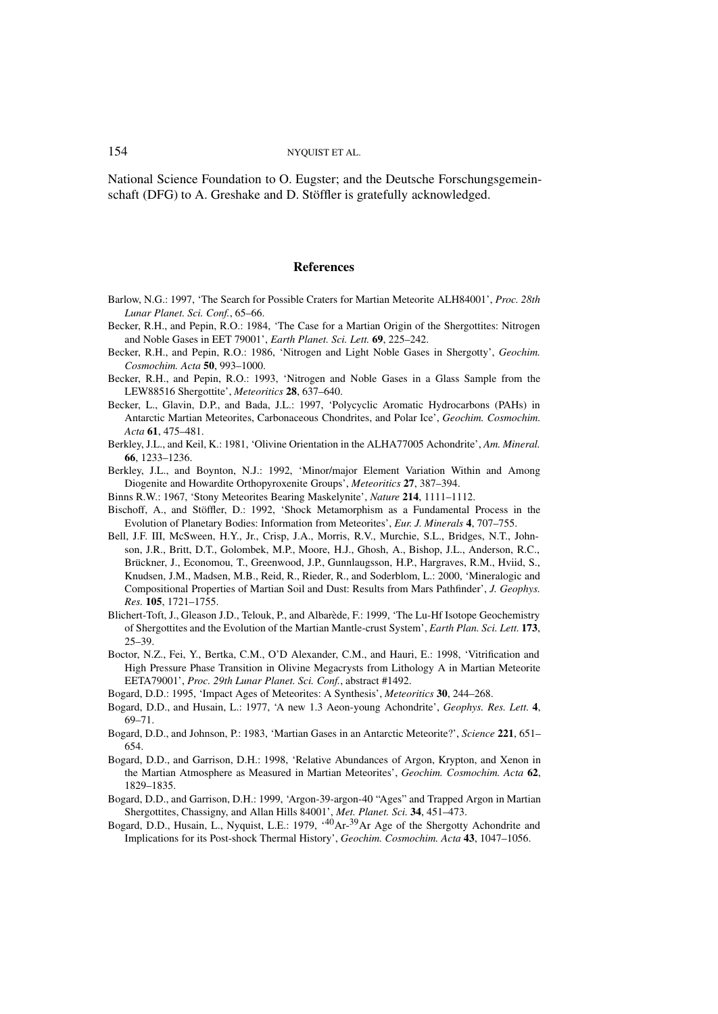National Science Foundation to O. Eugster; and the Deutsche Forschungsgemeinschaft (DFG) to A. Greshake and D. Stöffler is gratefully acknowledged.

### **References**

- Barlow, N.G.:1997, 'The Search for Possible Craters for Martian Meteorite ALH84001', *Proc. 28th Lunar Planet. Sci. Conf.*, 65–66.
- Becker, R.H., and Pepin, R.O.: 1984, 'The Case for a Martian Origin of the Shergottites: Nitrogen and Noble Gases in EET 79001', *Earth Planet. Sci. Lett.* **69**, 225–242.
- Becker, R.H., and Pepin, R.O.:1986, 'Nitrogen and Light Noble Gases in Shergotty', *Geochim. Cosmochim. Acta* **50**, 993–1000.
- Becker, R.H., and Pepin, R.O.:1993, 'Nitrogen and Noble Gases in a Glass Sample from the LEW88516 Shergottite', *Meteoritics* **28**, 637–640.
- Becker, L., Glavin, D.P., and Bada, J.L.:1997, 'Polycyclic Aromatic Hydrocarbons (PAHs) in Antarctic Martian Meteorites, Carbonaceous Chondrites, and Polar Ice', *Geochim. Cosmochim. Acta* **61**, 475–481.
- Berkley, J.L., and Keil, K.:1981, 'Olivine Orientation in the ALHA77005 Achondrite', *Am. Mineral.* **66**, 1233–1236.
- Berkley, J.L., and Boynton, N.J.:1992, 'Minor/major Element Variation Within and Among Diogenite and Howardite Orthopyroxenite Groups', *Meteoritics* **27**, 387–394.
- Binns R.W.:1967, 'Stony Meteorites Bearing Maskelynite', *Nature* **214**, 1111–1112.
- Bischoff, A., and Stöffler, D.:1992, 'Shock Metamorphism as a Fundamental Process in the Evolution of Planetary Bodies: Information from Meteorites', *Eur. J. Minerals* 4, 707–755.
- Bell, J.F. III, McSween, H.Y., Jr., Crisp, J.A., Morris, R.V., Murchie, S.L., Bridges, N.T., Johnson, J.R., Britt, D.T., Golombek, M.P., Moore, H.J., Ghosh, A., Bishop, J.L., Anderson, R.C., Brückner, J., Economou, T., Greenwood, J.P., Gunnlaugsson, H.P., Hargraves, R.M., Hviid, S., Knudsen, J.M., Madsen, M.B., Reid, R., Rieder, R., and Soderblom, L.:2000, 'Mineralogic and Compositional Properties of Martian Soil and Dust:Results from Mars Pathfinder', *J. Geophys. Res.* **105**, 1721–1755.
- Blichert-Toft, J., Gleason J.D., Telouk, P., and Albarède, F.:1999, 'The Lu-Hf Isotope Geochemistry of Shergottites and the Evolution of the Martian Mantle-crust System', *Earth Plan. Sci. Lett.* **173**, 25–39.
- Boctor, N.Z., Fei, Y., Bertka, C.M., O'D Alexander, C.M., and Hauri, E.:1998, 'Vitrification and High Pressure Phase Transition in Olivine Megacrysts from Lithology A in Martian Meteorite EETA79001', *Proc. 29th Lunar Planet. Sci. Conf.*, abstract #1492.
- Bogard, D.D.:1995, 'Impact Ages of Meteorites:A Synthesis', *Meteoritics* **30**, 244–268.
- Bogard, D.D., and Husain, L.:1977, 'A new 1.3 Aeon-young Achondrite', *Geophys. Res. Lett.* **4**, 69–71.
- Bogard, D.D., and Johnson, P.:1983, 'Martian Gases in an Antarctic Meteorite?', *Science* **221**, 651– 654.
- Bogard, D.D., and Garrison, D.H.:1998, 'Relative Abundances of Argon, Krypton, and Xenon in the Martian Atmosphere as Measured in Martian Meteorites', *Geochim. Cosmochim. Acta* **62**, 1829–1835.
- Bogard, D.D., and Garrison, D.H.:1999, 'Argon-39-argon-40 "Ages" and Trapped Argon in Martian Shergottites, Chassigny, and Allan Hills 84001', *Met. Planet. Sci.* **34**, 451–473.
- Bogard, D.D., Husain, L., Nyquist, L.E.: 1979, '40Ar-39Ar Age of the Shergotty Achondrite and Implications for its Post-shock Thermal History', *Geochim. Cosmochim. Acta* **43**, 1047–1056.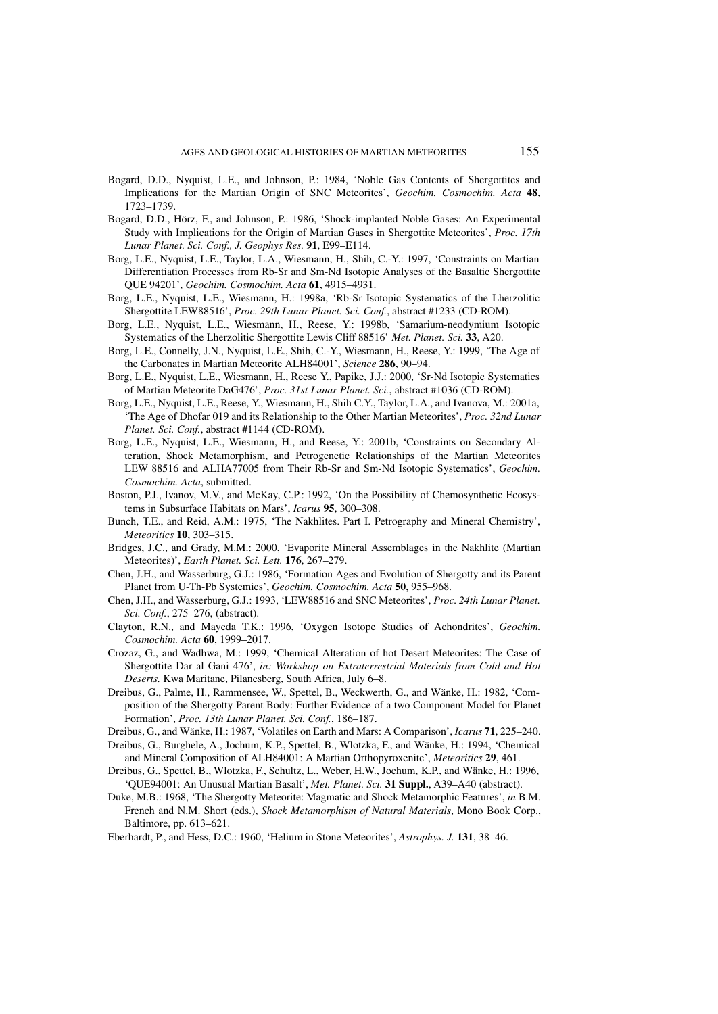- Bogard, D.D., Nyquist, L.E., and Johnson, P.:1984, 'Noble Gas Contents of Shergottites and Implications for the Martian Origin of SNC Meteorites', *Geochim. Cosmochim. Acta* **48**, 1723–1739.
- Bogard, D.D., Hörz, F., and Johnson, P.: 1986, 'Shock-implanted Noble Gases: An Experimental Study with Implications for the Origin of Martian Gases in Shergottite Meteorites', *Proc. 17th Lunar Planet. Sci. Conf., J. Geophys Res.* **91**, E99–E114.
- Borg, L.E., Nyquist, L.E., Taylor, L.A., Wiesmann, H., Shih, C.-Y.:1997, 'Constraints on Martian Differentiation Processes from Rb-Sr and Sm-Nd Isotopic Analyses of the Basaltic Shergottite QUE 94201', *Geochim. Cosmochim. Acta* **61**, 4915–4931.
- Borg, L.E., Nyquist, L.E., Wiesmann, H.:1998a, 'Rb-Sr Isotopic Systematics of the Lherzolitic Shergottite LEW88516', *Proc. 29th Lunar Planet. Sci. Conf.*, abstract #1233 (CD-ROM).
- Borg, L.E., Nyquist, L.E., Wiesmann, H., Reese, Y.:1998b, 'Samarium-neodymium Isotopic Systematics of the Lherzolitic Shergottite Lewis Cliff 88516' *Met. Planet. Sci.* **33**, A20.
- Borg, L.E., Connelly, J.N., Nyquist, L.E., Shih, C.-Y., Wiesmann, H., Reese, Y.:1999, 'The Age of the Carbonates in Martian Meteorite ALH84001', *Science* **286**, 90–94.
- Borg, L.E., Nyquist, L.E., Wiesmann, H., Reese Y., Papike, J.J.:2000, 'Sr-Nd Isotopic Systematics of Martian Meteorite DaG476', *Proc. 31st Lunar Planet. Sci.*, abstract #1036 (CD-ROM).
- Borg, L.E., Nyquist, L.E., Reese, Y., Wiesmann, H., Shih C.Y., Taylor, L.A., and Ivanova, M.:2001a, 'The Age of Dhofar 019 and its Relationship to the Other Martian Meteorites', *Proc. 32nd Lunar Planet. Sci. Conf.*, abstract #1144 (CD-ROM).
- Borg, L.E., Nyquist, L.E., Wiesmann, H., and Reese, Y.:2001b, 'Constraints on Secondary Alteration, Shock Metamorphism, and Petrogenetic Relationships of the Martian Meteorites LEW 88516 and ALHA77005 from Their Rb-Sr and Sm-Nd Isotopic Systematics', *Geochim. Cosmochim. Acta*, submitted.
- Boston, P.J., Ivanov, M.V., and McKay, C.P.:1992, 'On the Possibility of Chemosynthetic Ecosystems in Subsurface Habitats on Mars', *Icarus* **95**, 300–308.
- Bunch, T.E., and Reid, A.M.:1975, 'The Nakhlites. Part I. Petrography and Mineral Chemistry', *Meteoritics* **10**, 303–315.
- Bridges, J.C., and Grady, M.M.:2000, 'Evaporite Mineral Assemblages in the Nakhlite (Martian Meteorites)', *Earth Planet. Sci. Lett.* **176**, 267–279.
- Chen, J.H., and Wasserburg, G.J.:1986, 'Formation Ages and Evolution of Shergotty and its Parent Planet from U-Th-Pb Systemics', *Geochim. Cosmochim. Acta* **50**, 955–968.
- Chen, J.H., and Wasserburg, G.J.:1993, 'LEW88516 and SNC Meteorites', *Proc. 24th Lunar Planet. Sci. Conf.*, 275–276, (abstract).
- Clayton, R.N., and Mayeda T.K.:1996, 'Oxygen Isotope Studies of Achondrites', *Geochim. Cosmochim. Acta* **60**, 1999–2017.
- Crozaz, G., and Wadhwa, M.:1999, 'Chemical Alteration of hot Desert Meteorites:The Case of Shergottite Dar al Gani 476', *in: Workshop on Extraterrestrial Materials from Cold and Hot Deserts.* Kwa Maritane, Pilanesberg, South Africa, July 6–8.
- Dreibus, G., Palme, H., Rammensee, W., Spettel, B., Weckwerth, G., and Wänke, H.:1982, 'Composition of the Shergotty Parent Body: Further Evidence of a two Component Model for Planet Formation', *Proc. 13th Lunar Planet. Sci. Conf.*, 186–187.
- Dreibus, G., and Wänke, H.:1987, 'Volatiles on Earth and Mars:A Comparison', *Icarus* **71**, 225–240.
- Dreibus, G., Burghele, A., Jochum, K.P., Spettel, B., Wlotzka, F., and Wänke, H.:1994, 'Chemical and Mineral Composition of ALH84001:A Martian Orthopyroxenite', *Meteoritics* **29**, 461.
- Dreibus, G., Spettel, B., Wlotzka, F., Schultz, L., Weber, H.W., Jochum, K.P., and Wänke, H.:1996, 'QUE94001:An Unusual Martian Basalt', *Met. Planet. Sci.* **31 Suppl.**, A39–A40 (abstract).
- Duke, M.B.: 1968, 'The Shergotty Meteorite: Magmatic and Shock Metamorphic Features', *in* B.M. French and N.M. Short (eds.), *Shock Metamorphism of Natural Materials*, Mono Book Corp., Baltimore, pp. 613–621.
- Eberhardt, P., and Hess, D.C.:1960, 'Helium in Stone Meteorites', *Astrophys. J.* **131**, 38–46.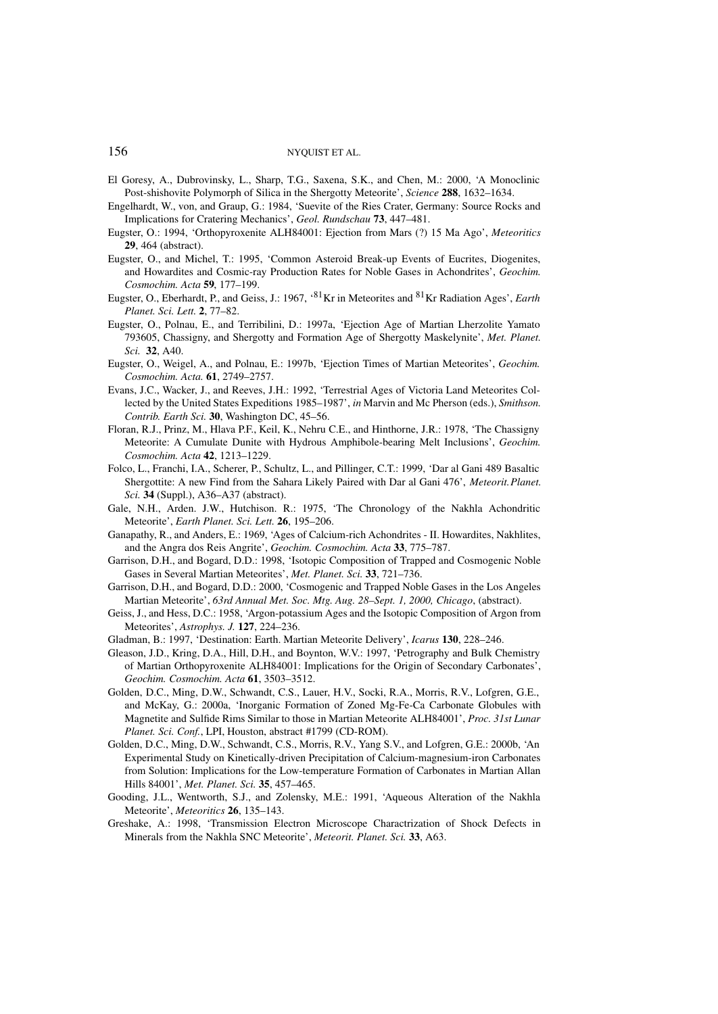- El Goresy, A., Dubrovinsky, L., Sharp, T.G., Saxena, S.K., and Chen, M.:2000, 'A Monoclinic Post-shishovite Polymorph of Silica in the Shergotty Meteorite', *Science* **288**, 1632–1634.
- Engelhardt, W., von, and Graup, G.: 1984, 'Suevite of the Ries Crater, Germany: Source Rocks and Implications for Cratering Mechanics', *Geol. Rundschau* **73**, 447–481.
- Eugster, O.: 1994, 'Orthopyroxenite ALH84001: Ejection from Mars (?) 15 Ma Ago', Meteoritics **29**, 464 (abstract).
- Eugster, O., and Michel, T.:1995, 'Common Asteroid Break-up Events of Eucrites, Diogenites, and Howardites and Cosmic-ray Production Rates for Noble Gases in Achondrites', *Geochim. Cosmochim. Acta* **59** 177–199. ,
- Eugster, O., Eberhardt, P., and Geiss, J.:1967, '81Kr in Meteorites and 81Kr Radiation Ages', *Earth Planet. Sci. Lett.* **2**, 77–82.
- Eugster, O., Polnau, E., and Terribilini, D.:1997a, 'Ejection Age of Martian Lherzolite Yamato 793605, Chassigny, and Shergotty and Formation Age of Shergotty Maskelynite', *Met. Planet. Sci.* **32**, A40.
- Eugster, O., Weigel, A., and Polnau, E.:1997b, 'Ejection Times of Martian Meteorites', *Geochim. Cosmochim. Acta.* **61**, 2749–2757.
- Evans, J.C., Wacker, J., and Reeves, J.H.:1992, 'Terrestrial Ages of Victoria Land Meteorites Collected by the United States Expeditions 1985–1987', *in* Marvin and Mc Pherson (eds.), *Smithson. Contrib. Earth Sci.* **30**, Washington DC, 45–56.
- Floran, R.J., Prinz, M., Hlava P.F., Keil, K., Nehru C.E., and Hinthorne, J.R.:1978, 'The Chassigny Meteorite:A Cumulate Dunite with Hydrous Amphibole-bearing Melt Inclusions', *Geochim. Cosmochim. Acta* **42**, 1213–1229.
- Folco, L., Franchi, I.A., Scherer, P., Schultz, L., and Pillinger, C.T.:1999, 'Dar al Gani 489 Basaltic Shergottite: A new Find from the Sahara Likely Paired with Dar al Gani 476', Meteorit. Planet. *Sci.* **34** (Suppl.), A36–A37 (abstract).
- Gale, N.H., Arden. J.W., Hutchison. R.:1975, 'The Chronology of the Nakhla Achondritic Meteorite', *Earth Planet. Sci. Lett.* **26**, 195–206.
- Ganapathy, R., and Anders, E.:1969, 'Ages of Calcium-rich Achondrites II. Howardites, Nakhlites, and the Angra dos Reis Angrite', *Geochim. Cosmochim. Acta* **33**, 775–787.
- Garrison, D.H., and Bogard, D.D.:1998, 'Isotopic Composition of Trapped and Cosmogenic Noble Gases in Several Martian Meteorites', *Met. Planet. Sci.* **33**, 721–736.
- Garrison, D.H., and Bogard, D.D.:2000, 'Cosmogenic and Trapped Noble Gases in the Los Angeles Martian Meteorite', *63rd Annual Met. Soc. Mtg. Aug. 28–Sept. 1, 2000, Chicago*, (abstract).
- Geiss, J., and Hess, D.C.:1958, 'Argon-potassium Ages and the Isotopic Composition of Argon from Meteorites', *Astrophys. J.* **127**, 224–236.
- Gladman, B.:1997, 'Destination:Earth. Martian Meteorite Delivery', *Icarus* **130**, 228–246.
- Gleason, J.D., Kring, D.A., Hill, D.H., and Boynton, W.V.:1997, 'Petrography and Bulk Chemistry of Martian Orthopyroxenite ALH84001: Implications for the Origin of Secondary Carbonates', *Geochim. Cosmochim. Acta* **61**, 3503–3512.
- Golden, D.C., Ming, D.W., Schwandt, C.S., Lauer, H.V., Socki, R.A., Morris, R.V., Lofgren, G.E., and McKay, G.:2000a, 'Inorganic Formation of Zoned Mg-Fe-Ca Carbonate Globules with Magnetite and Sulfide Rims Similar to those in Martian Meteorite ALH84001', *Proc. 31st Lunar Planet. Sci. Conf.*, LPI, Houston, abstract #1799 (CD-ROM).
- Golden, D.C., Ming, D.W., Schwandt, C.S., Morris, R.V., Yang S.V., and Lofgren, G.E.:2000b, 'An Experimental Study on Kinetically-driven Precipitation of Calcium-magnesium-iron Carbonates from Solution:Implications for the Low-temperature Formation of Carbonates in Martian Allan Hills 84001', *Met. Planet. Sci.* **35**, 457–465.
- Gooding, J.L., Wentworth, S.J., and Zolensky, M.E.:1991, 'Aqueous Alteration of the Nakhla Meteorite', *Meteoritics* **26**, 135–143.
- Greshake, A.:1998, 'Transmission Electron Microscope Charactrization of Shock Defects in Minerals from the Nakhla SNC Meteorite', *Meteorit. Planet. Sci.* **33**, A63.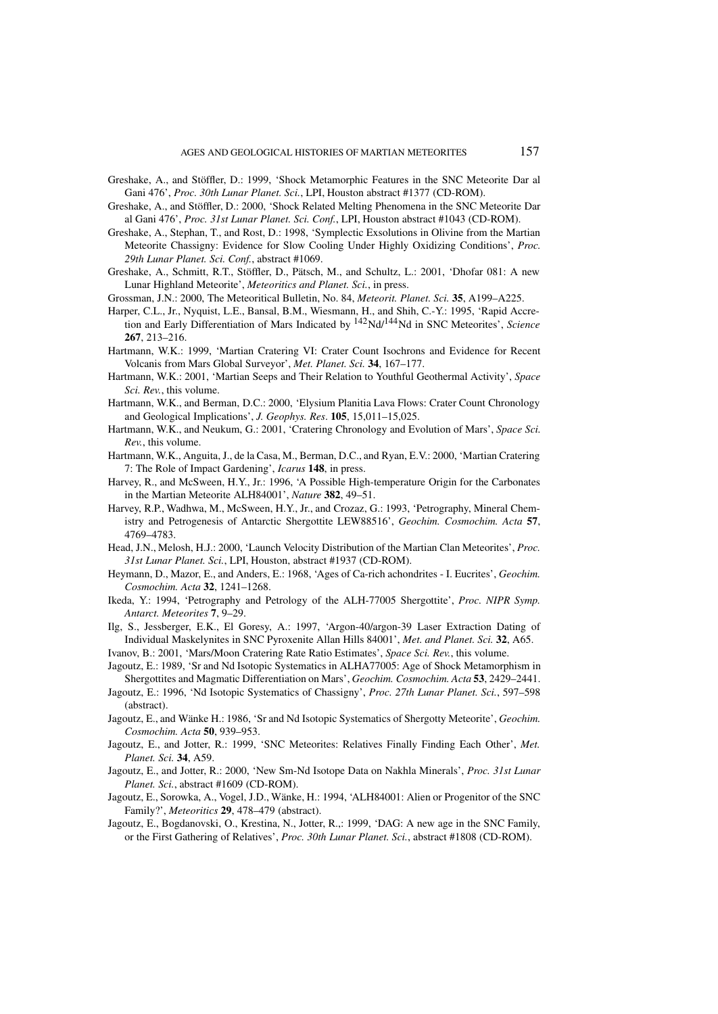- Greshake, A., and Stöffler, D.:1999, 'Shock Metamorphic Features in the SNC Meteorite Dar al Gani 476', *Proc. 30th Lunar Planet. Sci.*, LPI, Houston abstract #1377 (CD-ROM).
- Greshake, A., and Stöffler, D.:2000, 'Shock Related Melting Phenomena in the SNC Meteorite Dar al Gani 476', *Proc. 31st Lunar Planet. Sci. Conf.*, LPI, Houston abstract #1043 (CD-ROM).
- Greshake, A., Stephan, T., and Rost, D.:1998, 'Symplectic Exsolutions in Olivine from the Martian Meteorite Chassigny:Evidence for Slow Cooling Under Highly Oxidizing Conditions', *Proc. 29th Lunar Planet. Sci. Conf.*, abstract #1069.
- Greshake, A., Schmitt, R.T., Stöffler, D., Pätsch, M., and Schultz, L.: 2001, 'Dhofar 081: A new Lunar Highland Meteorite', *Meteoritics and Planet. Sci.*, in press.
- Grossman, J.N.:2000, The Meteoritical Bulletin, No. 84, *Meteorit. Planet. Sci.* **35**, A199–A225.
- Harper, C.L., Jr., Nyquist, L.E., Bansal, B.M., Wiesmann, H., and Shih, C.-Y.: 1995, 'Rapid Accretion and Early Differentiation of Mars Indicated by 142Nd/144Nd in SNC Meteorites', *Science* **267**, 213–216.
- Hartmann, W.K.: 1999, 'Martian Cratering VI: Crater Count Isochrons and Evidence for Recent Volcanis from Mars Global Surveyor', *Met. Planet. Sci.* **34**, 167–177.
- Hartmann, W.K.:2001, 'Martian Seeps and Their Relation to Youthful Geothermal Activity', *Space Sci. Rev.*, this volume.
- Hartmann, W.K., and Berman, D.C.: 2000, 'Elysium Planitia Lava Flows: Crater Count Chronology and Geological Implications', *J. Geophys. Res*. **105**, 15,011–15,025.
- Hartmann, W.K., and Neukum, G.:2001, 'Cratering Chronology and Evolution of Mars', *Space Sci. Rev.*, this volume.
- Hartmann, W.K., Anguita, J., de la Casa, M., Berman, D.C., and Ryan, E.V.:2000, 'Martian Cratering 7:The Role of Impact Gardening', *Icarus* **148**, in press.
- Harvey, R., and McSween, H.Y., Jr.:1996, 'A Possible High-temperature Origin for the Carbonates in the Martian Meteorite ALH84001', *Nature* **382**, 49–51.
- Harvey, R.P., Wadhwa, M., McSween, H.Y., Jr., and Crozaz, G.:1993, 'Petrography, Mineral Chemistry and Petrogenesis of Antarctic Shergottite LEW88516', *Geochim. Cosmochim. Acta* **57**, 4769–4783.
- Head, J.N., Melosh, H.J.:2000, 'Launch Velocity Distribution of the Martian Clan Meteorites', *Proc. 31st Lunar Planet. Sci.*, LPI, Houston, abstract #1937 (CD-ROM).
- Heymann, D., Mazor, E., and Anders, E.:1968, 'Ages of Ca-rich achondrites I. Eucrites', *Geochim. Cosmochim. Acta* **32**, 1241–1268.
- Ikeda, Y.:1994, 'Petrography and Petrology of the ALH-77005 Shergottite', *Proc. NIPR Symp. Antarct. Meteorites* **7**, 9–29.
- Ilg, S., Jessberger, E.K., El Goresy, A.:1997, 'Argon-40/argon-39 Laser Extraction Dating of Individual Maskelynites in SNC Pyroxenite Allan Hills 84001', *Met. and Planet. Sci.* **32**, A65.
- Ivanov, B.:2001, 'Mars/Moon Cratering Rate Ratio Estimates', *Space Sci. Rev.*, this volume.
- Jagoutz, E.: 1989, 'Sr and Nd Isotopic Systematics in ALHA77005: Age of Shock Metamorphism in Shergottites and Magmatic Differentiation on Mars', *Geochim. Cosmochim. Acta* **53**, 2429–2441.
- Jagoutz, E.:1996, 'Nd Isotopic Systematics of Chassigny', *Proc. 27th Lunar Planet. Sci.*, 597–598 (abstract).
- Jagoutz, E., and Wänke H.:1986, 'Sr and Nd Isotopic Systematics of Shergotty Meteorite', *Geochim. Cosmochim. Acta* **50**, 939–953.
- Jagoutz, E., and Jotter, R.: 1999, 'SNC Meteorites: Relatives Finally Finding Each Other', Met. *Planet. Sci.* **34**, A59.
- Jagoutz, E., and Jotter, R.:2000, 'New Sm-Nd Isotope Data on Nakhla Minerals', *Proc. 31st Lunar Planet. Sci.*, abstract #1609 (CD-ROM).
- Jagoutz, E., Sorowka, A., Vogel, J.D., Wänke, H.:1994, 'ALH84001:Alien or Progenitor of the SNC Family?', *Meteoritics* **29**, 478–479 (abstract).
- Jagoutz, E., Bogdanovski, O., Krestina, N., Jotter, R.,:1999, 'DAG:A new age in the SNC Family, or the First Gathering of Relatives', *Proc. 30th Lunar Planet. Sci.*, abstract #1808 (CD-ROM).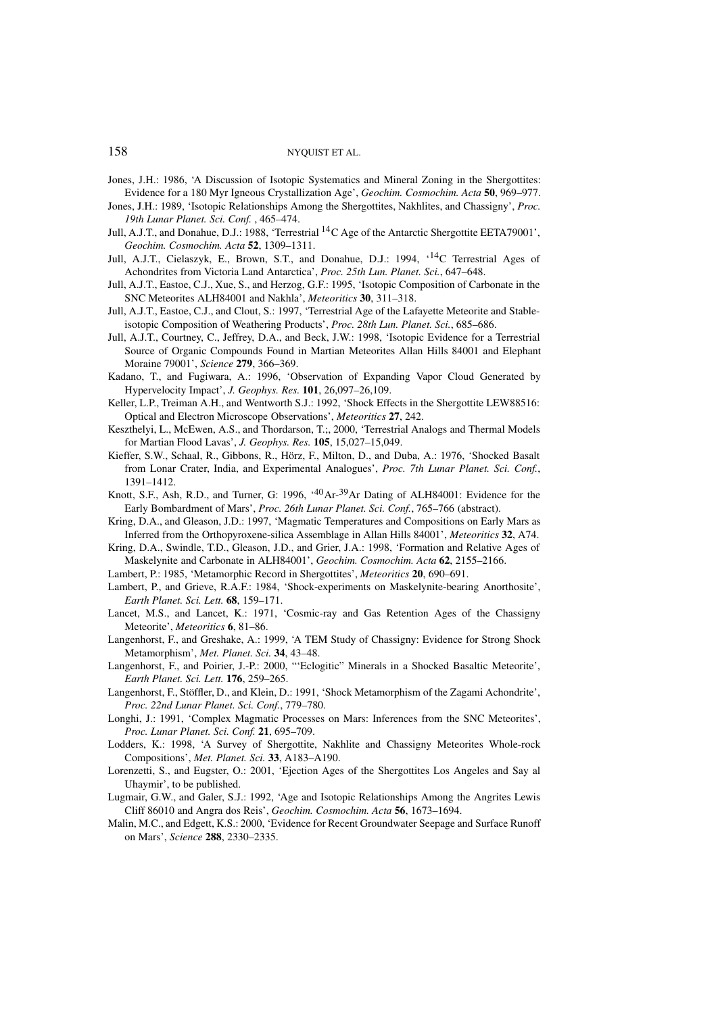- Jones, J.H.:1986, 'A Discussion of Isotopic Systematics and Mineral Zoning in the Shergottites: Evidence for a 180 Myr Igneous Crystallization Age', *Geochim. Cosmochim. Acta* **50**, 969–977.
- Jones, J.H.:1989, 'Isotopic Relationships Among the Shergottites, Nakhlites, and Chassigny', *Proc. 19th Lunar Planet. Sci. Conf.* , 465–474.
- Jull, A.J.T., and Donahue, D.J.:1988, 'Terrestrial 14C Age of the Antarctic Shergottite EETA79001', *Geochim. Cosmochim. Acta* **52**, 1309–1311.
- Jull, A.J.T., Cielaszyk, E., Brown, S.T., and Donahue, D.J.: 1994, <sup>14</sup>C Terrestrial Ages of Achondrites from Victoria Land Antarctica', *Proc. 25th Lun. Planet. Sci.*, 647–648.
- Jull, A.J.T., Eastoe, C.J., Xue, S., and Herzog, G.F.:1995, 'Isotopic Composition of Carbonate in the SNC Meteorites ALH84001 and Nakhla', *Meteoritics* **30**, 311–318.
- Jull, A.J.T., Eastoe, C.J., and Clout, S.:1997, 'Terrestrial Age of the Lafayette Meteorite and Stableisotopic Composition of Weathering Products', *Proc. 28th Lun. Planet. Sci.*, 685–686.
- Jull, A.J.T., Courtney, C., Jeffrey, D.A., and Beck, J.W.:1998, 'Isotopic Evidence for a Terrestrial Source of Organic Compounds Found in Martian Meteorites Allan Hills 84001 and Elephant Moraine 79001', *Science* **279**, 366–369.
- Kadano, T., and Fugiwara, A.:1996, 'Observation of Expanding Vapor Cloud Generated by Hypervelocity Impact', *J. Geophys. Res.* **101**, 26,097–26,109.
- Keller, L.P., Treiman A.H., and Wentworth S.J.:1992, 'Shock Effects in the Shergottite LEW88516: Optical and Electron Microscope Observations', *Meteoritics* **27**, 242.
- Keszthelyi, L., McEwen, A.S., and Thordarson, T.;, 2000, 'Terrestrial Analogs and Thermal Models for Martian Flood Lavas', *J. Geophys. Res.* **105**, 15,027–15,049.
- Kieffer, S.W., Schaal, R., Gibbons, R., Hörz, F., Milton, D., and Duba, A.:1976, 'Shocked Basalt from Lonar Crater, India, and Experimental Analogues', *Proc. 7th Lunar Planet. Sci. Conf.*, 1391–1412.
- Knott, S.F., Ash, R.D., and Turner, G: 1996,  $40Ar^{-39}Ar$  Dating of ALH84001: Evidence for the Early Bombardment of Mars', *Proc. 26th Lunar Planet. Sci. Conf.*, 765–766 (abstract).
- Kring, D.A., and Gleason, J.D.:1997, 'Magmatic Temperatures and Compositions on Early Mars as Inferred from the Orthopyroxene-silica Assemblage in Allan Hills 84001', *Meteoritics* **32**, A74.
- Kring, D.A., Swindle, T.D., Gleason, J.D., and Grier, J.A.:1998, 'Formation and Relative Ages of Maskelynite and Carbonate in ALH84001', *Geochim. Cosmochim. Acta* **62**, 2155–2166.
- Lambert, P.:1985, 'Metamorphic Record in Shergottites', *Meteoritics* **20**, 690–691.
- Lambert, P., and Grieve, R.A.F.:1984, 'Shock-experiments on Maskelynite-bearing Anorthosite', *Earth Planet. Sci. Lett.* **68**, 159–171.
- Lancet, M.S., and Lancet, K.:1971, 'Cosmic-ray and Gas Retention Ages of the Chassigny Meteorite', *Meteoritics* **6**, 81–86.
- Langenhorst, F., and Greshake, A.: 1999, 'A TEM Study of Chassigny: Evidence for Strong Shock Metamorphism', *Met. Planet. Sci.* **34**, 43–48.
- Langenhorst, F., and Poirier, J.-P.:2000, "'Eclogitic" Minerals in a Shocked Basaltic Meteorite', *Earth Planet. Sci. Lett.* **176**, 259–265.
- Langenhorst, F., Stöffler, D., and Klein, D.:1991, 'Shock Metamorphism of the Zagami Achondrite', *Proc. 22nd Lunar Planet. Sci. Conf.*, 779–780.
- Longhi, J.: 1991, 'Complex Magmatic Processes on Mars: Inferences from the SNC Meteorites', *Proc. Lunar Planet. Sci. Conf.* **21**, 695–709.
- Lodders, K.:1998, 'A Survey of Shergottite, Nakhlite and Chassigny Meteorites Whole-rock Compositions', *Met. Planet. Sci.* **33**, A183–A190.
- Lorenzetti, S., and Eugster, O.:2001, 'Ejection Ages of the Shergottites Los Angeles and Say al Uhaymir', to be published.
- Lugmair, G.W., and Galer, S.J.:1992, 'Age and Isotopic Relationships Among the Angrites Lewis Cliff 86010 and Angra dos Reis', *Geochim. Cosmochim. Acta* **56**, 1673–1694.
- Malin, M.C., and Edgett, K.S.:2000, 'Evidence for Recent Groundwater Seepage and Surface Runoff on Mars', *Science* **288**, 2330–2335.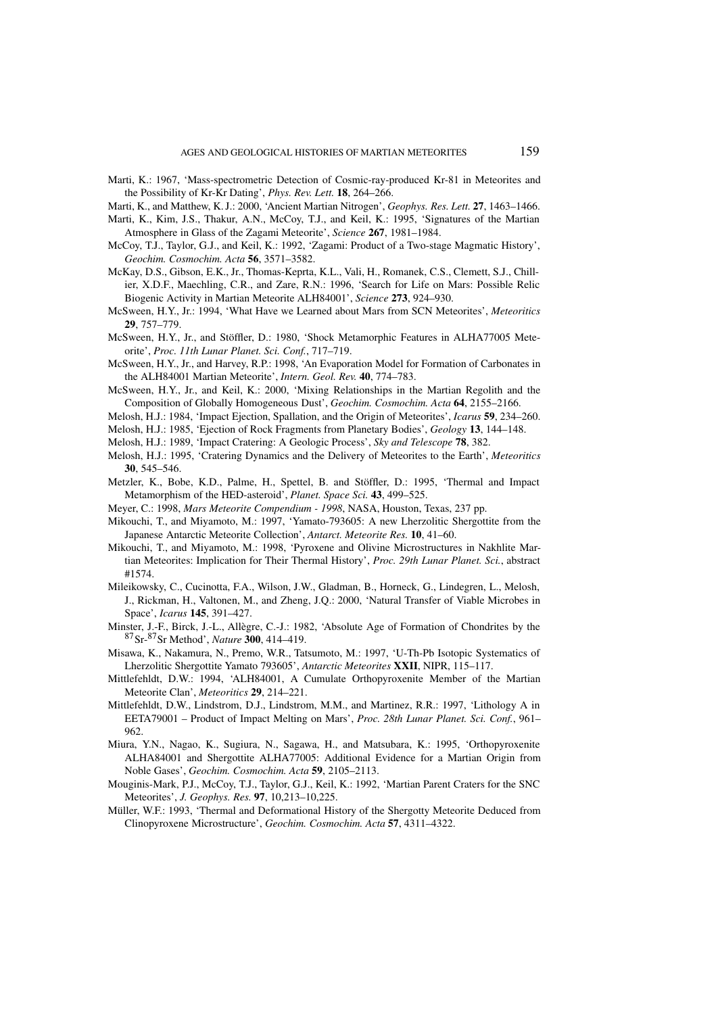- Marti, K.:1967, 'Mass-spectrometric Detection of Cosmic-ray-produced Kr-81 in Meteorites and the Possibility of Kr-Kr Dating', *Phys. Rev. Lett.* **18**, 264–266.
- Marti, K., and Matthew, K. J.:2000, 'Ancient Martian Nitrogen', *Geophys. Res. Lett.* **27**, 1463–1466.
- Marti, K., Kim, J.S., Thakur, A.N., McCoy, T.J., and Keil, K.: 1995, 'Signatures of the Martian Atmosphere in Glass of the Zagami Meteorite', *Science* **267**, 1981–1984.
- McCoy, T.J., Taylor, G.J., and Keil, K.:1992, 'Zagami:Product of a Two-stage Magmatic History', *Geochim. Cosmochim. Acta* **56**, 3571–3582.
- McKay, D.S., Gibson, E.K., Jr., Thomas-Keprta, K.L., Vali, H., Romanek, C.S., Clemett, S.J., Chillier, X.D.F., Maechling, C.R., and Zare, R.N.: 1996, 'Search for Life on Mars: Possible Relic Biogenic Activity in Martian Meteorite ALH84001', *Science* **273**, 924–930.
- McSween, H.Y., Jr.:1994, 'What Have we Learned about Mars from SCN Meteorites', *Meteoritics* **29**, 757–779.
- McSween, H.Y., Jr., and Stöffler, D.:1980, 'Shock Metamorphic Features in ALHA77005 Meteorite', *Proc. 11th Lunar Planet. Sci. Conf.*, 717–719.
- McSween, H.Y., Jr., and Harvey, R.P.:1998, 'An Evaporation Model for Formation of Carbonates in the ALH84001 Martian Meteorite', *Intern. Geol. Rev.* **40**, 774–783.
- McSween, H.Y., Jr., and Keil, K.:2000, 'Mixing Relationships in the Martian Regolith and the Composition of Globally Homogeneous Dust', *Geochim. Cosmochim. Acta* **64**, 2155–2166.
- Melosh, H.J.:1984, 'Impact Ejection, Spallation, and the Origin of Meteorites', *Icarus* **59**, 234–260.
- Melosh, H.J.:1985, 'Ejection of Rock Fragments from Planetary Bodies', *Geology* **13**, 144–148.
- Melosh, H.J.:1989, 'Impact Cratering:A Geologic Process', *Sky and Telescope* **78**, 382.
- Melosh, H.J.:1995, 'Cratering Dynamics and the Delivery of Meteorites to the Earth', *Meteoritics* **30**, 545–546.
- Metzler, K., Bobe, K.D., Palme, H., Spettel, B. and Stöffler, D.:1995, 'Thermal and Impact Metamorphism of the HED-asteroid', *Planet. Space Sci.* **43**, 499–525.
- Meyer, C.:1998, *Mars Meteorite Compendium 1998*, NASA, Houston, Texas, 237 pp.
- Mikouchi, T., and Miyamoto, M.: 1997, 'Yamato-793605: A new Lherzolitic Shergottite from the Japanese Antarctic Meteorite Collection', *Antarct. Meteorite Res.* **10**, 41–60.
- Mikouchi, T., and Miyamoto, M.:1998, 'Pyroxene and Olivine Microstructures in Nakhlite Martian Meteorites: Implication for Their Thermal History', *Proc. 29th Lunar Planet. Sci.*, abstract #1574.
- Mileikowsky, C., Cucinotta, F.A., Wilson, J.W., Gladman, B., Horneck, G., Lindegren, L., Melosh, J., Rickman, H., Valtonen, M., and Zheng, J.Q.:2000, 'Natural Transfer of Viable Microbes in Space', *Icarus* **145**, 391–427.
- Minster, J.-F., Birck, J.-L., Allègre, C.-J.:1982, 'Absolute Age of Formation of Chondrites by the 87Sr-87Sr Method', *Nature* **300**, 414–419.
- Misawa, K., Nakamura, N., Premo, W.R., Tatsumoto, M.:1997, 'U-Th-Pb Isotopic Systematics of Lherzolitic Shergottite Yamato 793605', *Antarctic Meteorites* **XXII**, NIPR, 115–117.
- Mittlefehldt, D.W.:1994, 'ALH84001, A Cumulate Orthopyroxenite Member of the Martian Meteorite Clan', *Meteoritics* **29**, 214–221.
- Mittlefehldt, D.W., Lindstrom, D.J., Lindstrom, M.M., and Martinez, R.R.:1997, 'Lithology A in EETA79001 – Product of Impact Melting on Mars', *Proc. 28th Lunar Planet. Sci. Conf.*, 961– 962.
- Miura, Y.N., Nagao, K., Sugiura, N., Sagawa, H., and Matsubara, K.:1995, 'Orthopyroxenite ALHA84001 and Shergottite ALHA77005: Additional Evidence for a Martian Origin from Noble Gases', *Geochim. Cosmochim. Acta* **59**, 2105–2113.
- Mouginis-Mark, P.J., McCoy, T.J., Taylor, G.J., Keil, K.:1992, 'Martian Parent Craters for the SNC Meteorites', *J. Geophys. Res.* **97**, 10,213–10,225.
- Müller, W.F.:1993, 'Thermal and Deformational History of the Shergotty Meteorite Deduced from Clinopyroxene Microstructure', *Geochim. Cosmochim. Acta* **57**, 4311–4322.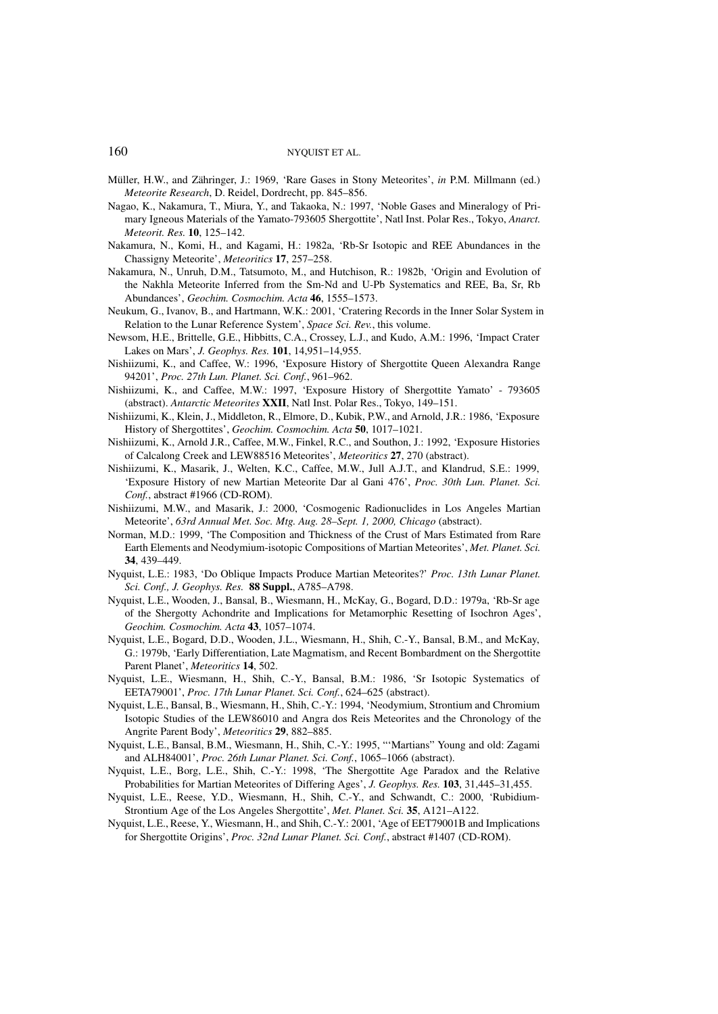- Müller, H.W., and Zähringer, J.:1969, 'Rare Gases in Stony Meteorites', *in* P.M. Millmann (ed.) *Meteorite Research*, D. Reidel, Dordrecht, pp. 845–856.
- Nagao, K., Nakamura, T., Miura, Y., and Takaoka, N.:1997, 'Noble Gases and Mineralogy of Primary Igneous Materials of the Yamato-793605 Shergottite', Natl Inst. Polar Res., Tokyo, *Anarct. Meteorit. Res.* **10**, 125–142.
- Nakamura, N., Komi, H., and Kagami, H.:1982a, 'Rb-Sr Isotopic and REE Abundances in the Chassigny Meteorite', *Meteoritics* **17**, 257–258.
- Nakamura, N., Unruh, D.M., Tatsumoto, M., and Hutchison, R.:1982b, 'Origin and Evolution of the Nakhla Meteorite Inferred from the Sm-Nd and U-Pb Systematics and REE, Ba, Sr, Rb Abundances', *Geochim. Cosmochim. Acta* **46**, 1555–1573.
- Neukum, G., Ivanov, B., and Hartmann, W.K.:2001, 'Cratering Records in the Inner Solar System in Relation to the Lunar Reference System', *Space Sci. Rev.*, this volume.
- Newsom, H.E., Brittelle, G.E., Hibbitts, C.A., Crossey, L.J., and Kudo, A.M.:1996, 'Impact Crater Lakes on Mars', *J. Geophys. Res.* **101**, 14,951–14,955.
- Nishiizumi, K., and Caffee, W.:1996, 'Exposure History of Shergottite Queen Alexandra Range 94201', *Proc. 27th Lun. Planet. Sci. Conf.*, 961–962.
- Nishiizumi, K., and Caffee, M.W.:1997, 'Exposure History of Shergottite Yamato' 793605 (abstract). *Antarctic Meteorites* **XXII**, Natl Inst. Polar Res., Tokyo, 149–151.
- Nishiizumi, K., Klein, J., Middleton, R., Elmore, D., Kubik, P.W., and Arnold, J.R.:1986, 'Exposure History of Shergottites', *Geochim. Cosmochim. Acta* **50**, 1017–1021.
- Nishiizumi, K., Arnold J.R., Caffee, M.W., Finkel, R.C., and Southon, J.:1992, 'Exposure Histories of Calcalong Creek and LEW88516 Meteorites', *Meteoritics* **27**, 270 (abstract).
- Nishiizumi, K., Masarik, J., Welten, K.C., Caffee, M.W., Jull A.J.T., and Klandrud, S.E.:1999, 'Exposure History of new Martian Meteorite Dar al Gani 476', *Proc. 30th Lun. Planet. Sci. Conf.*, abstract #1966 (CD-ROM).
- Nishiizumi, M.W., and Masarik, J.:2000, 'Cosmogenic Radionuclides in Los Angeles Martian Meteorite', *63rd Annual Met. Soc. Mtg. Aug. 28–Sept. 1, 2000, Chicago* (abstract).
- Norman, M.D.:1999, 'The Composition and Thickness of the Crust of Mars Estimated from Rare Earth Elements and Neodymium-isotopic Compositions of Martian Meteorites', *Met. Planet. Sci.* **34**, 439–449.
- Nyquist, L.E.:1983, 'Do Oblique Impacts Produce Martian Meteorites?' *Proc. 13th Lunar Planet. Sci. Conf., J. Geophys. Res.* **88 Suppl.**, A785–A798.
- Nyquist, L.E., Wooden, J., Bansal, B., Wiesmann, H., McKay, G., Bogard, D.D.:1979a, 'Rb-Sr age of the Shergotty Achondrite and Implications for Metamorphic Resetting of Isochron Ages', *Geochim. Cosmochim. Acta* **43**, 1057–1074.
- Nyquist, L.E., Bogard, D.D., Wooden, J.L., Wiesmann, H., Shih, C.-Y., Bansal, B.M., and McKay, G.:1979b, 'Early Differentiation, Late Magmatism, and Recent Bombardment on the Shergottite Parent Planet', *Meteoritics* **14**, 502.
- Nyquist, L.E., Wiesmann, H., Shih, C.-Y., Bansal, B.M.:1986, 'Sr Isotopic Systematics of EETA79001', *Proc. 17th Lunar Planet. Sci. Conf.*, 624–625 (abstract).
- Nyquist, L.E., Bansal, B., Wiesmann, H., Shih, C.-Y.:1994, 'Neodymium, Strontium and Chromium Isotopic Studies of the LEW86010 and Angra dos Reis Meteorites and the Chronology of the Angrite Parent Body', *Meteoritics* **29**, 882–885.
- Nyquist, L.E., Bansal, B.M., Wiesmann, H., Shih, C.-Y.:1995, "'Martians" Young and old:Zagami and ALH84001', *Proc. 26th Lunar Planet. Sci. Conf.*, 1065–1066 (abstract).
- Nyquist, L.E., Borg, L.E., Shih, C.-Y.:1998, 'The Shergottite Age Paradox and the Relative Probabilities for Martian Meteorites of Differing Ages', *J. Geophys. Res.* **103**, 31,445–31,455.
- Nyquist, L.E., Reese, Y.D., Wiesmann, H., Shih, C.-Y., and Schwandt, C.:2000, 'Rubidium-Strontium Age of the Los Angeles Shergottite', *Met. Planet. Sci.* **35**, A121–A122.
- Nyquist, L.E., Reese, Y., Wiesmann, H., and Shih, C.-Y.:2001, 'Age of EET79001B and Implications for Shergottite Origins', *Proc. 32nd Lunar Planet. Sci. Conf.*, abstract #1407 (CD-ROM).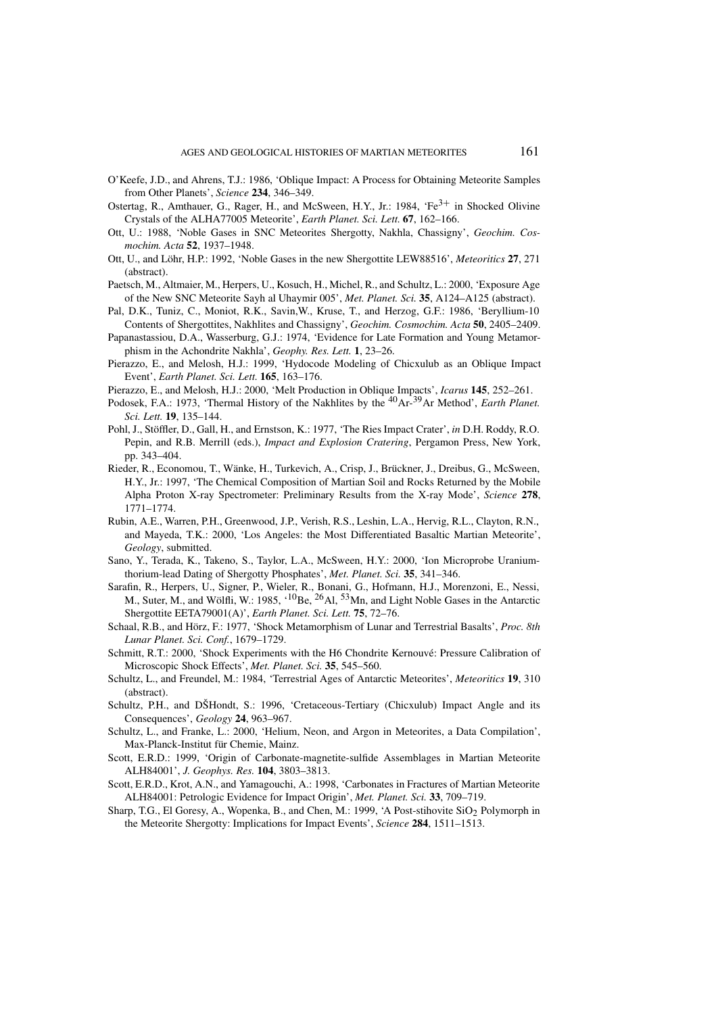- O'Keefe, J.D., and Ahrens, T.J.:1986, 'Oblique Impact:A Process for Obtaining Meteorite Samples from Other Planets', *Science* **234**, 346–349.
- Ostertag, R., Amthauer, G., Rager, H., and McSween, H.Y., Jr.: 1984, 'Fe<sup>3+</sup> in Shocked Olivine Crystals of the ALHA77005 Meteorite', *Earth Planet. Sci. Lett.* **67**, 162–166.
- Ott, U.:1988, 'Noble Gases in SNC Meteorites Shergotty, Nakhla, Chassigny', *Geochim. Cosmochim. Acta* **52**, 1937–1948.
- Ott, U., and Löhr, H.P.:1992, 'Noble Gases in the new Shergottite LEW88516', *Meteoritics* **27**, 271 (abstract).
- Paetsch, M., Altmaier, M., Herpers, U., Kosuch, H., Michel, R., and Schultz, L.:2000, 'Exposure Age of the New SNC Meteorite Sayh al Uhaymir 005', *Met. Planet. Sci.* **35**, A124–A125 (abstract).
- Pal, D.K., Tuniz, C., Moniot, R.K., Savin,W., Kruse, T., and Herzog, G.F.:1986, 'Beryllium-10 Contents of Shergottites, Nakhlites and Chassigny', *Geochim. Cosmochim. Acta* **50**, 2405–2409.
- Papanastassiou, D.A., Wasserburg, G.J.:1974, 'Evidence for Late Formation and Young Metamorphism in the Achondrite Nakhla', *Geophy. Res. Lett.* **1**, 23–26.
- Pierazzo, E., and Melosh, H.J.:1999, 'Hydocode Modeling of Chicxulub as an Oblique Impact Event', *Earth Planet. Sci. Lett.* **165**, 163–176.
- Pierazzo, E., and Melosh, H.J.:2000, 'Melt Production in Oblique Impacts', *Icarus* **145**, 252–261.
- Podosek, F.A.:1973, 'Thermal History of the Nakhlites by the 40Ar-39Ar Method', *Earth Planet. Sci. Lett.* **19**, 135–144.
- Pohl, J., Stöffler, D., Gall, H., and Ernstson, K.:1977, 'The Ries Impact Crater', *in* D.H. Roddy, R.O. Pepin, and R.B. Merrill (eds.), *Impact and Explosion Cratering*, Pergamon Press, New York, pp. 343–404.
- Rieder, R., Economou, T., Wänke, H., Turkevich, A., Crisp, J., Brückner, J., Dreibus, G., McSween, H.Y., Jr.:1997, 'The Chemical Composition of Martian Soil and Rocks Returned by the Mobile Alpha Proton X-ray Spectrometer: Preliminary Results from the X-ray Mode', *Science* 278, 1771–1774.
- Rubin, A.E., Warren, P.H., Greenwood, J.P., Verish, R.S., Leshin, L.A., Hervig, R.L., Clayton, R.N., and Mayeda, T.K.: 2000, 'Los Angeles: the Most Differentiated Basaltic Martian Meteorite', *Geology*, submitted.
- Sano, Y., Terada, K., Takeno, S., Taylor, L.A., McSween, H.Y.: 2000, 'Ion Microprobe Uraniumthorium-lead Dating of Shergotty Phosphates', *Met. Planet. Sci.* **35**, 341–346.
- Sarafin, R., Herpers, U., Signer, P., Wieler, R., Bonani, G., Hofmann, H.J., Morenzoni, E., Nessi, M., Suter, M., and Wölfli, W.: 1985,  $\cdot^{10}$ Be,  $^{26}$ Al,  $^{53}$ Mn, and Light Noble Gases in the Antarctic Shergottite EETA79001(A)', *Earth Planet. Sci. Lett.* **75**, 72–76.
- Schaal, R.B., and Hörz, F.:1977, 'Shock Metamorphism of Lunar and Terrestrial Basalts', *Proc. 8th Lunar Planet. Sci. Conf.*, 1679–1729.
- Schmitt, R.T.: 2000, 'Shock Experiments with the H6 Chondrite Kernouvé: Pressure Calibration of Microscopic Shock Effects', *Met. Planet. Sci.* **35**, 545–560.
- Schultz, L., and Freundel, M.:1984, 'Terrestrial Ages of Antarctic Meteorites', *Meteoritics* **19**, 310 (abstract).
- Schultz, P.H., and DŠHondt, S.:1996, 'Cretaceous-Tertiary (Chicxulub) Impact Angle and its Consequences', *Geology* **24**, 963–967.
- Schultz, L., and Franke, L.:2000, 'Helium, Neon, and Argon in Meteorites, a Data Compilation', Max-Planck-Institut für Chemie, Mainz.
- Scott, E.R.D.: 1999, 'Origin of Carbonate-magnetite-sulfide Assemblages in Martian Meteorite ALH84001', *J. Geophys. Res.* **104**, 3803–3813.
- Scott, E.R.D., Krot, A.N., and Yamagouchi, A.:1998, 'Carbonates in Fractures of Martian Meteorite ALH84001: Petrologic Evidence for Impact Origin', *Met. Planet. Sci.* 33, 709-719.
- Sharp, T.G., El Goresy, A., Wopenka, B., and Chen, M.: 1999, 'A Post-stihovite SiO<sub>2</sub> Polymorph in the Meteorite Shergotty:Implications for Impact Events', *Science* **284**, 1511–1513.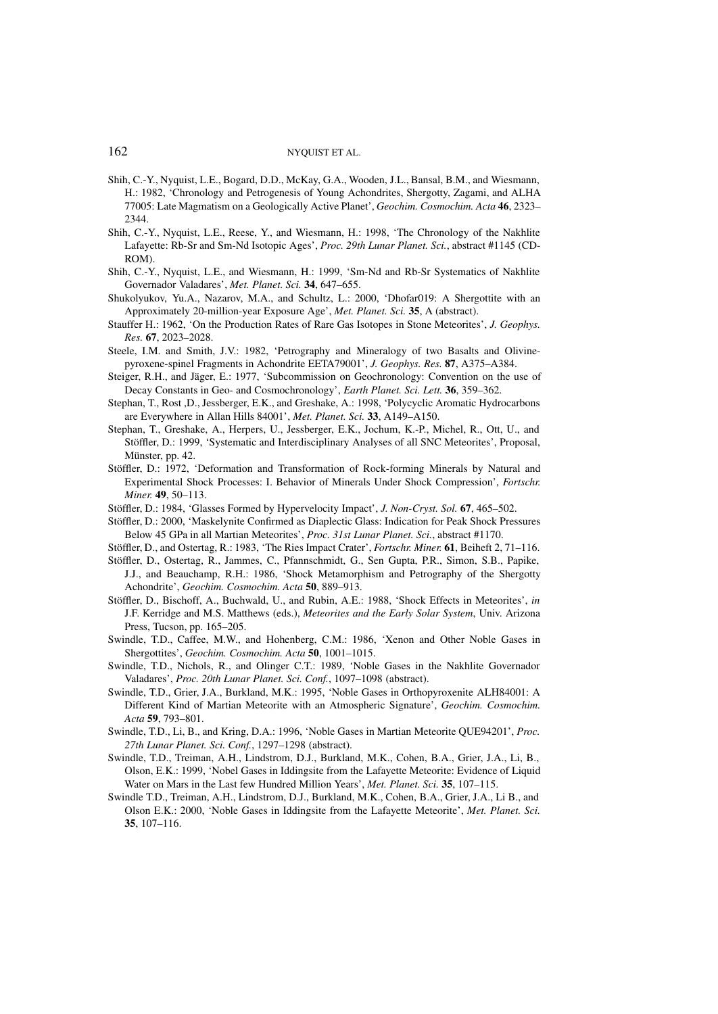- Shih, C.-Y., Nyquist, L.E., Bogard, D.D., McKay, G.A., Wooden, J.L., Bansal, B.M., and Wiesmann, H.:1982, 'Chronology and Petrogenesis of Young Achondrites, Shergotty, Zagami, and ALHA 77005:Late Magmatism on a Geologically Active Planet', *Geochim. Cosmochim. Acta* **46**, 2323– 2344.
- Shih, C.-Y., Nyquist, L.E., Reese, Y., and Wiesmann, H.:1998, 'The Chronology of the Nakhlite Lafayette: Rb-Sr and Sm-Nd Isotopic Ages', *Proc. 29th Lunar Planet. Sci.*, abstract #1145 (CD-ROM).
- Shih, C.-Y., Nyquist, L.E., and Wiesmann, H.:1999, 'Sm-Nd and Rb-Sr Systematics of Nakhlite Governador Valadares', *Met. Planet. Sci.* **34**, 647–655.
- Shukolyukov, Yu.A., Nazarov, M.A., and Schultz, L.:2000, 'Dhofar019:A Shergottite with an Approximately 20-million-year Exposure Age', *Met. Planet. Sci.* **35**, A (abstract).
- Stauffer H.:1962, 'On the Production Rates of Rare Gas Isotopes in Stone Meteorites', *J. Geophys. Res.* **67**, 2023–2028.
- Steele, I.M. and Smith, J.V.:1982, 'Petrography and Mineralogy of two Basalts and Olivinepyroxene-spinel Fragments in Achondrite EETA79001', *J. Geophys. Res.* **87**, A375–A384.
- Steiger, R.H., and Jäger, E.:1977, 'Subcommission on Geochronology:Convention on the use of Decay Constants in Geo- and Cosmochronology', *Earth Planet. Sci. Lett.* **36**, 359–362.
- Stephan, T., Rost ,D., Jessberger, E.K., and Greshake, A.:1998, 'Polycyclic Aromatic Hydrocarbons are Everywhere in Allan Hills 84001', *Met. Planet. Sci.* **33**, A149–A150.
- Stephan, T., Greshake, A., Herpers, U., Jessberger, E.K., Jochum, K.-P., Michel, R., Ott, U., and Stöffler, D.:1999, 'Systematic and Interdisciplinary Analyses of all SNC Meteorites', Proposal, Münster, pp. 42.
- Stöffler, D.:1972, 'Deformation and Transformation of Rock-forming Minerals by Natural and Experimental Shock Processes:I. Behavior of Minerals Under Shock Compression', *Fortschr. Miner.* **49**, 50–113.
- Stöffler, D.:1984, 'Glasses Formed by Hypervelocity Impact', *J. Non-Cryst. Sol.* **67**, 465–502.
- Stöffler, D.: 2000, 'Maskelynite Confirmed as Diaplectic Glass: Indication for Peak Shock Pressures Below 45 GPa in all Martian Meteorites', *Proc. 31st Lunar Planet. Sci.*, abstract #1170.
- Stöffler, D., and Ostertag, R.:1983, 'The Ries Impact Crater', *Fortschr. Miner.* **61**, Beiheft 2, 71–116.
- Stöffler, D., Ostertag, R., Jammes, C., Pfannschmidt, G., Sen Gupta, P.R., Simon, S.B., Papike, J.J., and Beauchamp, R.H.:1986, 'Shock Metamorphism and Petrography of the Shergotty Achondrite', *Geochim. Cosmochim. Acta* **50**, 889–913.
- Stöffler, D., Bischoff, A., Buchwald, U., and Rubin, A.E.:1988, 'Shock Effects in Meteorites', *in* J.F. Kerridge and M.S. Matthews (eds.), *Meteorites and the Early Solar System*, Univ. Arizona Press, Tucson, pp. 165–205.
- Swindle, T.D., Caffee, M.W., and Hohenberg, C.M.:1986, 'Xenon and Other Noble Gases in Shergottites', *Geochim. Cosmochim. Acta* **50**, 1001–1015.
- Swindle, T.D., Nichols, R., and Olinger C.T.:1989, 'Noble Gases in the Nakhlite Governador Valadares', *Proc. 20th Lunar Planet. Sci. Conf.*, 1097–1098 (abstract).
- Swindle, T.D., Grier, J.A., Burkland, M.K.:1995, 'Noble Gases in Orthopyroxenite ALH84001:A Different Kind of Martian Meteorite with an Atmospheric Signature', *Geochim. Cosmochim. Acta* **59**, 793–801.
- Swindle, T.D., Li, B., and Kring, D.A.:1996, 'Noble Gases in Martian Meteorite QUE94201', *Proc. 27th Lunar Planet. Sci. Conf.*, 1297–1298 (abstract).
- Swindle, T.D., Treiman, A.H., Lindstrom, D.J., Burkland, M.K., Cohen, B.A., Grier, J.A., Li, B., Olson, E.K.: 1999, 'Nobel Gases in Iddingsite from the Lafayette Meteorite: Evidence of Liquid Water on Mars in the Last few Hundred Million Years', *Met. Planet. Sci.* **35**, 107–115.
- Swindle T.D., Treiman, A.H., Lindstrom, D.J., Burkland, M.K., Cohen, B.A., Grier, J.A., Li B., and Olson E.K.:2000, 'Noble Gases in Iddingsite from the Lafayette Meteorite', *Met. Planet. Sci.* **35**, 107–116.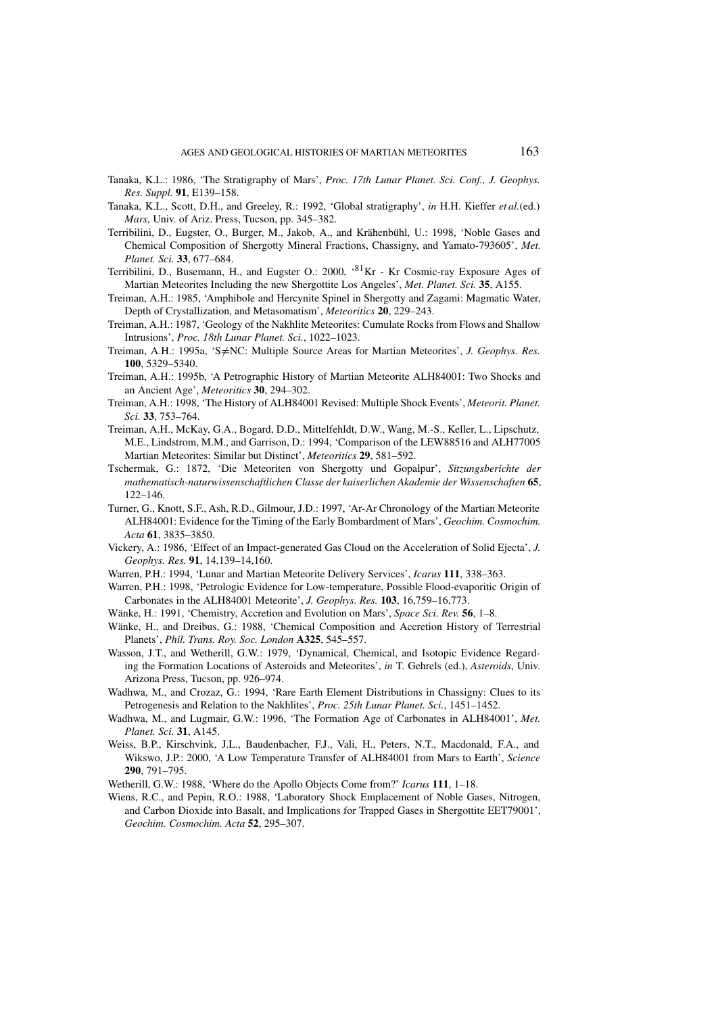- Tanaka, K.L.:1986, 'The Stratigraphy of Mars', *Proc. 17th Lunar Planet. Sci. Conf., J. Geophys. Res. Suppl.* **91**, E139–158.
- Tanaka, K.L., Scott, D.H., and Greeley, R.:1992, 'Global stratigraphy', *in* H.H. Kieffer *et al.*(ed.) *Mars*, Univ. of Ariz. Press, Tucson, pp. 345–382.
- Terribilini, D., Eugster, O., Burger, M., Jakob, A., and Krähenbühl, U.:1998, 'Noble Gases and Chemical Composition of Shergotty Mineral Fractions, Chassigny, and Yamato-793605', *Met. Planet. Sci.* **33**, 677–684.
- Terribilini, D., Busemann, H., and Eugster O.: 2000,  ${}^{.81}\text{Kr}$  Kr Cosmic-ray Exposure Ages of Martian Meteorites Including the new Shergottite Los Angeles', *Met. Planet. Sci.* **35**, A155.
- Treiman, A.H.: 1985, 'Amphibole and Hercynite Spinel in Shergotty and Zagami: Magmatic Water, Depth of Crystallization, and Metasomatism', *Meteoritics* **20**, 229–243.
- Treiman, A.H.:1987, 'Geology of the Nakhlite Meteorites:Cumulate Rocks from Flows and Shallow Intrusions', *Proc. 18th Lunar Planet. Sci.*, 1022–1023.
- Treiman, A.H.: 1995a, 'S≠NC: Multiple Source Areas for Martian Meteorites', *J. Geophys. Res.* **100**, 5329–5340.
- Treiman, A.H.:1995b, 'A Petrographic History of Martian Meteorite ALH84001:Two Shocks and an Ancient Age', *Meteoritics* **30**, 294–302.
- Treiman, A.H.: 1998, 'The History of ALH84001 Revised: Multiple Shock Events', Meteorit. Planet. *Sci.* **33**, 753–764.
- Treiman, A.H., McKay, G.A., Bogard, D.D., Mittelfehldt, D.W., Wang, M.-S., Keller, L., Lipschutz, M.E., Lindstrom, M.M., and Garrison, D.:1994, 'Comparison of the LEW88516 and ALH77005 Martian Meteorites:Similar but Distinct', *Meteoritics* **29**, 581–592.
- Tschermak, G.:1872, 'Die Meteoriten von Shergotty und Gopalpur', *Sitzungsberichte der mathematisch-naturwissenschaftlichen Classe der kaiserlichen Akademie der Wissenschaften* **65**, 122–146.
- Turner, G., Knott, S.F., Ash, R.D., Gilmour, J.D.:1997, 'Ar-Ar Chronology of the Martian Meteorite ALH84001:Evidence for the Timing of the Early Bombardment of Mars', *Geochim. Cosmochim. Acta* **61**, 3835–3850.
- Vickery, A.:1986, 'Effect of an Impact-generated Gas Cloud on the Acceleration of Solid Ejecta', *J. Geophys. Res.* **91**, 14,139–14,160.
- Warren, P.H.:1994, 'Lunar and Martian Meteorite Delivery Services', *Icarus* **111**, 338–363.
- Warren, P.H.: 1998, 'Petrologic Evidence for Low-temperature, Possible Flood-evaporitic Origin of Carbonates in the ALH84001 Meteorite', *J. Geophys. Res.* **103**, 16,759–16,773.
- Wänke, H.:1991, 'Chemistry, Accretion and Evolution on Mars', *Space Sci. Rev.* **56**, 1–8.
- Wänke, H., and Dreibus, G.:1988, 'Chemical Composition and Accretion History of Terrestrial Planets', *Phil. Trans. Roy. Soc. London* **A325**, 545–557.
- Wasson, J.T., and Wetherill, G.W.:1979, 'Dynamical, Chemical, and Isotopic Evidence Regarding the Formation Locations of Asteroids and Meteorites', *in* T. Gehrels (ed.), *Asteroids*, Univ. Arizona Press, Tucson, pp. 926–974.
- Wadhwa, M., and Crozaz, G.: 1994, 'Rare Earth Element Distributions in Chassigny: Clues to its Petrogenesis and Relation to the Nakhlites', *Proc. 25th Lunar Planet. Sci.*, 1451–1452.
- Wadhwa, M., and Lugmair, G.W.:1996, 'The Formation Age of Carbonates in ALH84001', *Met. Planet. Sci.* **31**, A145.
- Weiss, B.P., Kirschvink, J.L., Baudenbacher, F.J., Vali, H., Peters, N.T., Macdonald, F.A., and Wikswo, J.P.:2000, 'A Low Temperature Transfer of ALH84001 from Mars to Earth', *Science* **290**, 791–795.
- Wetherill, G.W.:1988, 'Where do the Apollo Objects Come from?' *Icarus* **111**, 1–18.
- Wiens, R.C., and Pepin, R.O.:1988, 'Laboratory Shock Emplacement of Noble Gases, Nitrogen, and Carbon Dioxide into Basalt, and Implications for Trapped Gases in Shergottite EET79001', *Geochim. Cosmochim. Acta* **52**, 295–307.